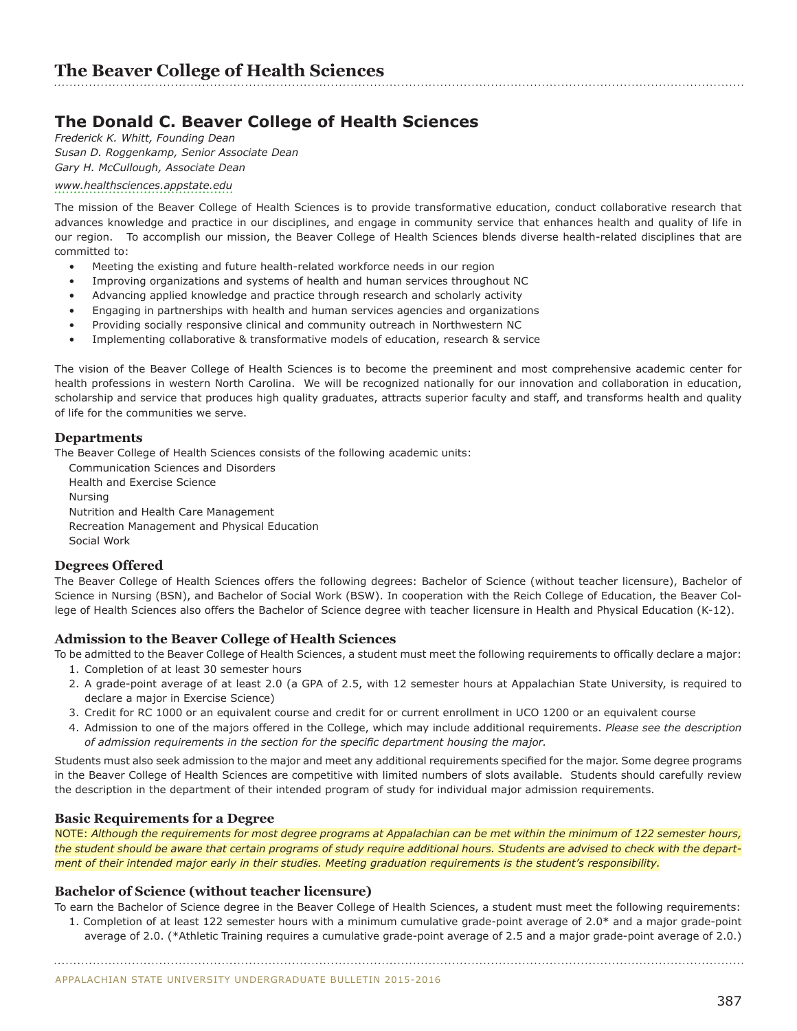## **The Donald C. Beaver College of Health Sciences**

*Frederick K. Whitt, Founding Dean Susan D. Roggenkamp, Senior Associate Dean Gary H. McCullough, Associate Dean* 

## *<www.healthsciences.appstate.edu>*

The mission of the Beaver College of Health Sciences is to provide transformative education, conduct collaborative research that advances knowledge and practice in our disciplines, and engage in community service that enhances health and quality of life in our region. To accomplish our mission, the Beaver College of Health Sciences blends diverse health-related disciplines that are committed to:

- Meeting the existing and future health-related workforce needs in our region
- Improving organizations and systems of health and human services throughout NC
- Advancing applied knowledge and practice through research and scholarly activity
- Engaging in partnerships with health and human services agencies and organizations
- Providing socially responsive clinical and community outreach in Northwestern NC
- Implementing collaborative & transformative models of education, research & service

The vision of the Beaver College of Health Sciences is to become the preeminent and most comprehensive academic center for health professions in western North Carolina. We will be recognized nationally for our innovation and collaboration in education, scholarship and service that produces high quality graduates, attracts superior faculty and staff, and transforms health and quality of life for the communities we serve.

## **Departments**

The Beaver College of Health Sciences consists of the following academic units:

Communication Sciences and Disorders Health and Exercise Science Nursing Nutrition and Health Care Management Recreation Management and Physical Education Social Work

## **Degrees Offered**

The Beaver College of Health Sciences offers the following degrees: Bachelor of Science (without teacher licensure), Bachelor of Science in Nursing (BSN), and Bachelor of Social Work (BSW). In cooperation with the Reich College of Education, the Beaver College of Health Sciences also offers the Bachelor of Science degree with teacher licensure in Health and Physical Education (K-12).

## **Admission to the Beaver College of Health Sciences**

To be admitted to the Beaver College of Health Sciences, a student must meet the following requirements to offically declare a major:

- 1. Completion of at least 30 semester hours
- 2. A grade-point average of at least 2.0 (a GPA of 2.5, with 12 semester hours at Appalachian State University, is required to declare a major in Exercise Science)
- 3. Credit for RC 1000 or an equivalent course and credit for or current enrollment in UCO 1200 or an equivalent course
- 4. Admission to one of the majors offered in the College, which may include additional requirements. *Please see the description of admission requirements in the section for the specific department housing the major.*

Students must also seek admission to the major and meet any additional requirements specified for the major. Some degree programs in the Beaver College of Health Sciences are competitive with limited numbers of slots available. Students should carefully review the description in the department of their intended program of study for individual major admission requirements.

## **Basic Requirements for a Degree**

NOTE: *Although the requirements for most degree programs at Appalachian can be met within the minimum of 122 semester hours, the student should be aware that certain programs of study require additional hours. Students are advised to check with the department of their intended major early in their studies. Meeting graduation requirements is the student's responsibility.*

## **Bachelor of Science (without teacher licensure)**

To earn the Bachelor of Science degree in the Beaver College of Health Sciences, a student must meet the following requirements:

1. Completion of at least 122 semester hours with a minimum cumulative grade-point average of 2.0\* and a major grade-point average of 2.0. (\*Athletic Training requires a cumulative grade-point average of 2.5 and a major grade-point average of 2.0.)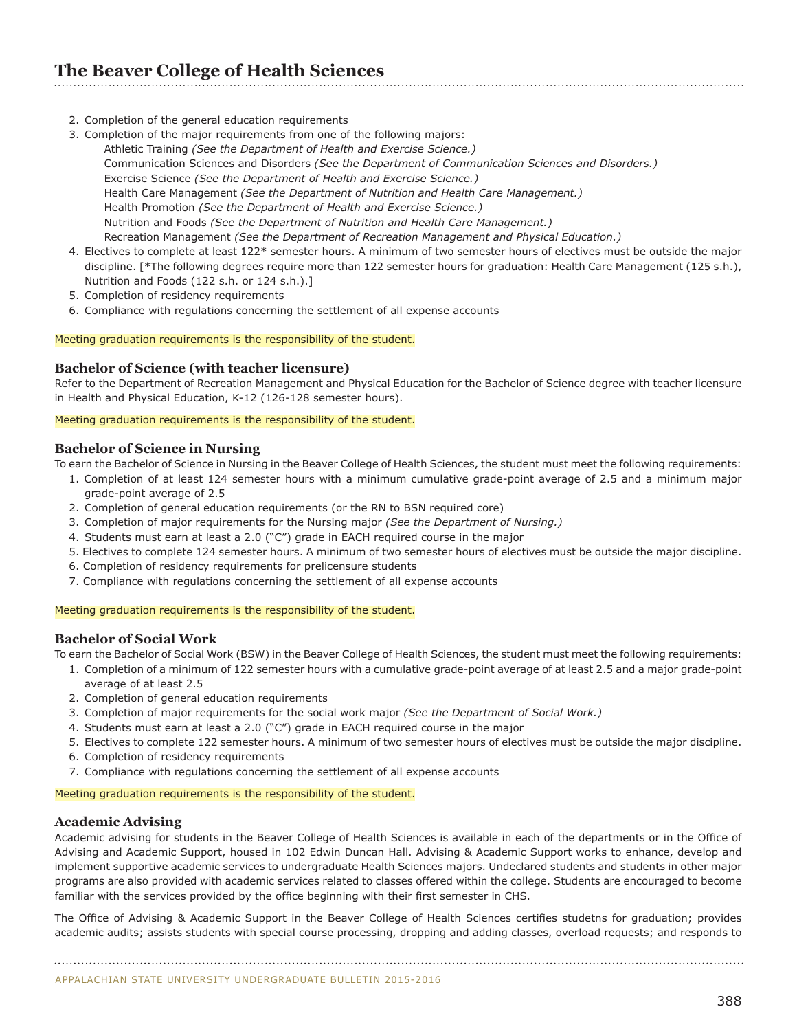## **The Beaver College of Health Sciences**

- 2. Completion of the general education requirements
- 3. Completion of the major requirements from one of the following majors: Athletic Training *(See the Department of Health and Exercise Science.)* Communication Sciences and Disorders *(See the Department of Communication Sciences and Disorders.)* Exercise Science *(See the Department of Health and Exercise Science.)* Health Care Management *(See the Department of Nutrition and Health Care Management.)* Health Promotion *(See the Department of Health and Exercise Science.)* Nutrition and Foods *(See the Department of Nutrition and Health Care Management.)* Recreation Management *(See the Department of Recreation Management and Physical Education.)*
- 4. Electives to complete at least 122\* semester hours. A minimum of two semester hours of electives must be outside the major discipline. [\*The following degrees require more than 122 semester hours for graduation: Health Care Management (125 s.h.), Nutrition and Foods (122 s.h. or 124 s.h.).]
- 5. Completion of residency requirements
- 6. Compliance with regulations concerning the settlement of all expense accounts

#### Meeting graduation requirements is the responsibility of the student.

## **Bachelor of Science (with teacher licensure)**

Refer to the Department of Recreation Management and Physical Education for the Bachelor of Science degree with teacher licensure in Health and Physical Education, K-12 (126-128 semester hours).

#### Meeting graduation requirements is the responsibility of the student.

## **Bachelor of Science in Nursing**

To earn the Bachelor of Science in Nursing in the Beaver College of Health Sciences, the student must meet the following requirements:

- 1. Completion of at least 124 semester hours with a minimum cumulative grade-point average of 2.5 and a minimum major grade-point average of 2.5
- 2. Completion of general education requirements (or the RN to BSN required core)
- 3. Completion of major requirements for the Nursing major *(See the Department of Nursing.)*
- 4. Students must earn at least a 2.0 ("C") grade in EACH required course in the major
- 5. Electives to complete 124 semester hours. A minimum of two semester hours of electives must be outside the major discipline.
- 6. Completion of residency requirements for prelicensure students
- 7. Compliance with regulations concerning the settlement of all expense accounts

#### Meeting graduation requirements is the responsibility of the student.

## **Bachelor of Social Work**

To earn the Bachelor of Social Work (BSW) in the Beaver College of Health Sciences, the student must meet the following requirements:

- 1. Completion of a minimum of 122 semester hours with a cumulative grade-point average of at least 2.5 and a major grade-point average of at least 2.5
- 2. Completion of general education requirements
- 3. Completion of major requirements for the social work major *(See the Department of Social Work.)*
- 4. Students must earn at least a 2.0 ("C") grade in EACH required course in the major
- 5. Electives to complete 122 semester hours. A minimum of two semester hours of electives must be outside the major discipline.
- 6. Completion of residency requirements
- 7. Compliance with regulations concerning the settlement of all expense accounts

Meeting graduation requirements is the responsibility of the student.

## **Academic Advising**

Academic advising for students in the Beaver College of Health Sciences is available in each of the departments or in the Office of Advising and Academic Support, housed in 102 Edwin Duncan Hall. Advising & Academic Support works to enhance, develop and implement supportive academic services to undergraduate Health Sciences majors. Undeclared students and students in other major programs are also provided with academic services related to classes offered within the college. Students are encouraged to become familiar with the services provided by the office beginning with their first semester in CHS.

The Office of Advising & Academic Support in the Beaver College of Health Sciences certifies studetns for graduation; provides academic audits; assists students with special course processing, dropping and adding classes, overload requests; and responds to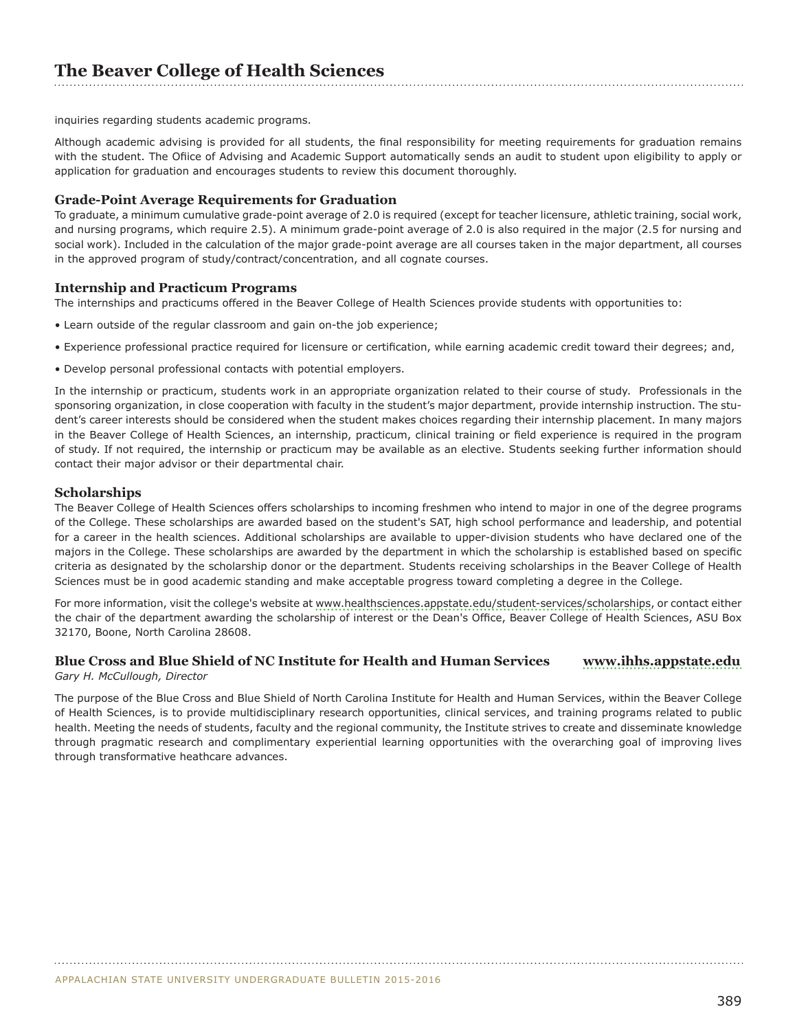inquiries regarding students academic programs.

Although academic advising is provided for all students, the final responsibility for meeting requirements for graduation remains with the student. The Ofiice of Advising and Academic Support automatically sends an audit to student upon eligibility to apply or application for graduation and encourages students to review this document thoroughly.

## **Grade-Point Average Requirements for Graduation**

To graduate, a minimum cumulative grade-point average of 2.0 is required (except for teacher licensure, athletic training, social work, and nursing programs, which require 2.5). A minimum grade-point average of 2.0 is also required in the major (2.5 for nursing and social work). Included in the calculation of the major grade-point average are all courses taken in the major department, all courses in the approved program of study/contract/concentration, and all cognate courses.

## **Internship and Practicum Programs**

The internships and practicums offered in the Beaver College of Health Sciences provide students with opportunities to:

- Learn outside of the regular classroom and gain on-the job experience;
- Experience professional practice required for licensure or certification, while earning academic credit toward their degrees; and,
- Develop personal professional contacts with potential employers.

In the internship or practicum, students work in an appropriate organization related to their course of study. Professionals in the sponsoring organization, in close cooperation with faculty in the student's major department, provide internship instruction. The student's career interests should be considered when the student makes choices regarding their internship placement. In many majors in the Beaver College of Health Sciences, an internship, practicum, clinical training or field experience is required in the program of study. If not required, the internship or practicum may be available as an elective. Students seeking further information should contact their major advisor or their departmental chair.

## **Scholarships**

The Beaver College of Health Sciences offers scholarships to incoming freshmen who intend to major in one of the degree programs of the College. These scholarships are awarded based on the student's SAT, high school performance and leadership, and potential for a career in the health sciences. Additional scholarships are available to upper-division students who have declared one of the majors in the College. These scholarships are awarded by the department in which the scholarship is established based on specific criteria as designated by the scholarship donor or the department. Students receiving scholarships in the Beaver College of Health Sciences must be in good academic standing and make acceptable progress toward completing a degree in the College.

For more information, visit the college's website at <www.healthsciences.appstate.edu/student-services/scholarships>, or contact either the chair of the department awarding the scholarship of interest or the Dean's Office, Beaver College of Health Sciences, ASU Box 32170, Boone, North Carolina 28608.

## **Blue Cross and Blue Shield of NC Institute for Health and Human Services <www.ihhs.appstate.edu>**

*Gary H. McCullough, Director*

The purpose of the Blue Cross and Blue Shield of North Carolina Institute for Health and Human Services, within the Beaver College of Health Sciences, is to provide multidisciplinary research opportunities, clinical services, and training programs related to public health. Meeting the needs of students, faculty and the regional community, the Institute strives to create and disseminate knowledge through pragmatic research and complimentary experiential learning opportunities with the overarching goal of improving lives through transformative heathcare advances.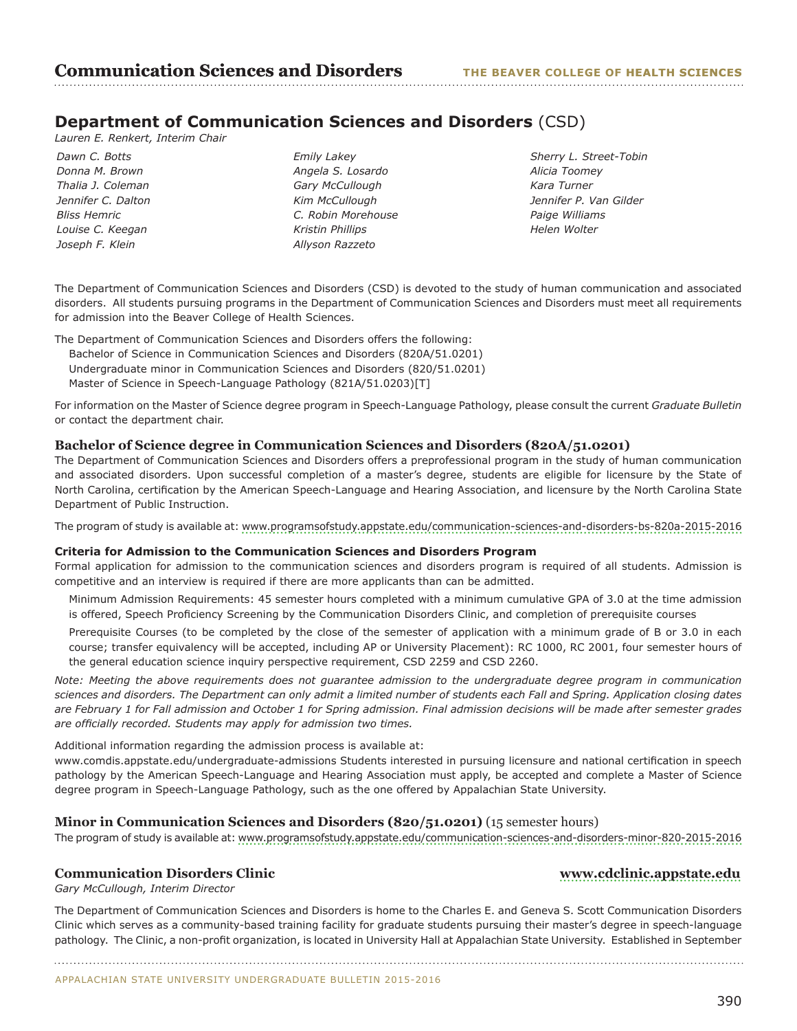## **Department of Communication Sciences and Disorders** (CSD)

*Lauren E. Renkert, Interim Chair*

*Dawn C. Botts Donna M. Brown Thalia J. Coleman Jennifer C. Dalton Bliss Hemric Louise C. Keegan Joseph F. Klein*

*Emily Lakey Angela S. Losardo Gary McCullough Kim McCullough C. Robin Morehouse Kristin Phillips Allyson Razzeto*

*Sherry L. Street-Tobin Alicia Toomey Kara Turner Jennifer P. Van Gilder Paige Williams Helen Wolter*

The Department of Communication Sciences and Disorders (CSD) is devoted to the study of human communication and associated disorders. All students pursuing programs in the Department of Communication Sciences and Disorders must meet all requirements for admission into the Beaver College of Health Sciences.

The Department of Communication Sciences and Disorders offers the following:

- Bachelor of Science in Communication Sciences and Disorders (820A/51.0201) Undergraduate minor in Communication Sciences and Disorders (820/51.0201)
- Master of Science in Speech-Language Pathology (821A/51.0203)[T]

For information on the Master of Science degree program in Speech-Language Pathology, please consult the current *Graduate Bulletin*  or contact the department chair.

## **Bachelor of Science degree in Communication Sciences and Disorders (820A/51.0201)**

The Department of Communication Sciences and Disorders offers a preprofessional program in the study of human communication and associated disorders. Upon successful completion of a master's degree, students are eligible for licensure by the State of North Carolina, certification by the American Speech-Language and Hearing Association, and licensure by the North Carolina State Department of Public Instruction.

The program of study is available at:<www.programsofstudy.appstate.edu/communication-sciences-and-disorders-bs-820a-2015-2016>

## **Criteria for Admission to the Communication Sciences and Disorders Program**

Formal application for admission to the communication sciences and disorders program is required of all students. Admission is competitive and an interview is required if there are more applicants than can be admitted.

Minimum Admission Requirements: 45 semester hours completed with a minimum cumulative GPA of 3.0 at the time admission is offered, Speech Proficiency Screening by the Communication Disorders Clinic, and completion of prerequisite courses

Prerequisite Courses (to be completed by the close of the semester of application with a minimum grade of B or 3.0 in each course; transfer equivalency will be accepted, including AP or University Placement): RC 1000, RC 2001, four semester hours of the general education science inquiry perspective requirement, CSD 2259 and CSD 2260.

*Note: Meeting the above requirements does not guarantee admission to the undergraduate degree program in communication sciences and disorders. The Department can only admit a limited number of students each Fall and Spring. Application closing dates are February 1 for Fall admission and October 1 for Spring admission. Final admission decisions will be made after semester grades are officially recorded. Students may apply for admission two times.*

Additional information regarding the admission process is available at:

www.comdis.appstate.edu/undergraduate-admissions Students interested in pursuing licensure and national certification in speech pathology by the American Speech-Language and Hearing Association must apply, be accepted and complete a Master of Science degree program in Speech-Language Pathology, such as the one offered by Appalachian State University.

## **Minor in Communication Sciences and Disorders (820/51.0201)** (15 semester hours)

The program of study is available at:<www.programsofstudy.appstate.edu/communication-sciences-and-disorders-minor-820-2015-2016>

## **Communication Disorders Clinic [www.cdclinic.appstate.edu](http://www.cdclinic.appstate.edu)**

*Gary McCullough, Interim Director*

The Department of Communication Sciences and Disorders is home to the Charles E. and Geneva S. Scott Communication Disorders Clinic which serves as a community-based training facility for graduate students pursuing their master's degree in speech-language pathology. The Clinic, a non-profit organization, is located in University Hall at Appalachian State University. Established in September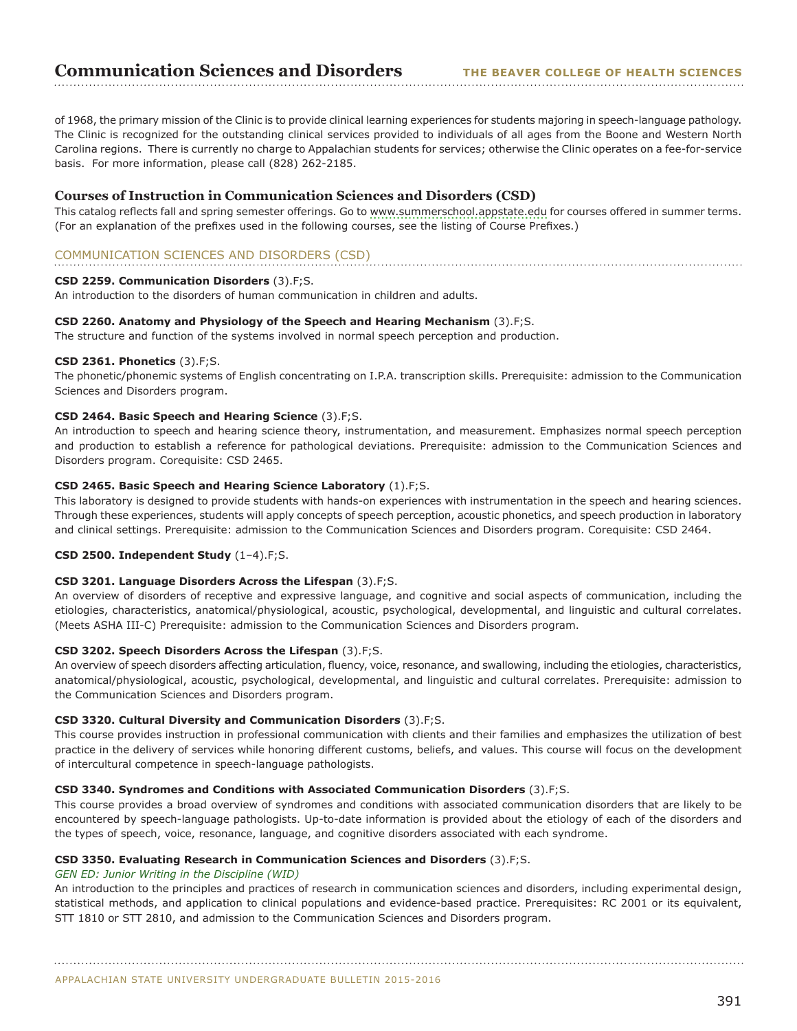of 1968, the primary mission of the Clinic is to provide clinical learning experiences for students majoring in speech-language pathology. The Clinic is recognized for the outstanding clinical services provided to individuals of all ages from the Boone and Western North Carolina regions. There is currently no charge to Appalachian students for services; otherwise the Clinic operates on a fee-for-service basis. For more information, please call (828) 262-2185.

## **Courses of Instruction in Communication Sciences and Disorders (CSD)**

This catalog reflects fall and spring semester offerings. Go to [www.summerschool.appstate.edu](http://www.summerschool.appstate.edu) for courses offered in summer terms. (For an explanation of the prefixes used in the following courses, see the listing of Course Prefixes.)

## COMMUNICATION SCIENCES AND DISORDERS (CSD)

## **CSD 2259. Communication Disorders** (3).F;S.

An introduction to the disorders of human communication in children and adults.

#### **CSD 2260. Anatomy and Physiology of the Speech and Hearing Mechanism** (3).F;S.

The structure and function of the systems involved in normal speech perception and production.

## **CSD 2361. Phonetics** (3).F;S.

The phonetic/phonemic systems of English concentrating on I.P.A. transcription skills. Prerequisite: admission to the Communication Sciences and Disorders program.

## **CSD 2464. Basic Speech and Hearing Science** (3).F;S.

An introduction to speech and hearing science theory, instrumentation, and measurement. Emphasizes normal speech perception and production to establish a reference for pathological deviations. Prerequisite: admission to the Communication Sciences and Disorders program. Corequisite: CSD 2465.

## **CSD 2465. Basic Speech and Hearing Science Laboratory** (1).F;S.

This laboratory is designed to provide students with hands-on experiences with instrumentation in the speech and hearing sciences. Through these experiences, students will apply concepts of speech perception, acoustic phonetics, and speech production in laboratory and clinical settings. Prerequisite: admission to the Communication Sciences and Disorders program. Corequisite: CSD 2464.

## **CSD 2500. Independent Study** (1–4).F;S.

#### **CSD 3201. Language Disorders Across the Lifespan** (3).F;S.

An overview of disorders of receptive and expressive language, and cognitive and social aspects of communication, including the etiologies, characteristics, anatomical/physiological, acoustic, psychological, developmental, and linguistic and cultural correlates. (Meets ASHA III-C) Prerequisite: admission to the Communication Sciences and Disorders program.

## **CSD 3202. Speech Disorders Across the Lifespan** (3).F;S.

An overview of speech disorders affecting articulation, fluency, voice, resonance, and swallowing, including the etiologies, characteristics, anatomical/physiological, acoustic, psychological, developmental, and linguistic and cultural correlates. Prerequisite: admission to the Communication Sciences and Disorders program.

#### **CSD 3320. Cultural Diversity and Communication Disorders** (3).F;S.

This course provides instruction in professional communication with clients and their families and emphasizes the utilization of best practice in the delivery of services while honoring different customs, beliefs, and values. This course will focus on the development of intercultural competence in speech-language pathologists.

#### **CSD 3340. Syndromes and Conditions with Associated Communication Disorders** (3).F;S.

This course provides a broad overview of syndromes and conditions with associated communication disorders that are likely to be encountered by speech-language pathologists. Up-to-date information is provided about the etiology of each of the disorders and the types of speech, voice, resonance, language, and cognitive disorders associated with each syndrome.

#### **CSD 3350. Evaluating Research in Communication Sciences and Disorders** (3).F;S.

#### *GEN ED: Junior Writing in the Discipline (WID)*

An introduction to the principles and practices of research in communication sciences and disorders, including experimental design, statistical methods, and application to clinical populations and evidence-based practice. Prerequisites: RC 2001 or its equivalent, STT 1810 or STT 2810, and admission to the Communication Sciences and Disorders program.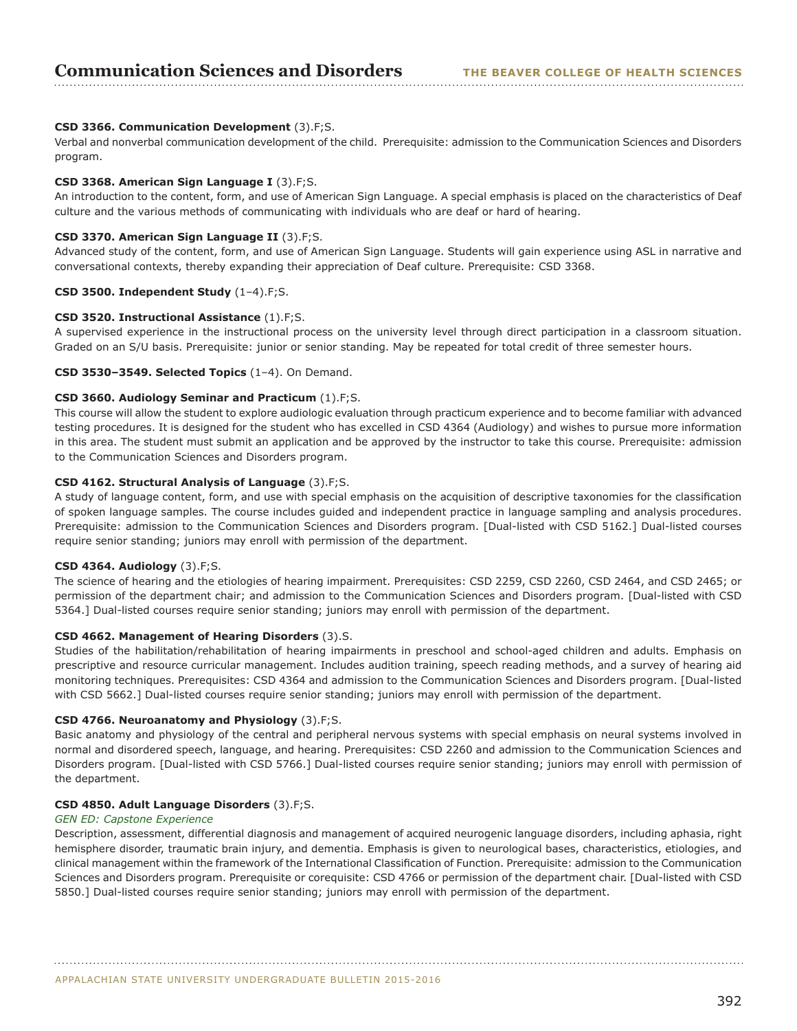## **CSD 3366. Communication Development** (3).F;S.

Verbal and nonverbal communication development of the child. Prerequisite: admission to the Communication Sciences and Disorders program.

## **CSD 3368. American Sign Language I** (3).F;S.

An introduction to the content, form, and use of American Sign Language. A special emphasis is placed on the characteristics of Deaf culture and the various methods of communicating with individuals who are deaf or hard of hearing.

## **CSD 3370. American Sign Language II** (3).F;S.

Advanced study of the content, form, and use of American Sign Language. Students will gain experience using ASL in narrative and conversational contexts, thereby expanding their appreciation of Deaf culture. Prerequisite: CSD 3368.

## **CSD 3500. Independent Study** (1–4).F;S.

#### **CSD 3520. Instructional Assistance** (1).F;S.

A supervised experience in the instructional process on the university level through direct participation in a classroom situation. Graded on an S/U basis. Prerequisite: junior or senior standing. May be repeated for total credit of three semester hours.

## **CSD 3530–3549. Selected Topics** (1–4). On Demand.

## **CSD 3660. Audiology Seminar and Practicum** (1).F;S.

This course will allow the student to explore audiologic evaluation through practicum experience and to become familiar with advanced testing procedures. It is designed for the student who has excelled in CSD 4364 (Audiology) and wishes to pursue more information in this area. The student must submit an application and be approved by the instructor to take this course. Prerequisite: admission to the Communication Sciences and Disorders program.

## **CSD 4162. Structural Analysis of Language** (3).F;S.

A study of language content, form, and use with special emphasis on the acquisition of descriptive taxonomies for the classification of spoken language samples. The course includes guided and independent practice in language sampling and analysis procedures. Prerequisite: admission to the Communication Sciences and Disorders program. [Dual-listed with CSD 5162.] Dual-listed courses require senior standing; juniors may enroll with permission of the department.

#### **CSD 4364. Audiology** (3).F;S.

The science of hearing and the etiologies of hearing impairment. Prerequisites: CSD 2259, CSD 2260, CSD 2464, and CSD 2465; or permission of the department chair; and admission to the Communication Sciences and Disorders program. [Dual-listed with CSD 5364.] Dual-listed courses require senior standing; juniors may enroll with permission of the department.

#### **CSD 4662. Management of Hearing Disorders** (3).S.

Studies of the habilitation/rehabilitation of hearing impairments in preschool and school-aged children and adults. Emphasis on prescriptive and resource curricular management. Includes audition training, speech reading methods, and a survey of hearing aid monitoring techniques. Prerequisites: CSD 4364 and admission to the Communication Sciences and Disorders program. [Dual-listed with CSD 5662.] Dual-listed courses require senior standing; juniors may enroll with permission of the department.

#### **CSD 4766. Neuroanatomy and Physiology** (3).F;S.

Basic anatomy and physiology of the central and peripheral nervous systems with special emphasis on neural systems involved in normal and disordered speech, language, and hearing. Prerequisites: CSD 2260 and admission to the Communication Sciences and Disorders program. [Dual-listed with CSD 5766.] Dual-listed courses require senior standing; juniors may enroll with permission of the department.

#### **CSD 4850. Adult Language Disorders** (3).F;S.

#### *GEN ED: Capstone Experience*

Description, assessment, differential diagnosis and management of acquired neurogenic language disorders, including aphasia, right hemisphere disorder, traumatic brain injury, and dementia. Emphasis is given to neurological bases, characteristics, etiologies, and clinical management within the framework of the International Classification of Function. Prerequisite: admission to the Communication Sciences and Disorders program. Prerequisite or corequisite: CSD 4766 or permission of the department chair. [Dual-listed with CSD 5850.] Dual-listed courses require senior standing; juniors may enroll with permission of the department.

APPALACHIAN STATE UNIVERSITY UNDERGRADUATE BULLETIN 2015-2016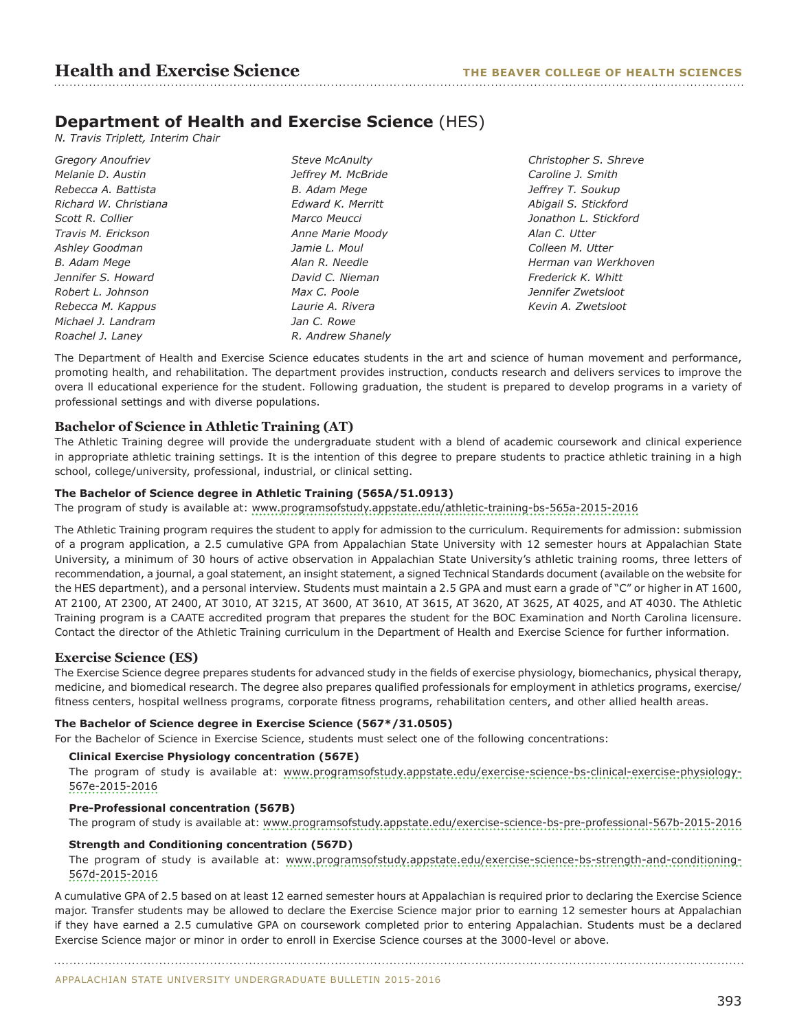## **Department of Health and Exercise Science** (HES)

*N. Travis Triplett, Interim Chair*

*Gregory Anoufriev Melanie D. Austin Rebecca A. Battista Richard W. Christiana Scott R. Collier Travis M. Erickson Ashley Goodman B. Adam Mege Jennifer S. Howard Robert L. Johnson Rebecca M. Kappus Michael J. Landram Roachel J. Laney* 

*Steve McAnulty Jeffrey M. McBride B. Adam Mege Edward K. Merritt Marco Meucci Anne Marie Moody Jamie L. Moul Alan R. Needle David C. Nieman Max C. Poole Laurie A. Rivera Jan C. Rowe R. Andrew Shanely* *Christopher S. Shreve Caroline J. Smith Jeffrey T. Soukup Abigail S. Stickford Jonathon L. Stickford Alan C. Utter Colleen M. Utter Herman van Werkhoven Frederick K. Whitt Jennifer Zwetsloot Kevin A. Zwetsloot*

The Department of Health and Exercise Science educates students in the art and science of human movement and performance, promoting health, and rehabilitation. The department provides instruction, conducts research and delivers services to improve the overa ll educational experience for the student. Following graduation, the student is prepared to develop programs in a variety of professional settings and with diverse populations.

## **Bachelor of Science in Athletic Training (AT)**

The Athletic Training degree will provide the undergraduate student with a blend of academic coursework and clinical experience in appropriate athletic training settings. It is the intention of this degree to prepare students to practice athletic training in a high school, college/university, professional, industrial, or clinical setting.

## **The Bachelor of Science degree in Athletic Training (565A/51.0913)**

The program of study is available at: <www.programsofstudy.appstate.edu/athletic-training-bs-565a-2015-2016>

The Athletic Training program requires the student to apply for admission to the curriculum. Requirements for admission: submission of a program application, a 2.5 cumulative GPA from Appalachian State University with 12 semester hours at Appalachian State University, a minimum of 30 hours of active observation in Appalachian State University's athletic training rooms, three letters of recommendation, a journal, a goal statement, an insight statement, a signed Technical Standards document (available on the website for the HES department), and a personal interview. Students must maintain a 2.5 GPA and must earn a grade of "C" or higher in AT 1600, AT 2100, AT 2300, AT 2400, AT 3010, AT 3215, AT 3600, AT 3610, AT 3615, AT 3620, AT 3625, AT 4025, and AT 4030. The Athletic Training program is a CAATE accredited program that prepares the student for the BOC Examination and North Carolina licensure. Contact the director of the Athletic Training curriculum in the Department of Health and Exercise Science for further information.

## **Exercise Science (ES)**

The Exercise Science degree prepares students for advanced study in the fields of exercise physiology, biomechanics, physical therapy, medicine, and biomedical research. The degree also prepares qualified professionals for employment in athletics programs, exercise/ fitness centers, hospital wellness programs, corporate fitness programs, rehabilitation centers, and other allied health areas.

## **The Bachelor of Science degree in Exercise Science (567\*/31.0505)**

For the Bachelor of Science in Exercise Science, students must select one of the following concentrations:

## **Clinical Exercise Physiology concentration (567E)**

The program of study is available at: [www.programsofstudy.appstate.edu/exercise-science-bs-clinical-exercise-physiology-](www.programsofstudy.appstate.edu/exercise-science-bs-clinical-exercise-physiology-567e-2015-2016)[567e-2015-2016](www.programsofstudy.appstate.edu/exercise-science-bs-clinical-exercise-physiology-567e-2015-2016)

## **Pre-Professional concentration (567B)**

The program of study is available at: [www.programsofstudy.appstate.edu/exercise-science-bs-pre-professional-567b-2015-2016](www.programsofstudy.appstate.edu/exercise-science-bs-pre-professional-567b-2015-2016  )

## **Strength and Conditioning concentration (567D)**

The program of study is available at: [www.programsofstudy.appstate.edu/exercise-science-bs-strength-and-conditioning-](www.programsofstudy.appstate.edu/exercise-science-bs-strength-and-conditioning-567d-2015-2016)[567d-2015-2016](www.programsofstudy.appstate.edu/exercise-science-bs-strength-and-conditioning-567d-2015-2016)

A cumulative GPA of 2.5 based on at least 12 earned semester hours at Appalachian is required prior to declaring the Exercise Science major. Transfer students may be allowed to declare the Exercise Science major prior to earning 12 semester hours at Appalachian if they have earned a 2.5 cumulative GPA on coursework completed prior to entering Appalachian. Students must be a declared Exercise Science major or minor in order to enroll in Exercise Science courses at the 3000-level or above.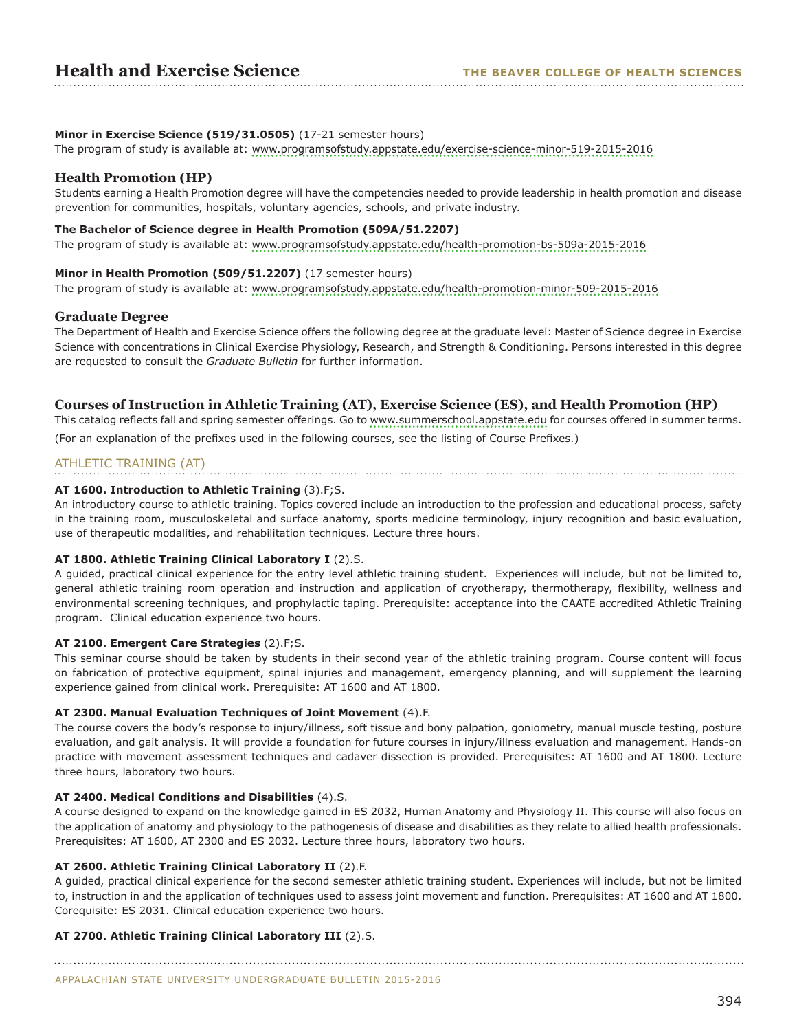## **Minor in Exercise Science (519/31.0505)** (17-21 semester hours)

The program of study is available at: <www.programsofstudy.appstate.edu/exercise-science-minor-519-2015-2016>

## **Health Promotion (HP)**

Students earning a Health Promotion degree will have the competencies needed to provide leadership in health promotion and disease prevention for communities, hospitals, voluntary agencies, schools, and private industry.

#### **The Bachelor of Science degree in Health Promotion (509A/51.2207)**

The program of study is available at: <www.programsofstudy.appstate.edu/health-promotion-bs-509a-2015-2016>

#### **Minor in Health Promotion (509/51.2207)** (17 semester hours)

The program of study is available at: <www.programsofstudy.appstate.edu/health-promotion-minor-509-2015-2016>

## **Graduate Degree**

The Department of Health and Exercise Science offers the following degree at the graduate level: Master of Science degree in Exercise Science with concentrations in Clinical Exercise Physiology, Research, and Strength & Conditioning. Persons interested in this degree are requested to consult the *Graduate Bulletin* for further information.

## **Courses of Instruction in Athletic Training (AT), Exercise Science (ES), and Health Promotion (HP)**

This catalog reflects fall and spring semester offerings. Go to [www.summerschool.appstate.edu](http://www.summerschool.appstate.edu) for courses offered in summer terms. (For an explanation of the prefixes used in the following courses, see the listing of Course Prefixes.)

## ATHLETIC TRAINING (AT)

## **AT 1600. Introduction to Athletic Training** (3).F;S.

An introductory course to athletic training. Topics covered include an introduction to the profession and educational process, safety in the training room, musculoskeletal and surface anatomy, sports medicine terminology, injury recognition and basic evaluation, use of therapeutic modalities, and rehabilitation techniques. Lecture three hours.

#### **AT 1800. Athletic Training Clinical Laboratory I** (2).S.

A guided, practical clinical experience for the entry level athletic training student. Experiences will include, but not be limited to, general athletic training room operation and instruction and application of cryotherapy, thermotherapy, flexibility, wellness and environmental screening techniques, and prophylactic taping. Prerequisite: acceptance into the CAATE accredited Athletic Training program. Clinical education experience two hours.

## **AT 2100. Emergent Care Strategies** (2).F;S.

This seminar course should be taken by students in their second year of the athletic training program. Course content will focus on fabrication of protective equipment, spinal injuries and management, emergency planning, and will supplement the learning experience gained from clinical work. Prerequisite: AT 1600 and AT 1800.

#### **AT 2300. Manual Evaluation Techniques of Joint Movement** (4).F.

The course covers the body's response to injury/illness, soft tissue and bony palpation, goniometry, manual muscle testing, posture evaluation, and gait analysis. It will provide a foundation for future courses in injury/illness evaluation and management. Hands-on practice with movement assessment techniques and cadaver dissection is provided. Prerequisites: AT 1600 and AT 1800. Lecture three hours, laboratory two hours.

#### **AT 2400. Medical Conditions and Disabilities** (4).S.

A course designed to expand on the knowledge gained in ES 2032, Human Anatomy and Physiology II. This course will also focus on the application of anatomy and physiology to the pathogenesis of disease and disabilities as they relate to allied health professionals. Prerequisites: AT 1600, AT 2300 and ES 2032. Lecture three hours, laboratory two hours.

#### **AT 2600. Athletic Training Clinical Laboratory II** (2).F.

A guided, practical clinical experience for the second semester athletic training student. Experiences will include, but not be limited to, instruction in and the application of techniques used to assess joint movement and function. Prerequisites: AT 1600 and AT 1800. Corequisite: ES 2031. Clinical education experience two hours.

## **AT 2700. Athletic Training Clinical Laboratory III** (2).S.

APPALACHIAN STATE UNIVERSITY UNDERGRADUATE BULLETIN 2015-2016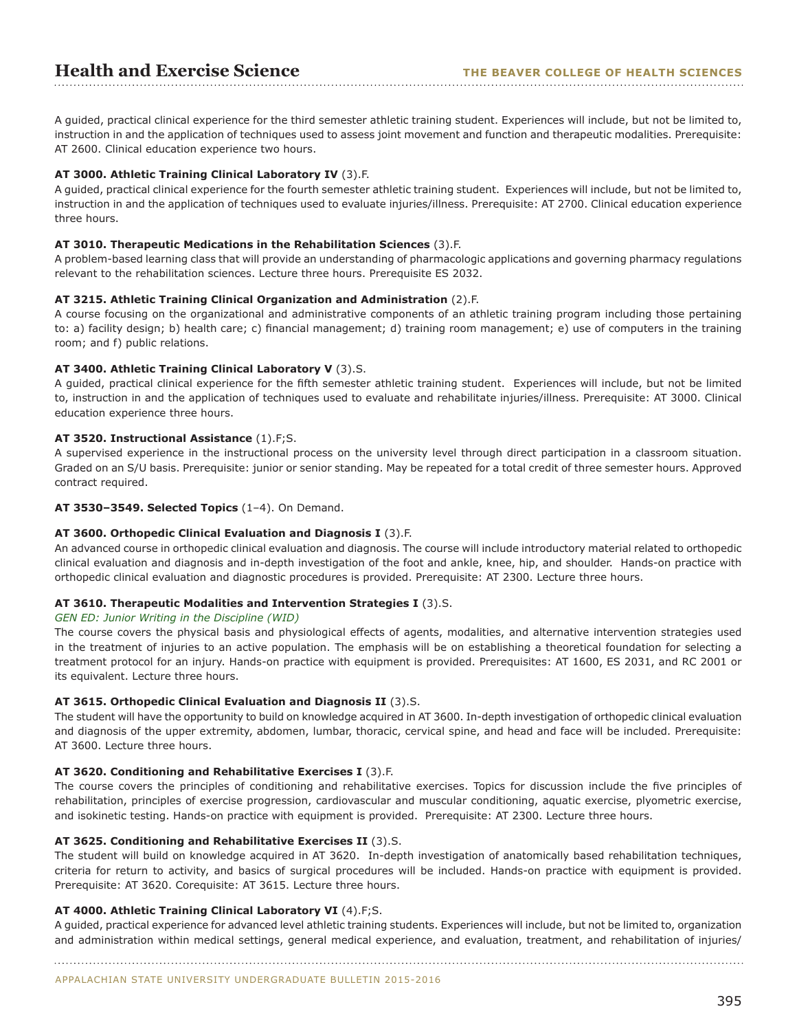A guided, practical clinical experience for the third semester athletic training student. Experiences will include, but not be limited to, instruction in and the application of techniques used to assess joint movement and function and therapeutic modalities. Prerequisite: AT 2600. Clinical education experience two hours.

## **AT 3000. Athletic Training Clinical Laboratory IV** (3).F.

A guided, practical clinical experience for the fourth semester athletic training student. Experiences will include, but not be limited to, instruction in and the application of techniques used to evaluate injuries/illness. Prerequisite: AT 2700. Clinical education experience three hours.

#### **AT 3010. Therapeutic Medications in the Rehabilitation Sciences** (3).F.

A problem-based learning class that will provide an understanding of pharmacologic applications and governing pharmacy regulations relevant to the rehabilitation sciences. Lecture three hours. Prerequisite ES 2032.

### **AT 3215. Athletic Training Clinical Organization and Administration** (2).F.

A course focusing on the organizational and administrative components of an athletic training program including those pertaining to: a) facility design; b) health care; c) financial management; d) training room management; e) use of computers in the training room; and f) public relations.

## **AT 3400. Athletic Training Clinical Laboratory V** (3).S.

A guided, practical clinical experience for the fifth semester athletic training student. Experiences will include, but not be limited to, instruction in and the application of techniques used to evaluate and rehabilitate injuries/illness. Prerequisite: AT 3000. Clinical education experience three hours.

## **AT 3520. Instructional Assistance** (1).F;S.

A supervised experience in the instructional process on the university level through direct participation in a classroom situation. Graded on an S/U basis. Prerequisite: junior or senior standing. May be repeated for a total credit of three semester hours. Approved contract required.

## **AT 3530–3549. Selected Topics** (1–4). On Demand.

## **AT 3600. Orthopedic Clinical Evaluation and Diagnosis I** (3).F.

An advanced course in orthopedic clinical evaluation and diagnosis. The course will include introductory material related to orthopedic clinical evaluation and diagnosis and in-depth investigation of the foot and ankle, knee, hip, and shoulder. Hands-on practice with orthopedic clinical evaluation and diagnostic procedures is provided. Prerequisite: AT 2300. Lecture three hours.

## **AT 3610. Therapeutic Modalities and Intervention Strategies I** (3).S.

#### *GEN ED: Junior Writing in the Discipline (WID)*

The course covers the physical basis and physiological effects of agents, modalities, and alternative intervention strategies used in the treatment of injuries to an active population. The emphasis will be on establishing a theoretical foundation for selecting a treatment protocol for an injury. Hands-on practice with equipment is provided. Prerequisites: AT 1600, ES 2031, and RC 2001 or its equivalent. Lecture three hours.

#### **AT 3615. Orthopedic Clinical Evaluation and Diagnosis II** (3).S.

The student will have the opportunity to build on knowledge acquired in AT 3600. In-depth investigation of orthopedic clinical evaluation and diagnosis of the upper extremity, abdomen, lumbar, thoracic, cervical spine, and head and face will be included. Prerequisite: AT 3600. Lecture three hours.

#### **AT 3620. Conditioning and Rehabilitative Exercises I** (3).F.

The course covers the principles of conditioning and rehabilitative exercises. Topics for discussion include the five principles of rehabilitation, principles of exercise progression, cardiovascular and muscular conditioning, aquatic exercise, plyometric exercise, and isokinetic testing. Hands-on practice with equipment is provided. Prerequisite: AT 2300. Lecture three hours.

#### **AT 3625. Conditioning and Rehabilitative Exercises II** (3).S.

The student will build on knowledge acquired in AT 3620. In-depth investigation of anatomically based rehabilitation techniques, criteria for return to activity, and basics of surgical procedures will be included. Hands-on practice with equipment is provided. Prerequisite: AT 3620. Corequisite: AT 3615. Lecture three hours.

## **AT 4000. Athletic Training Clinical Laboratory VI** (4).F;S.

A guided, practical experience for advanced level athletic training students. Experiences will include, but not be limited to, organization and administration within medical settings, general medical experience, and evaluation, treatment, and rehabilitation of injuries/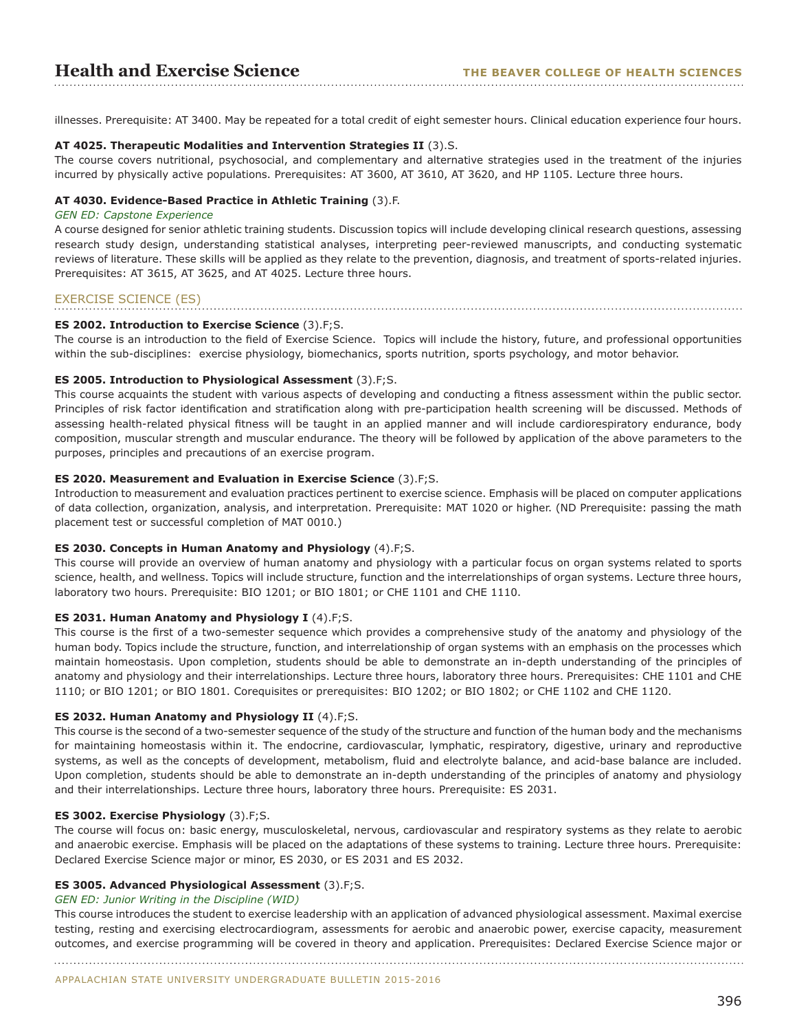illnesses. Prerequisite: AT 3400. May be repeated for a total credit of eight semester hours. Clinical education experience four hours.

## **AT 4025. Therapeutic Modalities and Intervention Strategies II** (3).S.

The course covers nutritional, psychosocial, and complementary and alternative strategies used in the treatment of the injuries incurred by physically active populations. Prerequisites: AT 3600, AT 3610, AT 3620, and HP 1105. Lecture three hours.

## **AT 4030. Evidence-Based Practice in Athletic Training** (3).F.

## *GEN ED: Capstone Experience*

A course designed for senior athletic training students. Discussion topics will include developing clinical research questions, assessing research study design, understanding statistical analyses, interpreting peer-reviewed manuscripts, and conducting systematic reviews of literature. These skills will be applied as they relate to the prevention, diagnosis, and treatment of sports-related injuries. Prerequisites: AT 3615, AT 3625, and AT 4025. Lecture three hours.

## EXERCISE SCIENCE (ES)

## **ES 2002. Introduction to Exercise Science** (3).F;S.

The course is an introduction to the field of Exercise Science. Topics will include the history, future, and professional opportunities within the sub-disciplines: exercise physiology, biomechanics, sports nutrition, sports psychology, and motor behavior.

#### **ES 2005. Introduction to Physiological Assessment** (3).F;S.

This course acquaints the student with various aspects of developing and conducting a fitness assessment within the public sector. Principles of risk factor identification and stratification along with pre-participation health screening will be discussed. Methods of assessing health-related physical fitness will be taught in an applied manner and will include cardiorespiratory endurance, body composition, muscular strength and muscular endurance. The theory will be followed by application of the above parameters to the purposes, principles and precautions of an exercise program.

## **ES 2020. Measurement and Evaluation in Exercise Science** (3).F;S.

Introduction to measurement and evaluation practices pertinent to exercise science. Emphasis will be placed on computer applications of data collection, organization, analysis, and interpretation. Prerequisite: MAT 1020 or higher. (ND Prerequisite: passing the math placement test or successful completion of MAT 0010.)

#### **ES 2030. Concepts in Human Anatomy and Physiology** (4).F;S.

This course will provide an overview of human anatomy and physiology with a particular focus on organ systems related to sports science, health, and wellness. Topics will include structure, function and the interrelationships of organ systems. Lecture three hours, laboratory two hours. Prerequisite: BIO 1201; or BIO 1801; or CHE 1101 and CHE 1110.

#### **ES 2031. Human Anatomy and Physiology I** (4).F;S.

This course is the first of a two-semester sequence which provides a comprehensive study of the anatomy and physiology of the human body. Topics include the structure, function, and interrelationship of organ systems with an emphasis on the processes which maintain homeostasis. Upon completion, students should be able to demonstrate an in-depth understanding of the principles of anatomy and physiology and their interrelationships. Lecture three hours, laboratory three hours. Prerequisites: CHE 1101 and CHE 1110; or BIO 1201; or BIO 1801. Corequisites or prerequisites: BIO 1202; or BIO 1802; or CHE 1102 and CHE 1120.

#### **ES 2032. Human Anatomy and Physiology II** (4).F;S.

This course is the second of a two-semester sequence of the study of the structure and function of the human body and the mechanisms for maintaining homeostasis within it. The endocrine, cardiovascular, lymphatic, respiratory, digestive, urinary and reproductive systems, as well as the concepts of development, metabolism, fluid and electrolyte balance, and acid-base balance are included. Upon completion, students should be able to demonstrate an in-depth understanding of the principles of anatomy and physiology and their interrelationships. Lecture three hours, laboratory three hours. Prerequisite: ES 2031.

#### **ES 3002. Exercise Physiology** (3).F;S.

The course will focus on: basic energy, musculoskeletal, nervous, cardiovascular and respiratory systems as they relate to aerobic and anaerobic exercise. Emphasis will be placed on the adaptations of these systems to training. Lecture three hours. Prerequisite: Declared Exercise Science major or minor, ES 2030, or ES 2031 and ES 2032.

#### **ES 3005. Advanced Physiological Assessment** (3).F;S.

#### *GEN ED: Junior Writing in the Discipline (WID)*

This course introduces the student to exercise leadership with an application of advanced physiological assessment. Maximal exercise testing, resting and exercising electrocardiogram, assessments for aerobic and anaerobic power, exercise capacity, measurement outcomes, and exercise programming will be covered in theory and application. Prerequisites: Declared Exercise Science major or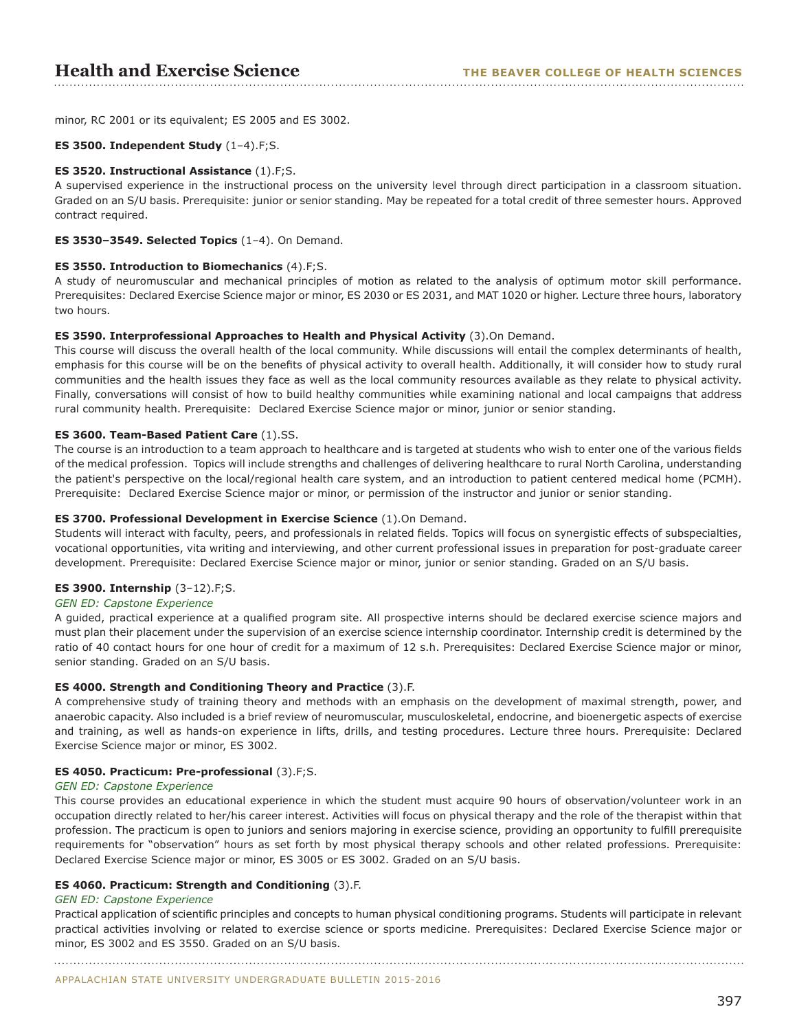minor, RC 2001 or its equivalent; ES 2005 and ES 3002.

#### **ES 3500. Independent Study** (1–4).F;S.

#### **ES 3520. Instructional Assistance** (1).F;S.

A supervised experience in the instructional process on the university level through direct participation in a classroom situation. Graded on an S/U basis. Prerequisite: junior or senior standing. May be repeated for a total credit of three semester hours. Approved contract required.

#### **ES 3530–3549. Selected Topics** (1–4). On Demand.

#### **ES 3550. Introduction to Biomechanics** (4).F;S.

A study of neuromuscular and mechanical principles of motion as related to the analysis of optimum motor skill performance. Prerequisites: Declared Exercise Science major or minor, ES 2030 or ES 2031, and MAT 1020 or higher. Lecture three hours, laboratory two hours.

#### **ES 3590. Interprofessional Approaches to Health and Physical Activity** (3).On Demand.

This course will discuss the overall health of the local community. While discussions will entail the complex determinants of health, emphasis for this course will be on the benefits of physical activity to overall health. Additionally, it will consider how to study rural communities and the health issues they face as well as the local community resources available as they relate to physical activity. Finally, conversations will consist of how to build healthy communities while examining national and local campaigns that address rural community health. Prerequisite: Declared Exercise Science major or minor, junior or senior standing.

#### **ES 3600. Team-Based Patient Care** (1).SS.

The course is an introduction to a team approach to healthcare and is targeted at students who wish to enter one of the various fields of the medical profession. Topics will include strengths and challenges of delivering healthcare to rural North Carolina, understanding the patient's perspective on the local/regional health care system, and an introduction to patient centered medical home (PCMH). Prerequisite: Declared Exercise Science major or minor, or permission of the instructor and junior or senior standing.

#### **ES 3700. Professional Development in Exercise Science** (1).On Demand.

Students will interact with faculty, peers, and professionals in related fields. Topics will focus on synergistic effects of subspecialties, vocational opportunities, vita writing and interviewing, and other current professional issues in preparation for post-graduate career development. Prerequisite: Declared Exercise Science major or minor, junior or senior standing. Graded on an S/U basis.

## **ES 3900. Internship** (3–12).F;S.

#### *GEN ED: Capstone Experience*

A guided, practical experience at a qualified program site. All prospective interns should be declared exercise science majors and must plan their placement under the supervision of an exercise science internship coordinator. Internship credit is determined by the ratio of 40 contact hours for one hour of credit for a maximum of 12 s.h. Prerequisites: Declared Exercise Science major or minor, senior standing. Graded on an S/U basis.

#### **ES 4000. Strength and Conditioning Theory and Practice** (3).F.

A comprehensive study of training theory and methods with an emphasis on the development of maximal strength, power, and anaerobic capacity. Also included is a brief review of neuromuscular, musculoskeletal, endocrine, and bioenergetic aspects of exercise and training, as well as hands-on experience in lifts, drills, and testing procedures. Lecture three hours. Prerequisite: Declared Exercise Science major or minor, ES 3002.

#### **ES 4050. Practicum: Pre-professional** (3).F;S.

#### *GEN ED: Capstone Experience*

This course provides an educational experience in which the student must acquire 90 hours of observation/volunteer work in an occupation directly related to her/his career interest. Activities will focus on physical therapy and the role of the therapist within that profession. The practicum is open to juniors and seniors majoring in exercise science, providing an opportunity to fulfill prerequisite requirements for "observation" hours as set forth by most physical therapy schools and other related professions. Prerequisite: Declared Exercise Science major or minor, ES 3005 or ES 3002. Graded on an S/U basis.

#### **ES 4060. Practicum: Strength and Conditioning** (3).F.

#### *GEN ED: Capstone Experience*

Practical application of scientific principles and concepts to human physical conditioning programs. Students will participate in relevant practical activities involving or related to exercise science or sports medicine. Prerequisites: Declared Exercise Science major or minor, ES 3002 and ES 3550. Graded on an S/U basis.

APPALACHIAN STATE UNIVERSITY UNDERGRADUATE BULLETIN 2015-2016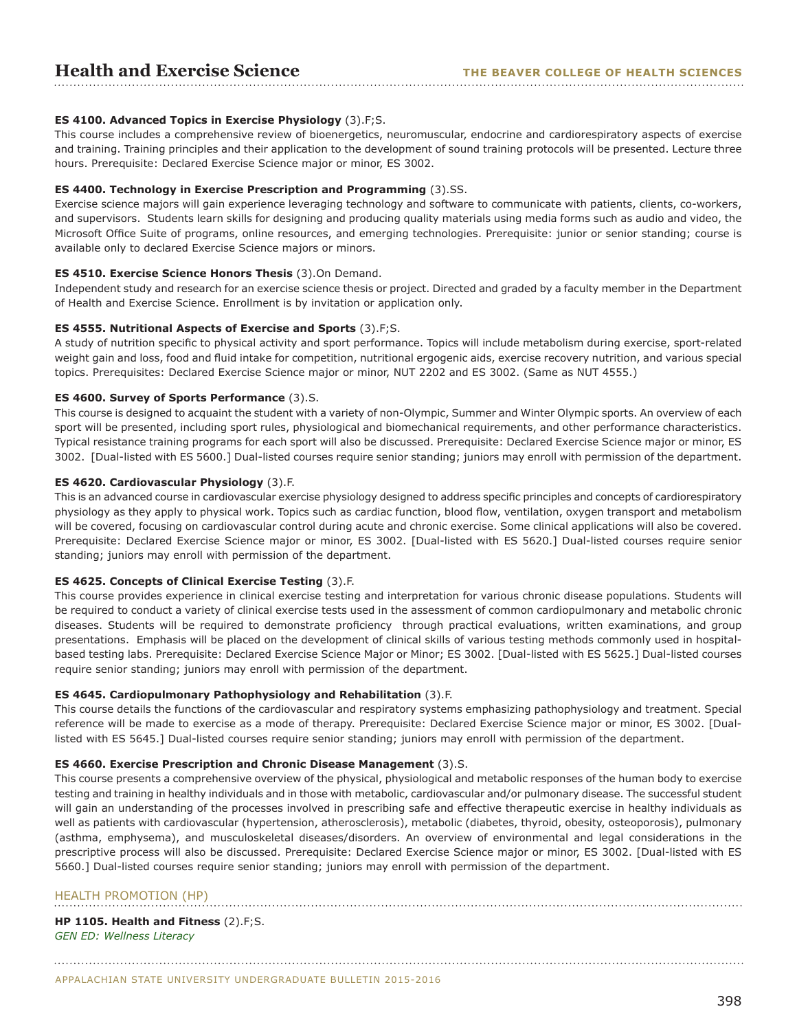## **ES 4100. Advanced Topics in Exercise Physiology** (3).F;S.

This course includes a comprehensive review of bioenergetics, neuromuscular, endocrine and cardiorespiratory aspects of exercise and training. Training principles and their application to the development of sound training protocols will be presented. Lecture three hours. Prerequisite: Declared Exercise Science major or minor, ES 3002.

#### **ES 4400. Technology in Exercise Prescription and Programming** (3).SS.

Exercise science majors will gain experience leveraging technology and software to communicate with patients, clients, co-workers, and supervisors. Students learn skills for designing and producing quality materials using media forms such as audio and video, the Microsoft Office Suite of programs, online resources, and emerging technologies. Prerequisite: junior or senior standing; course is available only to declared Exercise Science majors or minors.

#### **ES 4510. Exercise Science Honors Thesis** (3).On Demand.

Independent study and research for an exercise science thesis or project. Directed and graded by a faculty member in the Department of Health and Exercise Science. Enrollment is by invitation or application only.

#### **ES 4555. Nutritional Aspects of Exercise and Sports** (3).F;S.

A study of nutrition specific to physical activity and sport performance. Topics will include metabolism during exercise, sport-related weight gain and loss, food and fluid intake for competition, nutritional ergogenic aids, exercise recovery nutrition, and various special topics. Prerequisites: Declared Exercise Science major or minor, NUT 2202 and ES 3002. (Same as NUT 4555.)

#### **ES 4600. Survey of Sports Performance** (3).S.

This course is designed to acquaint the student with a variety of non-Olympic, Summer and Winter Olympic sports. An overview of each sport will be presented, including sport rules, physiological and biomechanical requirements, and other performance characteristics. Typical resistance training programs for each sport will also be discussed. Prerequisite: Declared Exercise Science major or minor, ES 3002. [Dual-listed with ES 5600.] Dual-listed courses require senior standing; juniors may enroll with permission of the department.

#### **ES 4620. Cardiovascular Physiology** (3).F.

This is an advanced course in cardiovascular exercise physiology designed to address specific principles and concepts of cardiorespiratory physiology as they apply to physical work. Topics such as cardiac function, blood flow, ventilation, oxygen transport and metabolism will be covered, focusing on cardiovascular control during acute and chronic exercise. Some clinical applications will also be covered. Prerequisite: Declared Exercise Science major or minor, ES 3002. [Dual-listed with ES 5620.] Dual-listed courses require senior standing; juniors may enroll with permission of the department.

#### **ES 4625. Concepts of Clinical Exercise Testing** (3).F.

This course provides experience in clinical exercise testing and interpretation for various chronic disease populations. Students will be required to conduct a variety of clinical exercise tests used in the assessment of common cardiopulmonary and metabolic chronic diseases. Students will be required to demonstrate proficiency through practical evaluations, written examinations, and group presentations. Emphasis will be placed on the development of clinical skills of various testing methods commonly used in hospitalbased testing labs. Prerequisite: Declared Exercise Science Major or Minor; ES 3002. [Dual-listed with ES 5625.] Dual-listed courses require senior standing; juniors may enroll with permission of the department.

#### **ES 4645. Cardiopulmonary Pathophysiology and Rehabilitation** (3).F.

This course details the functions of the cardiovascular and respiratory systems emphasizing pathophysiology and treatment. Special reference will be made to exercise as a mode of therapy. Prerequisite: Declared Exercise Science major or minor, ES 3002. [Duallisted with ES 5645.] Dual-listed courses require senior standing; juniors may enroll with permission of the department.

#### **ES 4660. Exercise Prescription and Chronic Disease Management** (3).S.

This course presents a comprehensive overview of the physical, physiological and metabolic responses of the human body to exercise testing and training in healthy individuals and in those with metabolic, cardiovascular and/or pulmonary disease. The successful student will gain an understanding of the processes involved in prescribing safe and effective therapeutic exercise in healthy individuals as well as patients with cardiovascular (hypertension, atherosclerosis), metabolic (diabetes, thyroid, obesity, osteoporosis), pulmonary (asthma, emphysema), and musculoskeletal diseases/disorders. An overview of environmental and legal considerations in the prescriptive process will also be discussed. Prerequisite: Declared Exercise Science major or minor, ES 3002. [Dual-listed with ES 5660.] Dual-listed courses require senior standing; juniors may enroll with permission of the department.

## HEALTH PROMOTION (HP)

**HP 1105. Health and Fitness** (2).F;S. *GEN ED: Wellness Literacy*

APPALACHIAN STATE UNIVERSITY UNDERGRADUATE BULLETIN 2015-2016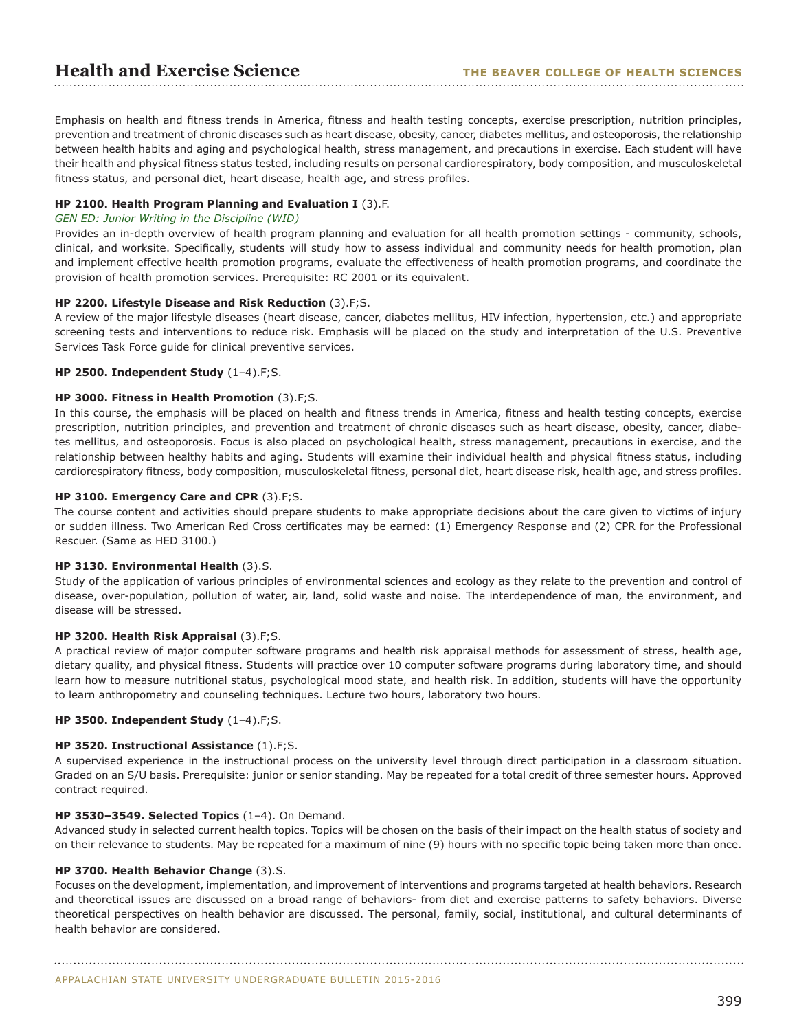Emphasis on health and fitness trends in America, fitness and health testing concepts, exercise prescription, nutrition principles, prevention and treatment of chronic diseases such as heart disease, obesity, cancer, diabetes mellitus, and osteoporosis, the relationship between health habits and aging and psychological health, stress management, and precautions in exercise. Each student will have their health and physical fitness status tested, including results on personal cardiorespiratory, body composition, and musculoskeletal fitness status, and personal diet, heart disease, health age, and stress profiles.

#### **HP 2100. Health Program Planning and Evaluation I** (3).F.

#### *GEN ED: Junior Writing in the Discipline (WID)*

Provides an in-depth overview of health program planning and evaluation for all health promotion settings - community, schools, clinical, and worksite. Specifically, students will study how to assess individual and community needs for health promotion, plan and implement effective health promotion programs, evaluate the effectiveness of health promotion programs, and coordinate the provision of health promotion services. Prerequisite: RC 2001 or its equivalent.

#### **HP 2200. Lifestyle Disease and Risk Reduction** (3).F;S.

A review of the major lifestyle diseases (heart disease, cancer, diabetes mellitus, HIV infection, hypertension, etc.) and appropriate screening tests and interventions to reduce risk. Emphasis will be placed on the study and interpretation of the U.S. Preventive Services Task Force guide for clinical preventive services.

## **HP 2500. Independent Study** (1–4).F;S.

#### **HP 3000. Fitness in Health Promotion** (3).F;S.

In this course, the emphasis will be placed on health and fitness trends in America, fitness and health testing concepts, exercise prescription, nutrition principles, and prevention and treatment of chronic diseases such as heart disease, obesity, cancer, diabetes mellitus, and osteoporosis. Focus is also placed on psychological health, stress management, precautions in exercise, and the relationship between healthy habits and aging. Students will examine their individual health and physical fitness status, including cardiorespiratory fitness, body composition, musculoskeletal fitness, personal diet, heart disease risk, health age, and stress profiles.

## **HP 3100. Emergency Care and CPR** (3).F;S.

The course content and activities should prepare students to make appropriate decisions about the care given to victims of injury or sudden illness. Two American Red Cross certificates may be earned: (1) Emergency Response and (2) CPR for the Professional Rescuer. (Same as HED 3100.)

#### **HP 3130. Environmental Health** (3).S.

Study of the application of various principles of environmental sciences and ecology as they relate to the prevention and control of disease, over-population, pollution of water, air, land, solid waste and noise. The interdependence of man, the environment, and disease will be stressed.

#### **HP 3200. Health Risk Appraisal** (3).F;S.

A practical review of major computer software programs and health risk appraisal methods for assessment of stress, health age, dietary quality, and physical fitness. Students will practice over 10 computer software programs during laboratory time, and should learn how to measure nutritional status, psychological mood state, and health risk. In addition, students will have the opportunity to learn anthropometry and counseling techniques. Lecture two hours, laboratory two hours.

#### **HP 3500. Independent Study** (1–4).F;S.

#### **HP 3520. Instructional Assistance** (1).F;S.

A supervised experience in the instructional process on the university level through direct participation in a classroom situation. Graded on an S/U basis. Prerequisite: junior or senior standing. May be repeated for a total credit of three semester hours. Approved contract required.

#### **HP 3530–3549. Selected Topics** (1–4). On Demand.

Advanced study in selected current health topics. Topics will be chosen on the basis of their impact on the health status of society and on their relevance to students. May be repeated for a maximum of nine (9) hours with no specific topic being taken more than once.

#### **HP 3700. Health Behavior Change** (3).S.

Focuses on the development, implementation, and improvement of interventions and programs targeted at health behaviors. Research and theoretical issues are discussed on a broad range of behaviors- from diet and exercise patterns to safety behaviors. Diverse theoretical perspectives on health behavior are discussed. The personal, family, social, institutional, and cultural determinants of health behavior are considered.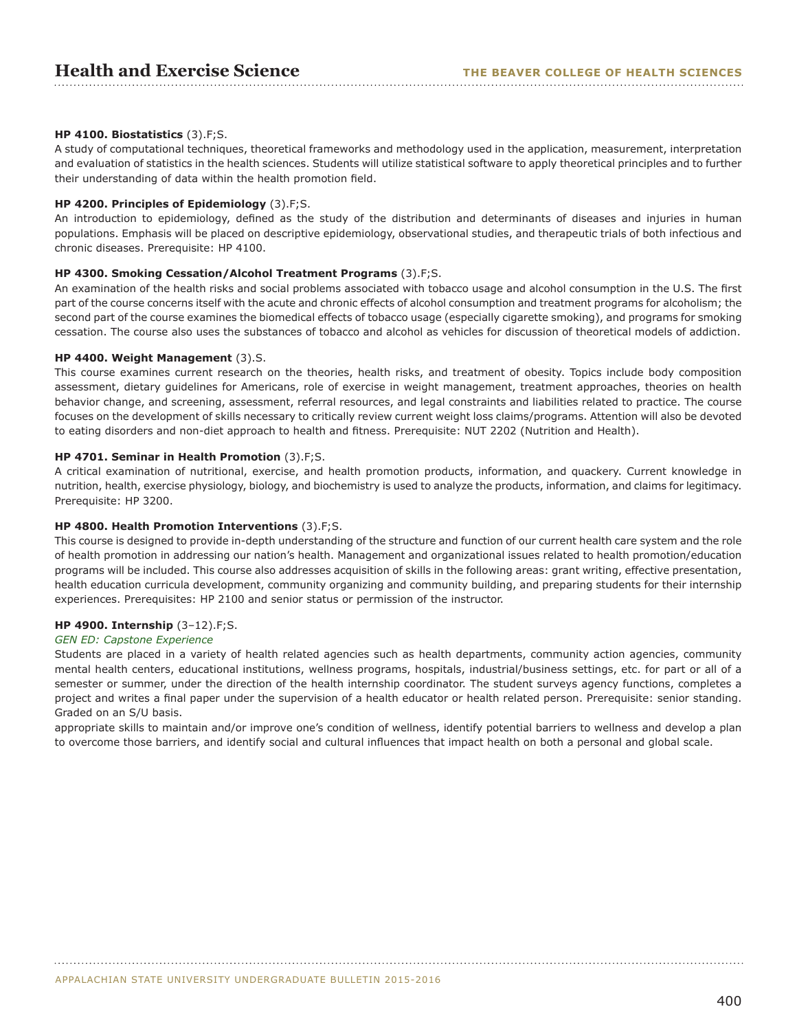## **HP 4100. Biostatistics** (3).F;S.

A study of computational techniques, theoretical frameworks and methodology used in the application, measurement, interpretation and evaluation of statistics in the health sciences. Students will utilize statistical software to apply theoretical principles and to further their understanding of data within the health promotion field.

#### **HP 4200. Principles of Epidemiology** (3).F;S.

An introduction to epidemiology, defined as the study of the distribution and determinants of diseases and injuries in human populations. Emphasis will be placed on descriptive epidemiology, observational studies, and therapeutic trials of both infectious and chronic diseases. Prerequisite: HP 4100.

#### **HP 4300. Smoking Cessation/Alcohol Treatment Programs** (3).F;S.

An examination of the health risks and social problems associated with tobacco usage and alcohol consumption in the U.S. The first part of the course concerns itself with the acute and chronic effects of alcohol consumption and treatment programs for alcoholism; the second part of the course examines the biomedical effects of tobacco usage (especially cigarette smoking), and programs for smoking cessation. The course also uses the substances of tobacco and alcohol as vehicles for discussion of theoretical models of addiction.

#### **HP 4400. Weight Management** (3).S.

This course examines current research on the theories, health risks, and treatment of obesity. Topics include body composition assessment, dietary guidelines for Americans, role of exercise in weight management, treatment approaches, theories on health behavior change, and screening, assessment, referral resources, and legal constraints and liabilities related to practice. The course focuses on the development of skills necessary to critically review current weight loss claims/programs. Attention will also be devoted to eating disorders and non-diet approach to health and fitness. Prerequisite: NUT 2202 (Nutrition and Health).

## **HP 4701. Seminar in Health Promotion** (3).F;S.

A critical examination of nutritional, exercise, and health promotion products, information, and quackery. Current knowledge in nutrition, health, exercise physiology, biology, and biochemistry is used to analyze the products, information, and claims for legitimacy. Prerequisite: HP 3200.

#### **HP 4800. Health Promotion Interventions** (3).F;S.

This course is designed to provide in-depth understanding of the structure and function of our current health care system and the role of health promotion in addressing our nation's health. Management and organizational issues related to health promotion/education programs will be included. This course also addresses acquisition of skills in the following areas: grant writing, effective presentation, health education curricula development, community organizing and community building, and preparing students for their internship experiences. Prerequisites: HP 2100 and senior status or permission of the instructor.

#### **HP 4900. Internship** (3–12).F;S.

#### *GEN ED: Capstone Experience*

Students are placed in a variety of health related agencies such as health departments, community action agencies, community mental health centers, educational institutions, wellness programs, hospitals, industrial/business settings, etc. for part or all of a semester or summer, under the direction of the health internship coordinator. The student surveys agency functions, completes a project and writes a final paper under the supervision of a health educator or health related person. Prerequisite: senior standing. Graded on an S/U basis.

appropriate skills to maintain and/or improve one's condition of wellness, identify potential barriers to wellness and develop a plan to overcome those barriers, and identify social and cultural influences that impact health on both a personal and global scale.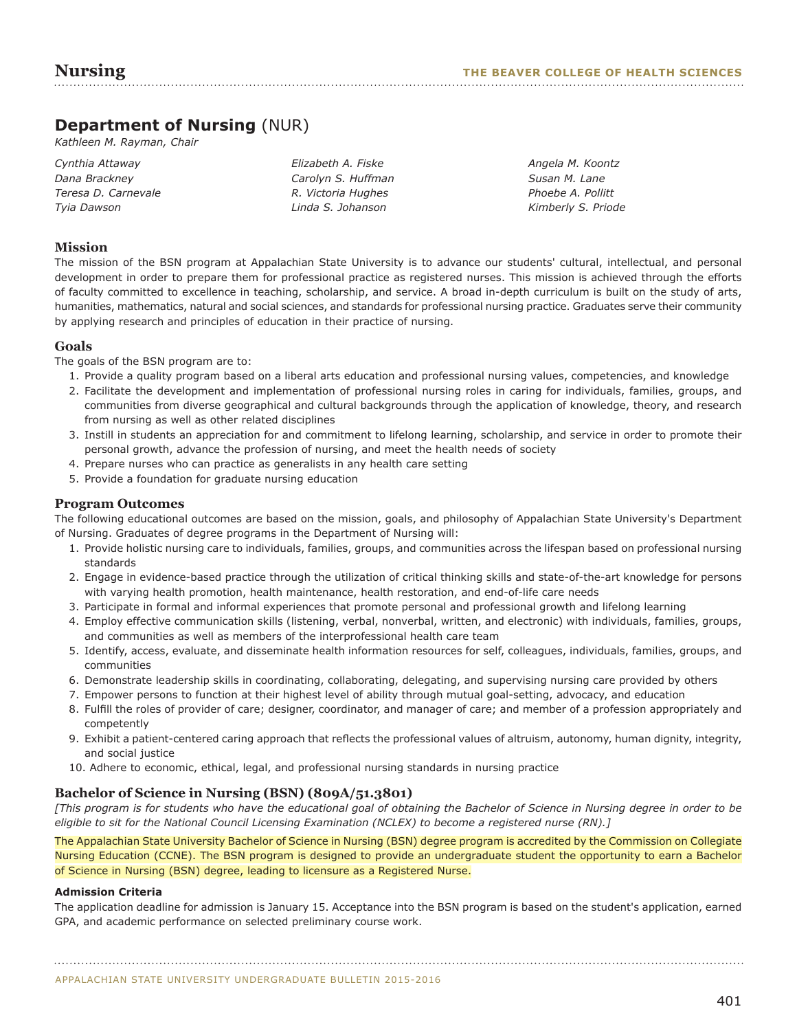## **Department of Nursing** (NUR)

*Kathleen M. Rayman, Chair*

| Cynthia Attaway     | Elizabeth A. Fiske |
|---------------------|--------------------|
| Dana Brackney       | Carolyn S. Huffman |
| Teresa D. Carnevale | R. Victoria Hughes |
| Tyia Dawson         | Linda S. Johanson  |

*Angela M. Koontz Susan M. Lane Phoebe A. Pollitt Kimberly S. Priode* 

## **Mission**

The mission of the BSN program at Appalachian State University is to advance our students' cultural, intellectual, and personal development in order to prepare them for professional practice as registered nurses. This mission is achieved through the efforts of faculty committed to excellence in teaching, scholarship, and service. A broad in-depth curriculum is built on the study of arts, humanities, mathematics, natural and social sciences, and standards for professional nursing practice. Graduates serve their community by applying research and principles of education in their practice of nursing.

## **Goals**

The goals of the BSN program are to:

- 1. Provide a quality program based on a liberal arts education and professional nursing values, competencies, and knowledge
- 2. Facilitate the development and implementation of professional nursing roles in caring for individuals, families, groups, and communities from diverse geographical and cultural backgrounds through the application of knowledge, theory, and research from nursing as well as other related disciplines
- 3. Instill in students an appreciation for and commitment to lifelong learning, scholarship, and service in order to promote their personal growth, advance the profession of nursing, and meet the health needs of society
- 4. Prepare nurses who can practice as generalists in any health care setting
- 5. Provide a foundation for graduate nursing education

## **Program Outcomes**

The following educational outcomes are based on the mission, goals, and philosophy of Appalachian State University's Department of Nursing. Graduates of degree programs in the Department of Nursing will:

- 1. Provide holistic nursing care to individuals, families, groups, and communities across the lifespan based on professional nursing standards
- 2. Engage in evidence-based practice through the utilization of critical thinking skills and state-of-the-art knowledge for persons with varying health promotion, health maintenance, health restoration, and end-of-life care needs
- 3. Participate in formal and informal experiences that promote personal and professional growth and lifelong learning
- 4. Employ effective communication skills (listening, verbal, nonverbal, written, and electronic) with individuals, families, groups, and communities as well as members of the interprofessional health care team
- 5. Identify, access, evaluate, and disseminate health information resources for self, colleagues, individuals, families, groups, and communities
- 6. Demonstrate leadership skills in coordinating, collaborating, delegating, and supervising nursing care provided by others
- 7. Empower persons to function at their highest level of ability through mutual goal-setting, advocacy, and education
- 8. Fulfill the roles of provider of care; designer, coordinator, and manager of care; and member of a profession appropriately and competently
- 9. Exhibit a patient-centered caring approach that reflects the professional values of altruism, autonomy, human dignity, integrity, and social justice
- 10. Adhere to economic, ethical, legal, and professional nursing standards in nursing practice

## **Bachelor of Science in Nursing (BSN) (809A/51.3801)**

*[This program is for students who have the educational goal of obtaining the Bachelor of Science in Nursing degree in order to be eligible to sit for the National Council Licensing Examination (NCLEX) to become a registered nurse (RN).]*

The Appalachian State University Bachelor of Science in Nursing (BSN) degree program is accredited by the Commission on Collegiate Nursing Education (CCNE). The BSN program is designed to provide an undergraduate student the opportunity to earn a Bachelor of Science in Nursing (BSN) degree, leading to licensure as a Registered Nurse.

## **Admission Criteria**

The application deadline for admission is January 15. Acceptance into the BSN program is based on the student's application, earned GPA, and academic performance on selected preliminary course work.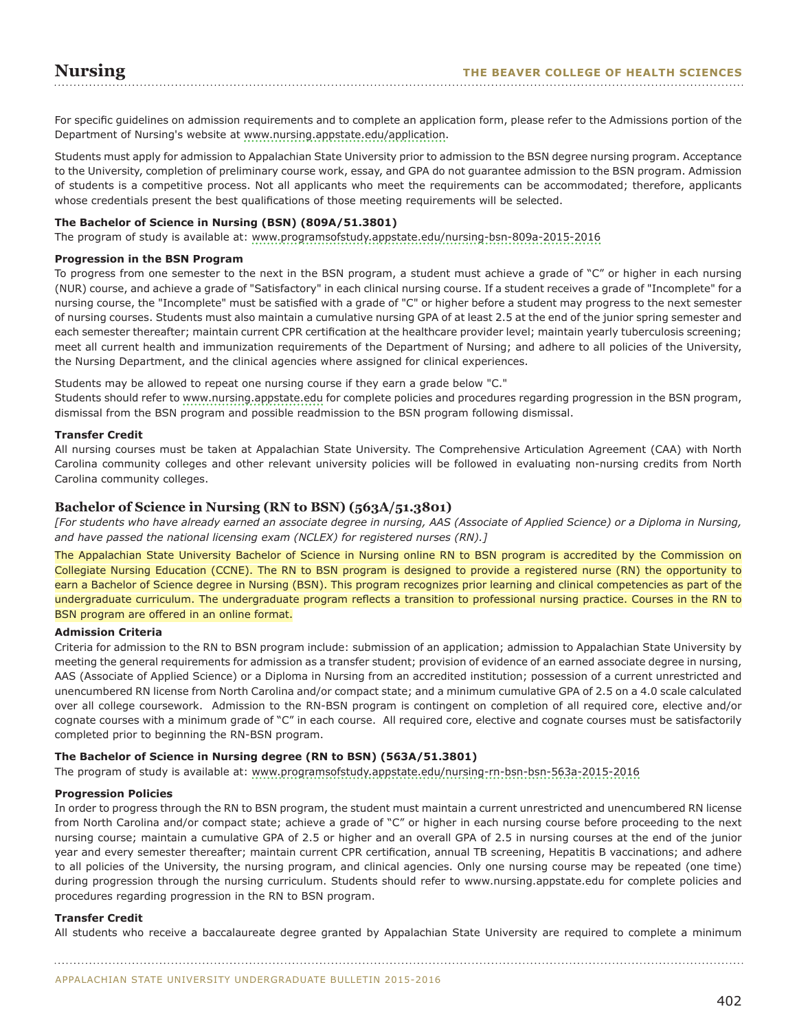For specific guidelines on admission requirements and to complete an application form, please refer to the Admissions portion of the Department of Nursing's website at [www.nursing.appstate.edu/application](www.nursing.appstate.edu/bsn-pre-licensure-application).

Students must apply for admission to Appalachian State University prior to admission to the BSN degree nursing program. Acceptance to the University, completion of preliminary course work, essay, and GPA do not guarantee admission to the BSN program. Admission of students is a competitive process. Not all applicants who meet the requirements can be accommodated; therefore, applicants whose credentials present the best qualifications of those meeting requirements will be selected.

## **The Bachelor of Science in Nursing (BSN) (809A/51.3801)**

The program of study is available at: <www.programsofstudy.appstate.edu/nursing-bsn-809a-2015-2016>

## **Progression in the BSN Program**

To progress from one semester to the next in the BSN program, a student must achieve a grade of "C" or higher in each nursing (NUR) course, and achieve a grade of "Satisfactory" in each clinical nursing course. If a student receives a grade of "Incomplete" for a nursing course, the "Incomplete" must be satisfied with a grade of "C" or higher before a student may progress to the next semester of nursing courses. Students must also maintain a cumulative nursing GPA of at least 2.5 at the end of the junior spring semester and each semester thereafter; maintain current CPR certification at the healthcare provider level; maintain yearly tuberculosis screening; meet all current health and immunization requirements of the Department of Nursing; and adhere to all policies of the University, the Nursing Department, and the clinical agencies where assigned for clinical experiences.

Students may be allowed to repeat one nursing course if they earn a grade below "C."

Students should refer to<www.nursing.appstate.edu> for complete policies and procedures regarding progression in the BSN program, dismissal from the BSN program and possible readmission to the BSN program following dismissal.

#### **Transfer Credit**

All nursing courses must be taken at Appalachian State University. The Comprehensive Articulation Agreement (CAA) with North Carolina community colleges and other relevant university policies will be followed in evaluating non-nursing credits from North Carolina community colleges.

## **Bachelor of Science in Nursing (RN to BSN) (563A/51.3801)**

*[For students who have already earned an associate degree in nursing, AAS (Associate of Applied Science) or a Diploma in Nursing, and have passed the national licensing exam (NCLEX) for registered nurses (RN).]*

The Appalachian State University Bachelor of Science in Nursing online RN to BSN program is accredited by the Commission on Collegiate Nursing Education (CCNE). The RN to BSN program is designed to provide a registered nurse (RN) the opportunity to earn a Bachelor of Science degree in Nursing (BSN). This program recognizes prior learning and clinical competencies as part of the undergraduate curriculum. The undergraduate program reflects a transition to professional nursing practice. Courses in the RN to BSN program are offered in an online format.

#### **Admission Criteria**

Criteria for admission to the RN to BSN program include: submission of an application; admission to Appalachian State University by meeting the general requirements for admission as a transfer student; provision of evidence of an earned associate degree in nursing, AAS (Associate of Applied Science) or a Diploma in Nursing from an accredited institution; possession of a current unrestricted and unencumbered RN license from North Carolina and/or compact state; and a minimum cumulative GPA of 2.5 on a 4.0 scale calculated over all college coursework. Admission to the RN-BSN program is contingent on completion of all required core, elective and/or cognate courses with a minimum grade of "C" in each course. All required core, elective and cognate courses must be satisfactorily completed prior to beginning the RN-BSN program.

#### **The Bachelor of Science in Nursing degree (RN to BSN) (563A/51.3801)**

The program of study is available at: <www.programsofstudy.appstate.edu/nursing-rn-bsn-bsn-563a-2015-2016>

#### **Progression Policies**

In order to progress through the RN to BSN program, the student must maintain a current unrestricted and unencumbered RN license from North Carolina and/or compact state; achieve a grade of "C" or higher in each nursing course before proceeding to the next nursing course; maintain a cumulative GPA of 2.5 or higher and an overall GPA of 2.5 in nursing courses at the end of the junior year and every semester thereafter; maintain current CPR certification, annual TB screening, Hepatitis B vaccinations; and adhere to all policies of the University, the nursing program, and clinical agencies. Only one nursing course may be repeated (one time) during progression through the nursing curriculum. Students should refer to www.nursing.appstate.edu for complete policies and procedures regarding progression in the RN to BSN program.

#### **Transfer Credit**

All students who receive a baccalaureate degree granted by Appalachian State University are required to complete a minimum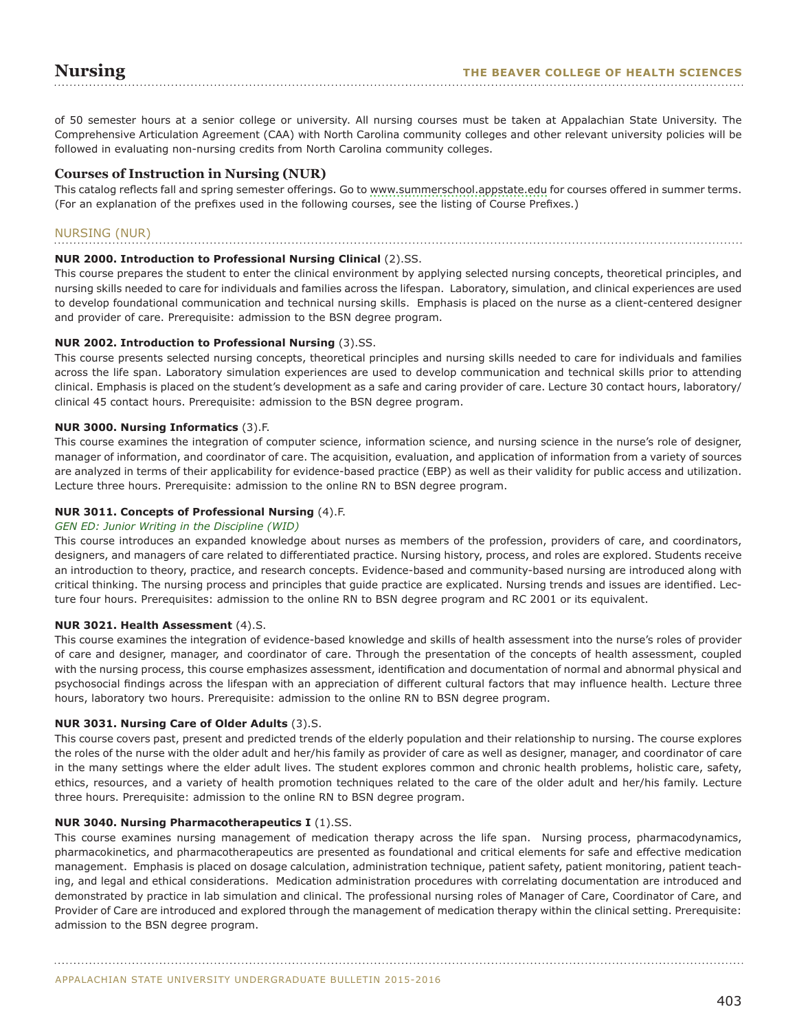of 50 semester hours at a senior college or university. All nursing courses must be taken at Appalachian State University. The Comprehensive Articulation Agreement (CAA) with North Carolina community colleges and other relevant university policies will be followed in evaluating non-nursing credits from North Carolina community colleges.

## **Courses of Instruction in Nursing (NUR)**

This catalog reflects fall and spring semester offerings. Go to [www.summerschool.appstate.edu](http://www.summerschool.appstate.edu) for courses offered in summer terms. (For an explanation of the prefixes used in the following courses, see the listing of Course Prefixes.)

## NURSING (NUR)

## **NUR 2000. Introduction to Professional Nursing Clinical** (2).SS.

This course prepares the student to enter the clinical environment by applying selected nursing concepts, theoretical principles, and nursing skills needed to care for individuals and families across the lifespan. Laboratory, simulation, and clinical experiences are used to develop foundational communication and technical nursing skills. Emphasis is placed on the nurse as a client-centered designer and provider of care. Prerequisite: admission to the BSN degree program.

## **NUR 2002. Introduction to Professional Nursing** (3).SS.

This course presents selected nursing concepts, theoretical principles and nursing skills needed to care for individuals and families across the life span. Laboratory simulation experiences are used to develop communication and technical skills prior to attending clinical. Emphasis is placed on the student's development as a safe and caring provider of care. Lecture 30 contact hours, laboratory/ clinical 45 contact hours. Prerequisite: admission to the BSN degree program.

## **NUR 3000. Nursing Informatics** (3).F.

This course examines the integration of computer science, information science, and nursing science in the nurse's role of designer, manager of information, and coordinator of care. The acquisition, evaluation, and application of information from a variety of sources are analyzed in terms of their applicability for evidence-based practice (EBP) as well as their validity for public access and utilization. Lecture three hours. Prerequisite: admission to the online RN to BSN degree program.

## **NUR 3011. Concepts of Professional Nursing** (4).F.

#### *GEN ED: Junior Writing in the Discipline (WID)*

This course introduces an expanded knowledge about nurses as members of the profession, providers of care, and coordinators, designers, and managers of care related to differentiated practice. Nursing history, process, and roles are explored. Students receive an introduction to theory, practice, and research concepts. Evidence-based and community-based nursing are introduced along with critical thinking. The nursing process and principles that guide practice are explicated. Nursing trends and issues are identified. Lecture four hours. Prerequisites: admission to the online RN to BSN degree program and RC 2001 or its equivalent.

#### **NUR 3021. Health Assessment** (4).S.

This course examines the integration of evidence-based knowledge and skills of health assessment into the nurse's roles of provider of care and designer, manager, and coordinator of care. Through the presentation of the concepts of health assessment, coupled with the nursing process, this course emphasizes assessment, identification and documentation of normal and abnormal physical and psychosocial findings across the lifespan with an appreciation of different cultural factors that may influence health. Lecture three hours, laboratory two hours. Prerequisite: admission to the online RN to BSN degree program.

#### **NUR 3031. Nursing Care of Older Adults** (3).S.

This course covers past, present and predicted trends of the elderly population and their relationship to nursing. The course explores the roles of the nurse with the older adult and her/his family as provider of care as well as designer, manager, and coordinator of care in the many settings where the elder adult lives. The student explores common and chronic health problems, holistic care, safety, ethics, resources, and a variety of health promotion techniques related to the care of the older adult and her/his family. Lecture three hours. Prerequisite: admission to the online RN to BSN degree program.

#### **NUR 3040. Nursing Pharmacotherapeutics I** (1).SS.

This course examines nursing management of medication therapy across the life span. Nursing process, pharmacodynamics, pharmacokinetics, and pharmacotherapeutics are presented as foundational and critical elements for safe and effective medication management. Emphasis is placed on dosage calculation, administration technique, patient safety, patient monitoring, patient teaching, and legal and ethical considerations. Medication administration procedures with correlating documentation are introduced and demonstrated by practice in lab simulation and clinical. The professional nursing roles of Manager of Care, Coordinator of Care, and Provider of Care are introduced and explored through the management of medication therapy within the clinical setting. Prerequisite: admission to the BSN degree program.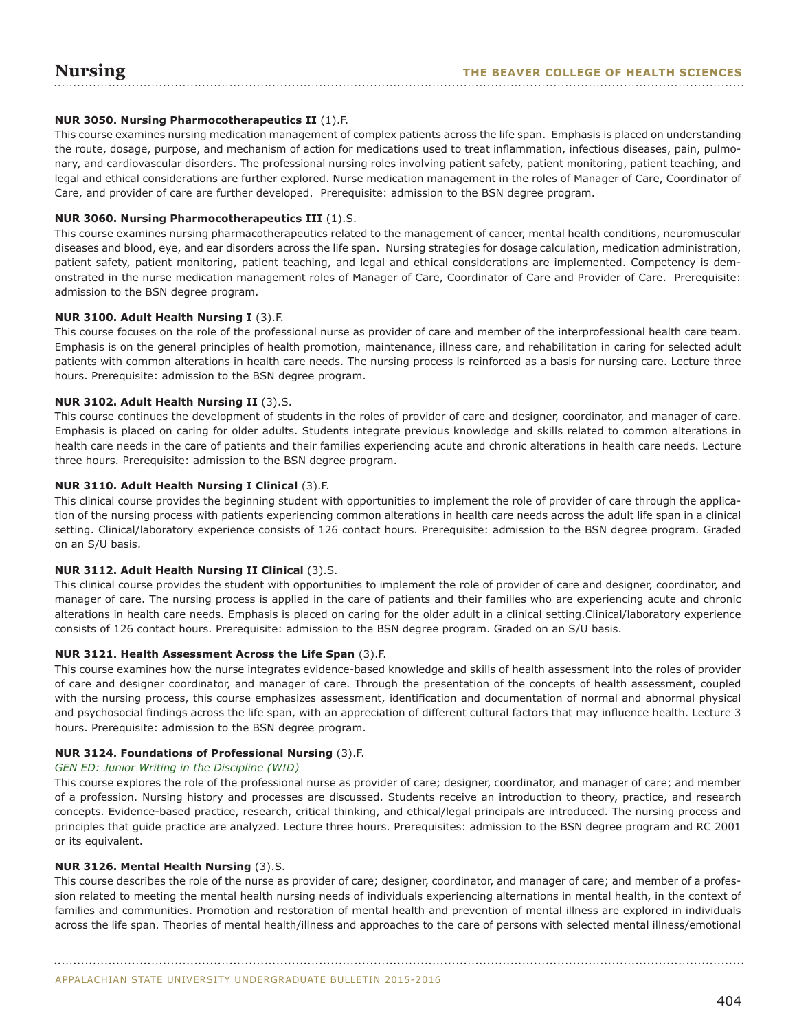## **NUR 3050. Nursing Pharmocotherapeutics II** (1).F.

This course examines nursing medication management of complex patients across the life span. Emphasis is placed on understanding the route, dosage, purpose, and mechanism of action for medications used to treat inflammation, infectious diseases, pain, pulmonary, and cardiovascular disorders. The professional nursing roles involving patient safety, patient monitoring, patient teaching, and legal and ethical considerations are further explored. Nurse medication management in the roles of Manager of Care, Coordinator of Care, and provider of care are further developed. Prerequisite: admission to the BSN degree program.

## **NUR 3060. Nursing Pharmocotherapeutics III** (1).S.

This course examines nursing pharmacotherapeutics related to the management of cancer, mental health conditions, neuromuscular diseases and blood, eye, and ear disorders across the life span. Nursing strategies for dosage calculation, medication administration, patient safety, patient monitoring, patient teaching, and legal and ethical considerations are implemented. Competency is demonstrated in the nurse medication management roles of Manager of Care, Coordinator of Care and Provider of Care. Prerequisite: admission to the BSN degree program.

## **NUR 3100. Adult Health Nursing I** (3).F.

This course focuses on the role of the professional nurse as provider of care and member of the interprofessional health care team. Emphasis is on the general principles of health promotion, maintenance, illness care, and rehabilitation in caring for selected adult patients with common alterations in health care needs. The nursing process is reinforced as a basis for nursing care. Lecture three hours. Prerequisite: admission to the BSN degree program.

## **NUR 3102. Adult Health Nursing II** (3).S.

This course continues the development of students in the roles of provider of care and designer, coordinator, and manager of care. Emphasis is placed on caring for older adults. Students integrate previous knowledge and skills related to common alterations in health care needs in the care of patients and their families experiencing acute and chronic alterations in health care needs. Lecture three hours. Prerequisite: admission to the BSN degree program.

## **NUR 3110. Adult Health Nursing I Clinical** (3).F.

This clinical course provides the beginning student with opportunities to implement the role of provider of care through the application of the nursing process with patients experiencing common alterations in health care needs across the adult life span in a clinical setting. Clinical/laboratory experience consists of 126 contact hours. Prerequisite: admission to the BSN degree program. Graded on an S/U basis.

#### **NUR 3112. Adult Health Nursing II Clinical** (3).S.

This clinical course provides the student with opportunities to implement the role of provider of care and designer, coordinator, and manager of care. The nursing process is applied in the care of patients and their families who are experiencing acute and chronic alterations in health care needs. Emphasis is placed on caring for the older adult in a clinical setting.Clinical/laboratory experience consists of 126 contact hours. Prerequisite: admission to the BSN degree program. Graded on an S/U basis.

#### **NUR 3121. Health Assessment Across the Life Span** (3).F.

This course examines how the nurse integrates evidence-based knowledge and skills of health assessment into the roles of provider of care and designer coordinator, and manager of care. Through the presentation of the concepts of health assessment, coupled with the nursing process, this course emphasizes assessment, identification and documentation of normal and abnormal physical and psychosocial findings across the life span, with an appreciation of different cultural factors that may influence health. Lecture 3 hours. Prerequisite: admission to the BSN degree program.

#### **NUR 3124. Foundations of Professional Nursing** (3).F.

#### *GEN ED: Junior Writing in the Discipline (WID)*

This course explores the role of the professional nurse as provider of care; designer, coordinator, and manager of care; and member of a profession. Nursing history and processes are discussed. Students receive an introduction to theory, practice, and research concepts. Evidence-based practice, research, critical thinking, and ethical/legal principals are introduced. The nursing process and principles that guide practice are analyzed. Lecture three hours. Prerequisites: admission to the BSN degree program and RC 2001 or its equivalent.

#### **NUR 3126. Mental Health Nursing** (3).S.

This course describes the role of the nurse as provider of care; designer, coordinator, and manager of care; and member of a profession related to meeting the mental health nursing needs of individuals experiencing alternations in mental health, in the context of families and communities. Promotion and restoration of mental health and prevention of mental illness are explored in individuals across the life span. Theories of mental health/illness and approaches to the care of persons with selected mental illness/emotional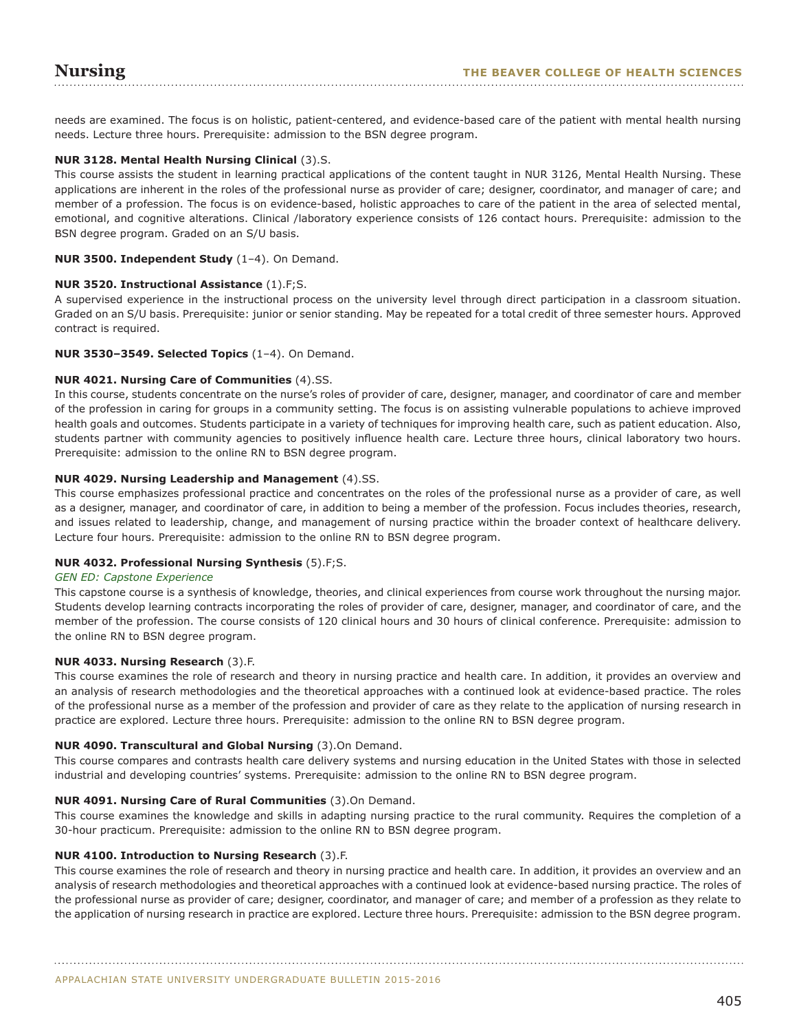needs are examined. The focus is on holistic, patient-centered, and evidence-based care of the patient with mental health nursing needs. Lecture three hours. Prerequisite: admission to the BSN degree program.

## **NUR 3128. Mental Health Nursing Clinical** (3).S.

This course assists the student in learning practical applications of the content taught in NUR 3126, Mental Health Nursing. These applications are inherent in the roles of the professional nurse as provider of care; designer, coordinator, and manager of care; and member of a profession. The focus is on evidence-based, holistic approaches to care of the patient in the area of selected mental, emotional, and cognitive alterations. Clinical /laboratory experience consists of 126 contact hours. Prerequisite: admission to the BSN degree program. Graded on an S/U basis.

#### **NUR 3500. Independent Study** (1–4). On Demand.

## **NUR 3520. Instructional Assistance** (1).F;S.

A supervised experience in the instructional process on the university level through direct participation in a classroom situation. Graded on an S/U basis. Prerequisite: junior or senior standing. May be repeated for a total credit of three semester hours. Approved contract is required.

#### **NUR 3530–3549. Selected Topics** (1–4). On Demand.

#### **NUR 4021. Nursing Care of Communities** (4).SS.

In this course, students concentrate on the nurse's roles of provider of care, designer, manager, and coordinator of care and member of the profession in caring for groups in a community setting. The focus is on assisting vulnerable populations to achieve improved health goals and outcomes. Students participate in a variety of techniques for improving health care, such as patient education. Also, students partner with community agencies to positively influence health care. Lecture three hours, clinical laboratory two hours. Prerequisite: admission to the online RN to BSN degree program.

## **NUR 4029. Nursing Leadership and Management** (4).SS.

This course emphasizes professional practice and concentrates on the roles of the professional nurse as a provider of care, as well as a designer, manager, and coordinator of care, in addition to being a member of the profession. Focus includes theories, research, and issues related to leadership, change, and management of nursing practice within the broader context of healthcare delivery. Lecture four hours. Prerequisite: admission to the online RN to BSN degree program.

## **NUR 4032. Professional Nursing Synthesis** (5).F;S.

#### *GEN ED: Capstone Experience*

This capstone course is a synthesis of knowledge, theories, and clinical experiences from course work throughout the nursing major. Students develop learning contracts incorporating the roles of provider of care, designer, manager, and coordinator of care, and the member of the profession. The course consists of 120 clinical hours and 30 hours of clinical conference. Prerequisite: admission to the online RN to BSN degree program.

#### **NUR 4033. Nursing Research** (3).F.

This course examines the role of research and theory in nursing practice and health care. In addition, it provides an overview and an analysis of research methodologies and the theoretical approaches with a continued look at evidence-based practice. The roles of the professional nurse as a member of the profession and provider of care as they relate to the application of nursing research in practice are explored. Lecture three hours. Prerequisite: admission to the online RN to BSN degree program.

#### **NUR 4090. Transcultural and Global Nursing** (3).On Demand.

This course compares and contrasts health care delivery systems and nursing education in the United States with those in selected industrial and developing countries' systems. Prerequisite: admission to the online RN to BSN degree program.

## **NUR 4091. Nursing Care of Rural Communities** (3).On Demand.

This course examines the knowledge and skills in adapting nursing practice to the rural community. Requires the completion of a 30-hour practicum. Prerequisite: admission to the online RN to BSN degree program.

#### **NUR 4100. Introduction to Nursing Research** (3).F.

This course examines the role of research and theory in nursing practice and health care. In addition, it provides an overview and an analysis of research methodologies and theoretical approaches with a continued look at evidence-based nursing practice. The roles of the professional nurse as provider of care; designer, coordinator, and manager of care; and member of a profession as they relate to the application of nursing research in practice are explored. Lecture three hours. Prerequisite: admission to the BSN degree program.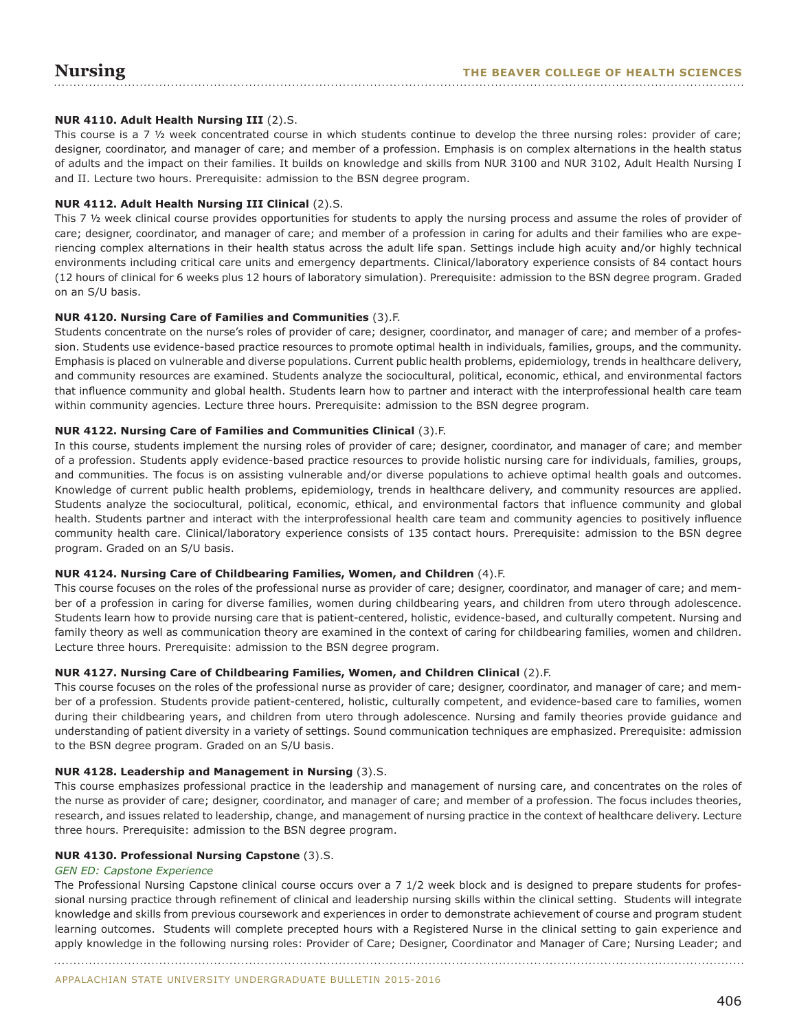## **NUR 4110. Adult Health Nursing III** (2).S.

This course is a 7  $\frac{1}{2}$  week concentrated course in which students continue to develop the three nursing roles: provider of care; designer, coordinator, and manager of care; and member of a profession. Emphasis is on complex alternations in the health status of adults and the impact on their families. It builds on knowledge and skills from NUR 3100 and NUR 3102, Adult Health Nursing I and II. Lecture two hours. Prerequisite: admission to the BSN degree program.

## **NUR 4112. Adult Health Nursing III Clinical** (2).S.

This 7 ½ week clinical course provides opportunities for students to apply the nursing process and assume the roles of provider of care; designer, coordinator, and manager of care; and member of a profession in caring for adults and their families who are experiencing complex alternations in their health status across the adult life span. Settings include high acuity and/or highly technical environments including critical care units and emergency departments. Clinical/laboratory experience consists of 84 contact hours (12 hours of clinical for 6 weeks plus 12 hours of laboratory simulation). Prerequisite: admission to the BSN degree program. Graded on an S/U basis.

## **NUR 4120. Nursing Care of Families and Communities** (3).F.

Students concentrate on the nurse's roles of provider of care; designer, coordinator, and manager of care; and member of a profession. Students use evidence-based practice resources to promote optimal health in individuals, families, groups, and the community. Emphasis is placed on vulnerable and diverse populations. Current public health problems, epidemiology, trends in healthcare delivery, and community resources are examined. Students analyze the sociocultural, political, economic, ethical, and environmental factors that influence community and global health. Students learn how to partner and interact with the interprofessional health care team within community agencies. Lecture three hours. Prerequisite: admission to the BSN degree program.

## **NUR 4122. Nursing Care of Families and Communities Clinical** (3).F.

In this course, students implement the nursing roles of provider of care; designer, coordinator, and manager of care; and member of a profession. Students apply evidence-based practice resources to provide holistic nursing care for individuals, families, groups, and communities. The focus is on assisting vulnerable and/or diverse populations to achieve optimal health goals and outcomes. Knowledge of current public health problems, epidemiology, trends in healthcare delivery, and community resources are applied. Students analyze the sociocultural, political, economic, ethical, and environmental factors that influence community and global health. Students partner and interact with the interprofessional health care team and community agencies to positively influence community health care. Clinical/laboratory experience consists of 135 contact hours. Prerequisite: admission to the BSN degree program. Graded on an S/U basis.

#### **NUR 4124. Nursing Care of Childbearing Families, Women, and Children** (4).F.

This course focuses on the roles of the professional nurse as provider of care; designer, coordinator, and manager of care; and member of a profession in caring for diverse families, women during childbearing years, and children from utero through adolescence. Students learn how to provide nursing care that is patient-centered, holistic, evidence-based, and culturally competent. Nursing and family theory as well as communication theory are examined in the context of caring for childbearing families, women and children. Lecture three hours. Prerequisite: admission to the BSN degree program.

#### **NUR 4127. Nursing Care of Childbearing Families, Women, and Children Clinical** (2).F.

This course focuses on the roles of the professional nurse as provider of care; designer, coordinator, and manager of care; and member of a profession. Students provide patient-centered, holistic, culturally competent, and evidence-based care to families, women during their childbearing years, and children from utero through adolescence. Nursing and family theories provide guidance and understanding of patient diversity in a variety of settings. Sound communication techniques are emphasized. Prerequisite: admission to the BSN degree program. Graded on an S/U basis.

#### **NUR 4128. Leadership and Management in Nursing** (3).S.

This course emphasizes professional practice in the leadership and management of nursing care, and concentrates on the roles of the nurse as provider of care; designer, coordinator, and manager of care; and member of a profession. The focus includes theories, research, and issues related to leadership, change, and management of nursing practice in the context of healthcare delivery. Lecture three hours. Prerequisite: admission to the BSN degree program.

#### **NUR 4130. Professional Nursing Capstone** (3).S.

#### *GEN ED: Capstone Experience*

The Professional Nursing Capstone clinical course occurs over a 7 1/2 week block and is designed to prepare students for professional nursing practice through refinement of clinical and leadership nursing skills within the clinical setting. Students will integrate knowledge and skills from previous coursework and experiences in order to demonstrate achievement of course and program student learning outcomes. Students will complete precepted hours with a Registered Nurse in the clinical setting to gain experience and apply knowledge in the following nursing roles: Provider of Care; Designer, Coordinator and Manager of Care; Nursing Leader; and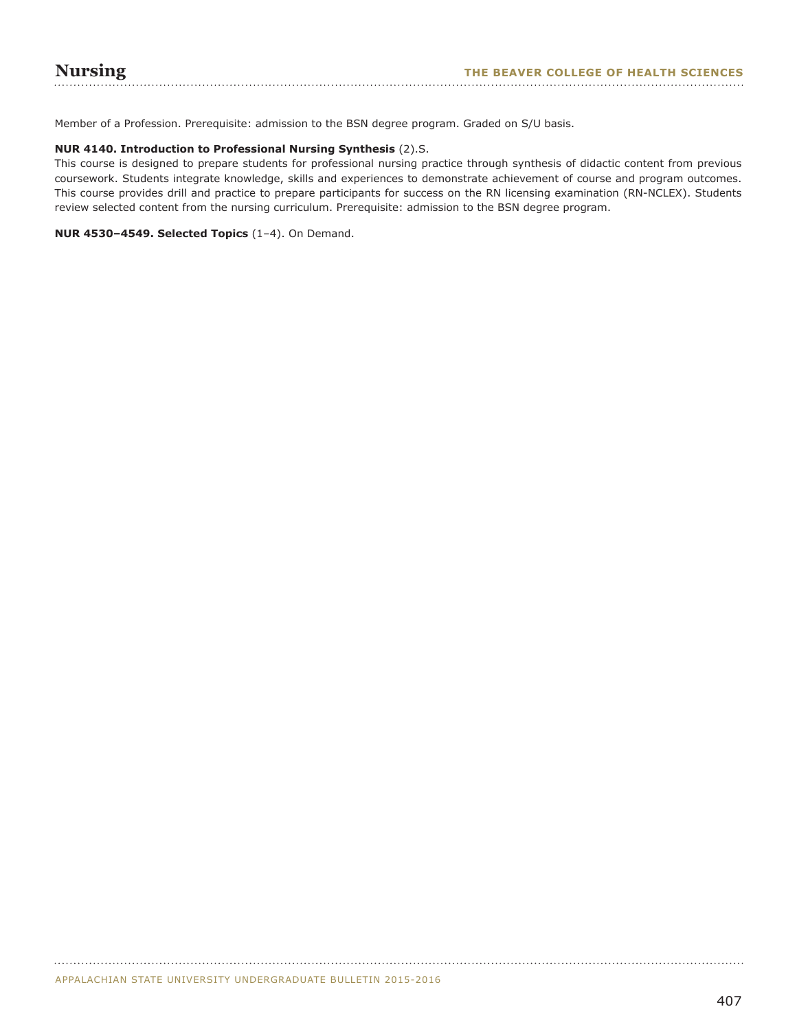Member of a Profession. Prerequisite: admission to the BSN degree program. Graded on S/U basis.

## **NUR 4140. Introduction to Professional Nursing Synthesis** (2).S.

This course is designed to prepare students for professional nursing practice through synthesis of didactic content from previous coursework. Students integrate knowledge, skills and experiences to demonstrate achievement of course and program outcomes. This course provides drill and practice to prepare participants for success on the RN licensing examination (RN-NCLEX). Students review selected content from the nursing curriculum. Prerequisite: admission to the BSN degree program.

## **NUR 4530–4549. Selected Topics** (1–4). On Demand.

APPALACHIAN STATE UNIVERSITY UNDERGRADUATE BULLETIN 2015-2016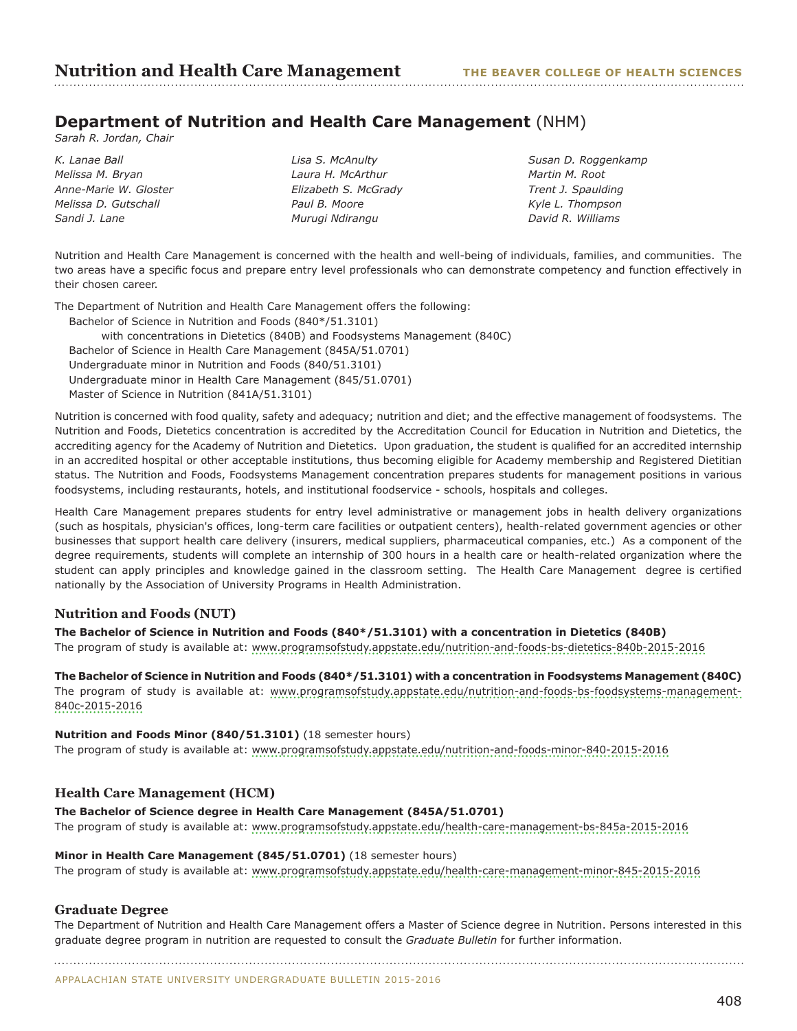## **Department of Nutrition and Health Care Management** (NHM)

*Sarah R. Jordan, Chair*

*K. Lanae Ball Melissa M. Bryan Anne-Marie W. Gloster Melissa D. Gutschall Sandi J. Lane* 

*Lisa S. McAnulty Laura H. McArthur Elizabeth S. McGrady Paul B. Moore Murugi Ndirangu* 

*Susan D. Roggenkamp Martin M. Root Trent J. Spaulding Kyle L. Thompson David R. Williams*

Nutrition and Health Care Management is concerned with the health and well-being of individuals, families, and communities. The two areas have a specific focus and prepare entry level professionals who can demonstrate competency and function effectively in their chosen career.

The Department of Nutrition and Health Care Management offers the following:

Bachelor of Science in Nutrition and Foods (840\*/51.3101) with concentrations in Dietetics (840B) and Foodsystems Management (840C) Bachelor of Science in Health Care Management (845A/51.0701) Undergraduate minor in Nutrition and Foods (840/51.3101) Undergraduate minor in Health Care Management (845/51.0701) Master of Science in Nutrition (841A/51.3101)

Nutrition is concerned with food quality, safety and adequacy; nutrition and diet; and the effective management of foodsystems. The Nutrition and Foods, Dietetics concentration is accredited by the Accreditation Council for Education in Nutrition and Dietetics, the accrediting agency for the Academy of Nutrition and Dietetics. Upon graduation, the student is qualified for an accredited internship in an accredited hospital or other acceptable institutions, thus becoming eligible for Academy membership and Registered Dietitian status. The Nutrition and Foods, Foodsystems Management concentration prepares students for management positions in various foodsystems, including restaurants, hotels, and institutional foodservice - schools, hospitals and colleges.

Health Care Management prepares students for entry level administrative or management jobs in health delivery organizations (such as hospitals, physician's offices, long-term care facilities or outpatient centers), health-related government agencies or other businesses that support health care delivery (insurers, medical suppliers, pharmaceutical companies, etc.) As a component of the degree requirements, students will complete an internship of 300 hours in a health care or health-related organization where the student can apply principles and knowledge gained in the classroom setting. The Health Care Management degree is certified nationally by the Association of University Programs in Health Administration.

## **Nutrition and Foods (NUT)**

**The Bachelor of Science in Nutrition and Foods (840\*/51.3101) with a concentration in Dietetics (840B)** The program of study is available at: [www.programsofstudy.appstate.edu/nutrition-and-foods-bs-dietetics-840b-2015-2016](www.programsofstudy.appstate.edu/nutrition-and-foods-bs-dietetics-840b-2015-2016 )

**The Bachelor of Science in Nutrition and Foods (840\*/51.3101) with a concentration in Foodsystems Management (840C)** The program of study is available at: [www.programsofstudy.appstate.edu/nutrition-and-foods-bs-foodsystems-management-](www.programsofstudy.appstate.edu/nutrition-and-foods-bs-foodsystems-management-840c-2015-2016)[840c-2015-2016](www.programsofstudy.appstate.edu/nutrition-and-foods-bs-foodsystems-management-840c-2015-2016)

## **Nutrition and Foods Minor (840/51.3101)** (18 semester hours)

The program of study is available at: www.programsofstudy.appstate.edu/nutrition-and-foods-minor-840-2015-2016

## **Health Care Management (HCM)**

## **The Bachelor of Science degree in Health Care Management (845A/51.0701)**

The program of study is available at: www.programsofstudy.appstate.edu/health-care-management-bs-845a-2015-2016

## **Minor in Health Care Management (845/51.0701)** (18 semester hours)

The program of study is available at: <www.programsofstudy.appstate.edu/health-care-management-minor-845-2015-2016>

## **Graduate Degree**

The Department of Nutrition and Health Care Management offers a Master of Science degree in Nutrition. Persons interested in this graduate degree program in nutrition are requested to consult the *Graduate Bulletin* for further information.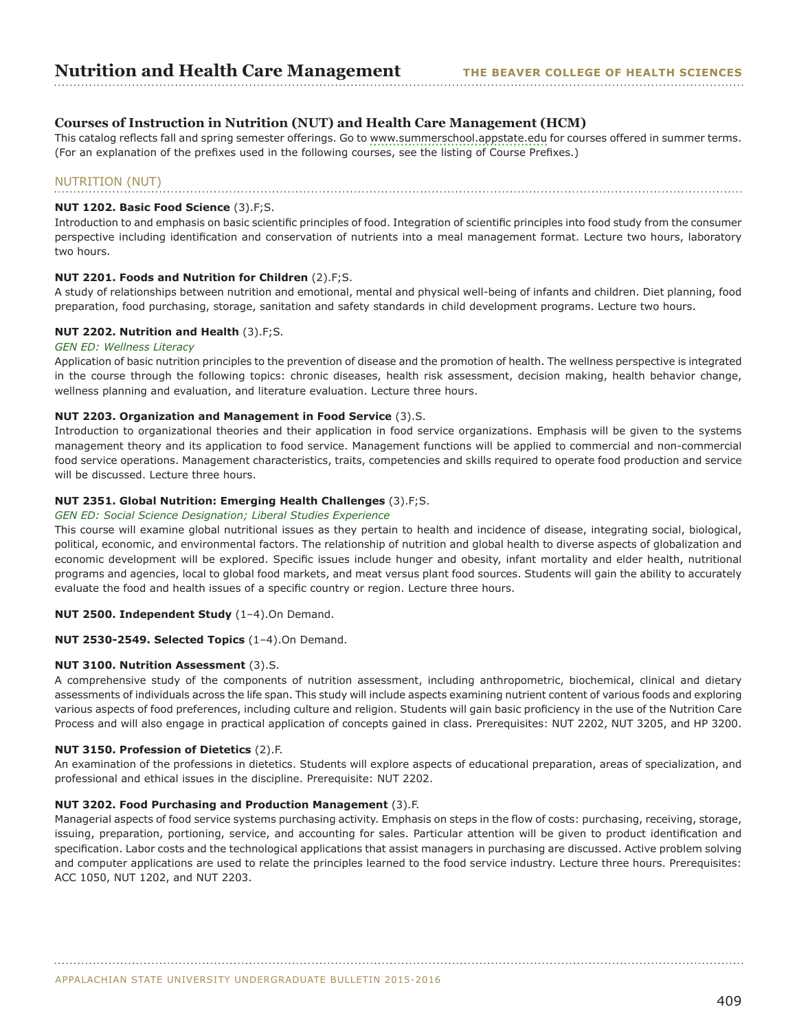## **Courses of Instruction in Nutrition (NUT) and Health Care Management (HCM)**

This catalog reflects fall and spring semester offerings. Go to [www.summerschool.appstate.edu](http://www.summerschool.appstate.edu) for courses offered in summer terms. (For an explanation of the prefixes used in the following courses, see the listing of Course Prefixes.)

#### NUTRITION (NUT)

#### **NUT 1202. Basic Food Science** (3).F;S.

Introduction to and emphasis on basic scientific principles of food. Integration of scientific principles into food study from the consumer perspective including identification and conservation of nutrients into a meal management format. Lecture two hours, laboratory two hours.

#### **NUT 2201. Foods and Nutrition for Children** (2).F;S.

A study of relationships between nutrition and emotional, mental and physical well-being of infants and children. Diet planning, food preparation, food purchasing, storage, sanitation and safety standards in child development programs. Lecture two hours.

#### **NUT 2202. Nutrition and Health** (3).F;S.

#### *GEN ED: Wellness Literacy*

Application of basic nutrition principles to the prevention of disease and the promotion of health. The wellness perspective is integrated in the course through the following topics: chronic diseases, health risk assessment, decision making, health behavior change, wellness planning and evaluation, and literature evaluation. Lecture three hours.

#### **NUT 2203. Organization and Management in Food Service** (3).S.

Introduction to organizational theories and their application in food service organizations. Emphasis will be given to the systems management theory and its application to food service. Management functions will be applied to commercial and non-commercial food service operations. Management characteristics, traits, competencies and skills required to operate food production and service will be discussed. Lecture three hours.

#### **NUT 2351. Global Nutrition: Emerging Health Challenges** (3).F;S.

#### *GEN ED: Social Science Designation; Liberal Studies Experience*

This course will examine global nutritional issues as they pertain to health and incidence of disease, integrating social, biological, political, economic, and environmental factors. The relationship of nutrition and global health to diverse aspects of globalization and economic development will be explored. Specific issues include hunger and obesity, infant mortality and elder health, nutritional programs and agencies, local to global food markets, and meat versus plant food sources. Students will gain the ability to accurately evaluate the food and health issues of a specific country or region. Lecture three hours.

#### **NUT 2500. Independent Study** (1–4).On Demand.

#### **NUT 2530-2549. Selected Topics** (1–4).On Demand.

#### **NUT 3100. Nutrition Assessment** (3).S.

A comprehensive study of the components of nutrition assessment, including anthropometric, biochemical, clinical and dietary assessments of individuals across the life span. This study will include aspects examining nutrient content of various foods and exploring various aspects of food preferences, including culture and religion. Students will gain basic proficiency in the use of the Nutrition Care Process and will also engage in practical application of concepts gained in class. Prerequisites: NUT 2202, NUT 3205, and HP 3200.

## **NUT 3150. Profession of Dietetics** (2).F.

An examination of the professions in dietetics. Students will explore aspects of educational preparation, areas of specialization, and professional and ethical issues in the discipline. Prerequisite: NUT 2202.

#### **NUT 3202. Food Purchasing and Production Management** (3).F.

Managerial aspects of food service systems purchasing activity. Emphasis on steps in the flow of costs: purchasing, receiving, storage, issuing, preparation, portioning, service, and accounting for sales. Particular attention will be given to product identification and specification. Labor costs and the technological applications that assist managers in purchasing are discussed. Active problem solving and computer applications are used to relate the principles learned to the food service industry. Lecture three hours. Prerequisites: ACC 1050, NUT 1202, and NUT 2203.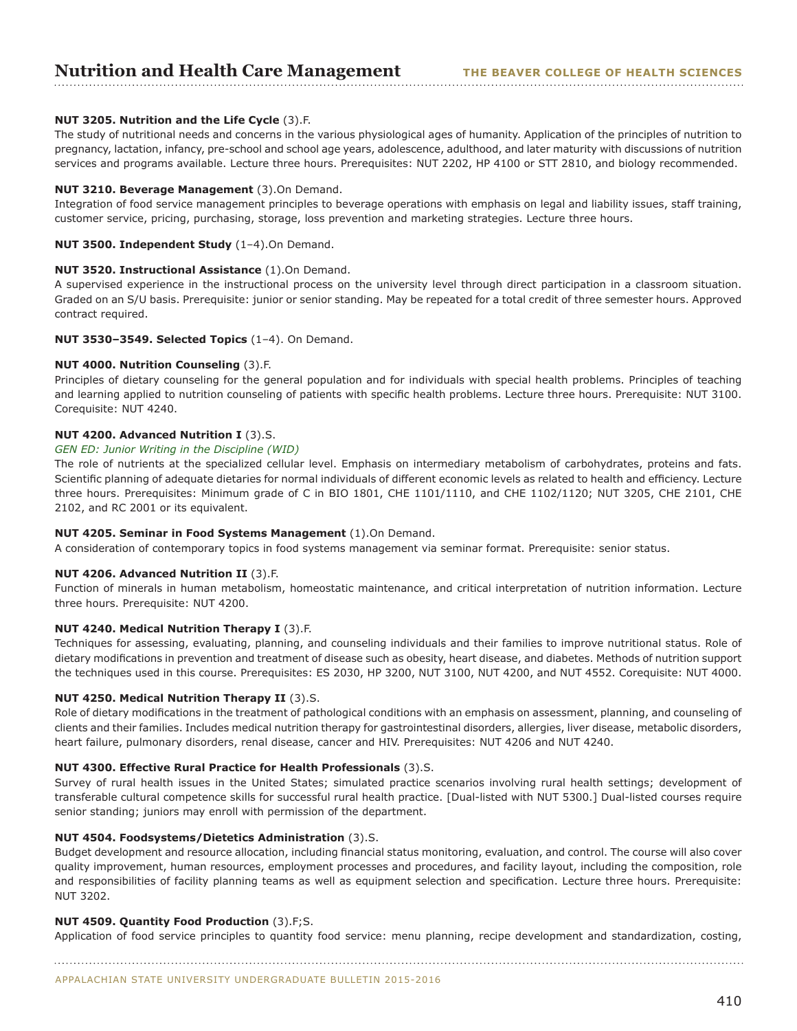## **Nutrition and Health Care Management**

## **NUT 3205. Nutrition and the Life Cycle** (3).F.

The study of nutritional needs and concerns in the various physiological ages of humanity. Application of the principles of nutrition to pregnancy, lactation, infancy, pre-school and school age years, adolescence, adulthood, and later maturity with discussions of nutrition services and programs available. Lecture three hours. Prerequisites: NUT 2202, HP 4100 or STT 2810, and biology recommended.

#### **NUT 3210. Beverage Management** (3).On Demand.

Integration of food service management principles to beverage operations with emphasis on legal and liability issues, staff training, customer service, pricing, purchasing, storage, loss prevention and marketing strategies. Lecture three hours.

### **NUT 3500. Independent Study** (1–4).On Demand.

#### **NUT 3520. Instructional Assistance** (1).On Demand.

A supervised experience in the instructional process on the university level through direct participation in a classroom situation. Graded on an S/U basis. Prerequisite: junior or senior standing. May be repeated for a total credit of three semester hours. Approved contract required.

#### **NUT 3530–3549. Selected Topics** (1–4). On Demand.

## **NUT 4000. Nutrition Counseling** (3).F.

Principles of dietary counseling for the general population and for individuals with special health problems. Principles of teaching and learning applied to nutrition counseling of patients with specific health problems. Lecture three hours. Prerequisite: NUT 3100. Corequisite: NUT 4240.

## **NUT 4200. Advanced Nutrition I** (3).S.

## *GEN ED: Junior Writing in the Discipline (WID)*

The role of nutrients at the specialized cellular level. Emphasis on intermediary metabolism of carbohydrates, proteins and fats. Scientific planning of adequate dietaries for normal individuals of different economic levels as related to health and efficiency. Lecture three hours. Prerequisites: Minimum grade of C in BIO 1801, CHE 1101/1110, and CHE 1102/1120; NUT 3205, CHE 2101, CHE 2102, and RC 2001 or its equivalent.

## **NUT 4205. Seminar in Food Systems Management** (1).On Demand.

A consideration of contemporary topics in food systems management via seminar format. Prerequisite: senior status.

#### **NUT 4206. Advanced Nutrition II** (3).F.

Function of minerals in human metabolism, homeostatic maintenance, and critical interpretation of nutrition information. Lecture three hours. Prerequisite: NUT 4200.

## **NUT 4240. Medical Nutrition Therapy I** (3).F.

Techniques for assessing, evaluating, planning, and counseling individuals and their families to improve nutritional status. Role of dietary modifications in prevention and treatment of disease such as obesity, heart disease, and diabetes. Methods of nutrition support the techniques used in this course. Prerequisites: ES 2030, HP 3200, NUT 3100, NUT 4200, and NUT 4552. Corequisite: NUT 4000.

#### **NUT 4250. Medical Nutrition Therapy II** (3).S.

Role of dietary modifications in the treatment of pathological conditions with an emphasis on assessment, planning, and counseling of clients and their families. Includes medical nutrition therapy for gastrointestinal disorders, allergies, liver disease, metabolic disorders, heart failure, pulmonary disorders, renal disease, cancer and HIV. Prerequisites: NUT 4206 and NUT 4240.

#### **NUT 4300. Effective Rural Practice for Health Professionals** (3).S.

Survey of rural health issues in the United States; simulated practice scenarios involving rural health settings; development of transferable cultural competence skills for successful rural health practice. [Dual-listed with NUT 5300.] Dual-listed courses require senior standing; juniors may enroll with permission of the department.

## **NUT 4504. Foodsystems/Dietetics Administration** (3).S.

Budget development and resource allocation, including financial status monitoring, evaluation, and control. The course will also cover quality improvement, human resources, employment processes and procedures, and facility layout, including the composition, role and responsibilities of facility planning teams as well as equipment selection and specification. Lecture three hours. Prerequisite: NUT 3202.

## **NUT 4509. Quantity Food Production** (3).F;S.

Application of food service principles to quantity food service: menu planning, recipe development and standardization, costing,

APPALACHIAN STATE UNIVERSITY UNDERGRADUATE BULLETIN 2015-2016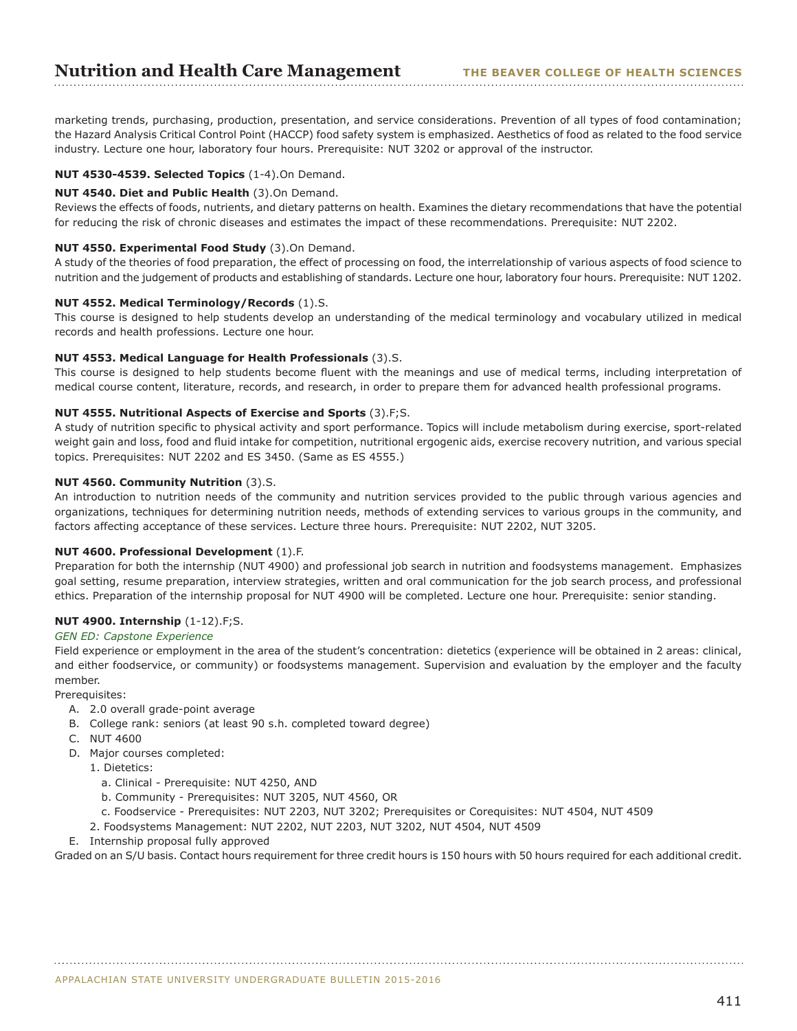marketing trends, purchasing, production, presentation, and service considerations. Prevention of all types of food contamination; the Hazard Analysis Critical Control Point (HACCP) food safety system is emphasized. Aesthetics of food as related to the food service industry. Lecture one hour, laboratory four hours. Prerequisite: NUT 3202 or approval of the instructor.

## **NUT 4530-4539. Selected Topics** (1-4).On Demand.

## **NUT 4540. Diet and Public Health** (3).On Demand.

Reviews the effects of foods, nutrients, and dietary patterns on health. Examines the dietary recommendations that have the potential for reducing the risk of chronic diseases and estimates the impact of these recommendations. Prerequisite: NUT 2202.

## **NUT 4550. Experimental Food Study** (3).On Demand.

A study of the theories of food preparation, the effect of processing on food, the interrelationship of various aspects of food science to nutrition and the judgement of products and establishing of standards. Lecture one hour, laboratory four hours. Prerequisite: NUT 1202.

## **NUT 4552. Medical Terminology/Records** (1).S.

This course is designed to help students develop an understanding of the medical terminology and vocabulary utilized in medical records and health professions. Lecture one hour.

## **NUT 4553. Medical Language for Health Professionals** (3).S.

This course is designed to help students become fluent with the meanings and use of medical terms, including interpretation of medical course content, literature, records, and research, in order to prepare them for advanced health professional programs.

## **NUT 4555. Nutritional Aspects of Exercise and Sports** (3).F;S.

A study of nutrition specific to physical activity and sport performance. Topics will include metabolism during exercise, sport-related weight gain and loss, food and fluid intake for competition, nutritional ergogenic aids, exercise recovery nutrition, and various special topics. Prerequisites: NUT 2202 and ES 3450. (Same as ES 4555.)

## **NUT 4560. Community Nutrition** (3).S.

An introduction to nutrition needs of the community and nutrition services provided to the public through various agencies and organizations, techniques for determining nutrition needs, methods of extending services to various groups in the community, and factors affecting acceptance of these services. Lecture three hours. Prerequisite: NUT 2202, NUT 3205.

#### **NUT 4600. Professional Development** (1).F.

Preparation for both the internship (NUT 4900) and professional job search in nutrition and foodsystems management. Emphasizes goal setting, resume preparation, interview strategies, written and oral communication for the job search process, and professional ethics. Preparation of the internship proposal for NUT 4900 will be completed. Lecture one hour. Prerequisite: senior standing.

## **NUT 4900. Internship** (1-12).F;S.

#### *GEN ED: Capstone Experience*

Field experience or employment in the area of the student's concentration: dietetics (experience will be obtained in 2 areas: clinical, and either foodservice, or community) or foodsystems management. Supervision and evaluation by the employer and the faculty member.

Prerequisites:

- A. 2.0 overall grade-point average
- B. College rank: seniors (at least 90 s.h. completed toward degree)
- C. NUT 4600
- D. Major courses completed:
	- 1. Dietetics:
		- a. Clinical Prerequisite: NUT 4250, AND
		- b. Community Prerequisites: NUT 3205, NUT 4560, OR
	- c. Foodservice Prerequisites: NUT 2203, NUT 3202; Prerequisites or Corequisites: NUT 4504, NUT 4509
	- 2. Foodsystems Management: NUT 2202, NUT 2203, NUT 3202, NUT 4504, NUT 4509
- E. Internship proposal fully approved

Graded on an S/U basis. Contact hours requirement for three credit hours is 150 hours with 50 hours required for each additional credit.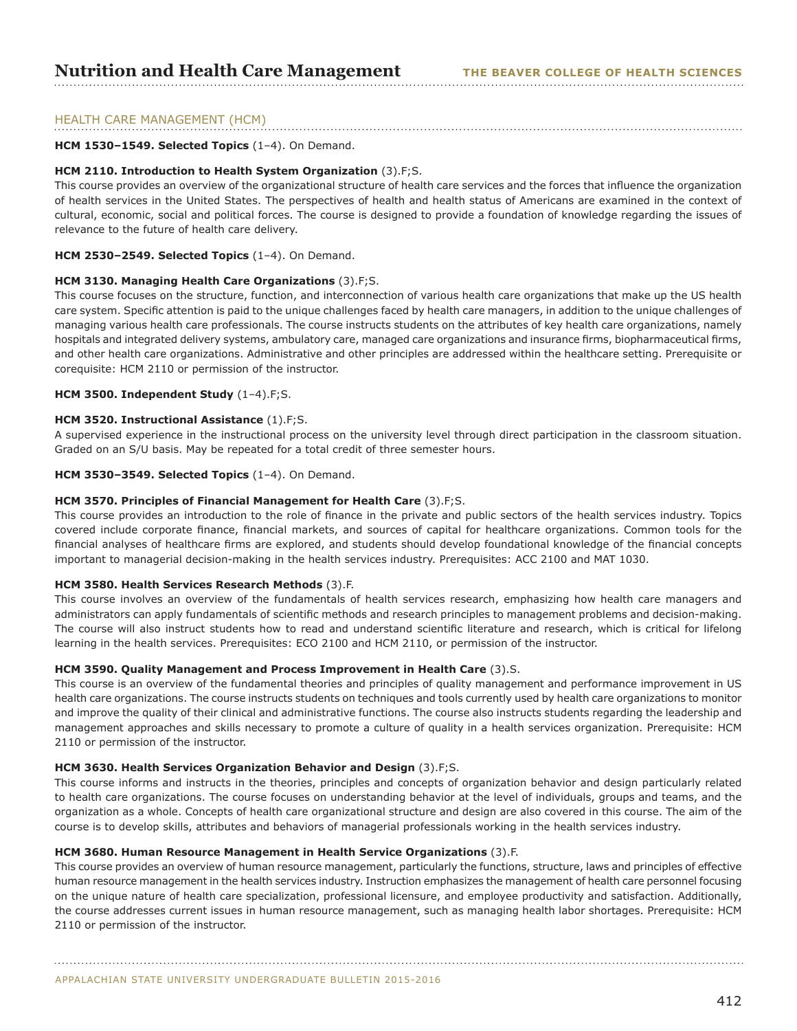## HEALTH CARE MANAGEMENT (HCM)

## **HCM 1530–1549. Selected Topics** (1–4). On Demand.

#### **HCM 2110. Introduction to Health System Organization** (3).F;S.

This course provides an overview of the organizational structure of health care services and the forces that influence the organization of health services in the United States. The perspectives of health and health status of Americans are examined in the context of cultural, economic, social and political forces. The course is designed to provide a foundation of knowledge regarding the issues of relevance to the future of health care delivery.

#### **HCM 2530–2549. Selected Topics** (1–4). On Demand.

#### **HCM 3130. Managing Health Care Organizations** (3).F;S.

This course focuses on the structure, function, and interconnection of various health care organizations that make up the US health care system. Specific attention is paid to the unique challenges faced by health care managers, in addition to the unique challenges of managing various health care professionals. The course instructs students on the attributes of key health care organizations, namely hospitals and integrated delivery systems, ambulatory care, managed care organizations and insurance firms, biopharmaceutical firms, and other health care organizations. Administrative and other principles are addressed within the healthcare setting. Prerequisite or corequisite: HCM 2110 or permission of the instructor.

#### **HCM 3500. Independent Study** (1–4).F;S.

#### **HCM 3520. Instructional Assistance** (1).F;S.

A supervised experience in the instructional process on the university level through direct participation in the classroom situation. Graded on an S/U basis. May be repeated for a total credit of three semester hours.

#### **HCM 3530–3549. Selected Topics** (1–4). On Demand.

#### **HCM 3570. Principles of Financial Management for Health Care** (3).F;S.

This course provides an introduction to the role of finance in the private and public sectors of the health services industry. Topics covered include corporate finance, financial markets, and sources of capital for healthcare organizations. Common tools for the financial analyses of healthcare firms are explored, and students should develop foundational knowledge of the financial concepts important to managerial decision-making in the health services industry. Prerequisites: ACC 2100 and MAT 1030.

#### **HCM 3580. Health Services Research Methods** (3).F.

This course involves an overview of the fundamentals of health services research, emphasizing how health care managers and administrators can apply fundamentals of scientific methods and research principles to management problems and decision-making. The course will also instruct students how to read and understand scientific literature and research, which is critical for lifelong learning in the health services. Prerequisites: ECO 2100 and HCM 2110, or permission of the instructor.

#### **HCM 3590. Quality Management and Process Improvement in Health Care** (3).S.

This course is an overview of the fundamental theories and principles of quality management and performance improvement in US health care organizations. The course instructs students on techniques and tools currently used by health care organizations to monitor and improve the quality of their clinical and administrative functions. The course also instructs students regarding the leadership and management approaches and skills necessary to promote a culture of quality in a health services organization. Prerequisite: HCM 2110 or permission of the instructor.

#### **HCM 3630. Health Services Organization Behavior and Design** (3).F;S.

This course informs and instructs in the theories, principles and concepts of organization behavior and design particularly related to health care organizations. The course focuses on understanding behavior at the level of individuals, groups and teams, and the organization as a whole. Concepts of health care organizational structure and design are also covered in this course. The aim of the course is to develop skills, attributes and behaviors of managerial professionals working in the health services industry.

## **HCM 3680. Human Resource Management in Health Service Organizations** (3).F.

This course provides an overview of human resource management, particularly the functions, structure, laws and principles of effective human resource management in the health services industry. Instruction emphasizes the management of health care personnel focusing on the unique nature of health care specialization, professional licensure, and employee productivity and satisfaction. Additionally, the course addresses current issues in human resource management, such as managing health labor shortages. Prerequisite: HCM 2110 or permission of the instructor.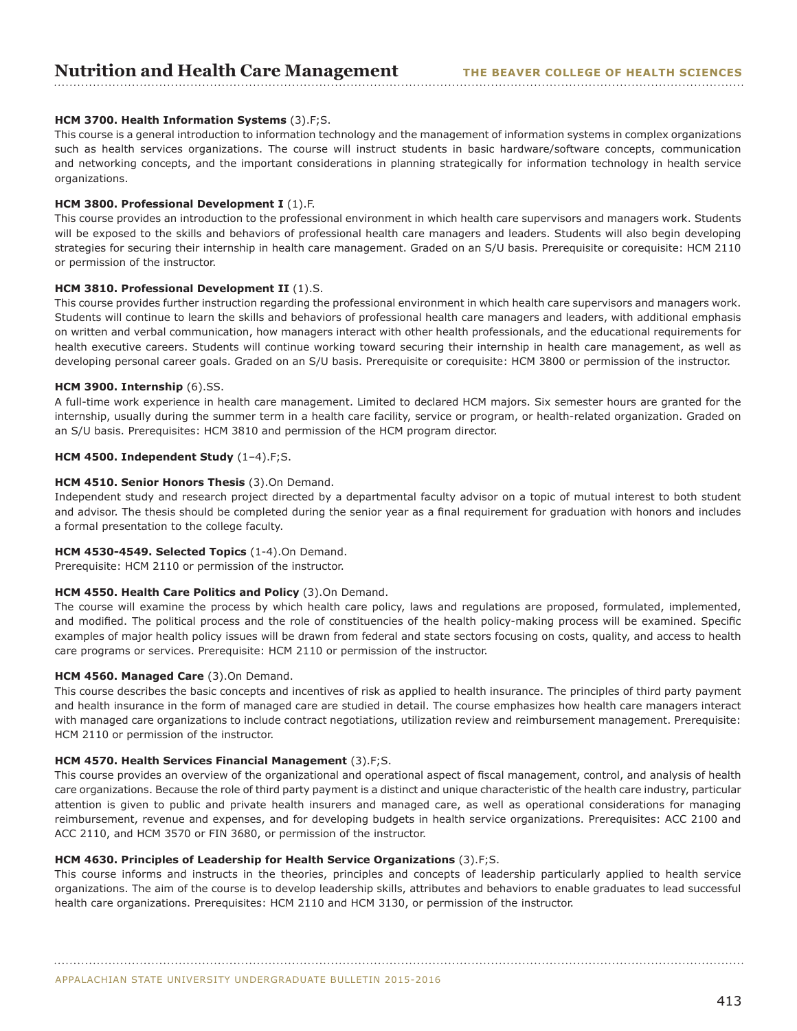## **Nutrition and Health Care Management** THE BEAVER COLLEGE OF HEALTH SCIENCES

## **HCM 3700. Health Information Systems** (3).F;S.

This course is a general introduction to information technology and the management of information systems in complex organizations such as health services organizations. The course will instruct students in basic hardware/software concepts, communication and networking concepts, and the important considerations in planning strategically for information technology in health service organizations.

## **HCM 3800. Professional Development I** (1).F.

This course provides an introduction to the professional environment in which health care supervisors and managers work. Students will be exposed to the skills and behaviors of professional health care managers and leaders. Students will also begin developing strategies for securing their internship in health care management. Graded on an S/U basis. Prerequisite or corequisite: HCM 2110 or permission of the instructor.

## **HCM 3810. Professional Development II** (1).S.

This course provides further instruction regarding the professional environment in which health care supervisors and managers work. Students will continue to learn the skills and behaviors of professional health care managers and leaders, with additional emphasis on written and verbal communication, how managers interact with other health professionals, and the educational requirements for health executive careers. Students will continue working toward securing their internship in health care management, as well as developing personal career goals. Graded on an S/U basis. Prerequisite or corequisite: HCM 3800 or permission of the instructor.

## **HCM 3900. Internship** (6).SS.

A full-time work experience in health care management. Limited to declared HCM majors. Six semester hours are granted for the internship, usually during the summer term in a health care facility, service or program, or health-related organization. Graded on an S/U basis. Prerequisites: HCM 3810 and permission of the HCM program director.

## **HCM 4500. Independent Study** (1–4).F;S.

## **HCM 4510. Senior Honors Thesis** (3).On Demand.

Independent study and research project directed by a departmental faculty advisor on a topic of mutual interest to both student and advisor. The thesis should be completed during the senior year as a final requirement for graduation with honors and includes a formal presentation to the college faculty.

## **HCM 4530-4549. Selected Topics** (1-4).On Demand.

Prerequisite: HCM 2110 or permission of the instructor.

#### **HCM 4550. Health Care Politics and Policy** (3).On Demand.

The course will examine the process by which health care policy, laws and regulations are proposed, formulated, implemented, and modified. The political process and the role of constituencies of the health policy-making process will be examined. Specific examples of major health policy issues will be drawn from federal and state sectors focusing on costs, quality, and access to health care programs or services. Prerequisite: HCM 2110 or permission of the instructor.

#### **HCM 4560. Managed Care** (3).On Demand.

This course describes the basic concepts and incentives of risk as applied to health insurance. The principles of third party payment and health insurance in the form of managed care are studied in detail. The course emphasizes how health care managers interact with managed care organizations to include contract negotiations, utilization review and reimbursement management. Prerequisite: HCM 2110 or permission of the instructor.

#### **HCM 4570. Health Services Financial Management** (3).F;S.

This course provides an overview of the organizational and operational aspect of fiscal management, control, and analysis of health care organizations. Because the role of third party payment is a distinct and unique characteristic of the health care industry, particular attention is given to public and private health insurers and managed care, as well as operational considerations for managing reimbursement, revenue and expenses, and for developing budgets in health service organizations. Prerequisites: ACC 2100 and ACC 2110, and HCM 3570 or FIN 3680, or permission of the instructor.

## **HCM 4630. Principles of Leadership for Health Service Organizations** (3).F;S.

This course informs and instructs in the theories, principles and concepts of leadership particularly applied to health service organizations. The aim of the course is to develop leadership skills, attributes and behaviors to enable graduates to lead successful health care organizations. Prerequisites: HCM 2110 and HCM 3130, or permission of the instructor.

APPALACHIAN STATE UNIVERSITY UNDERGRADUATE BULLETIN 2015-2016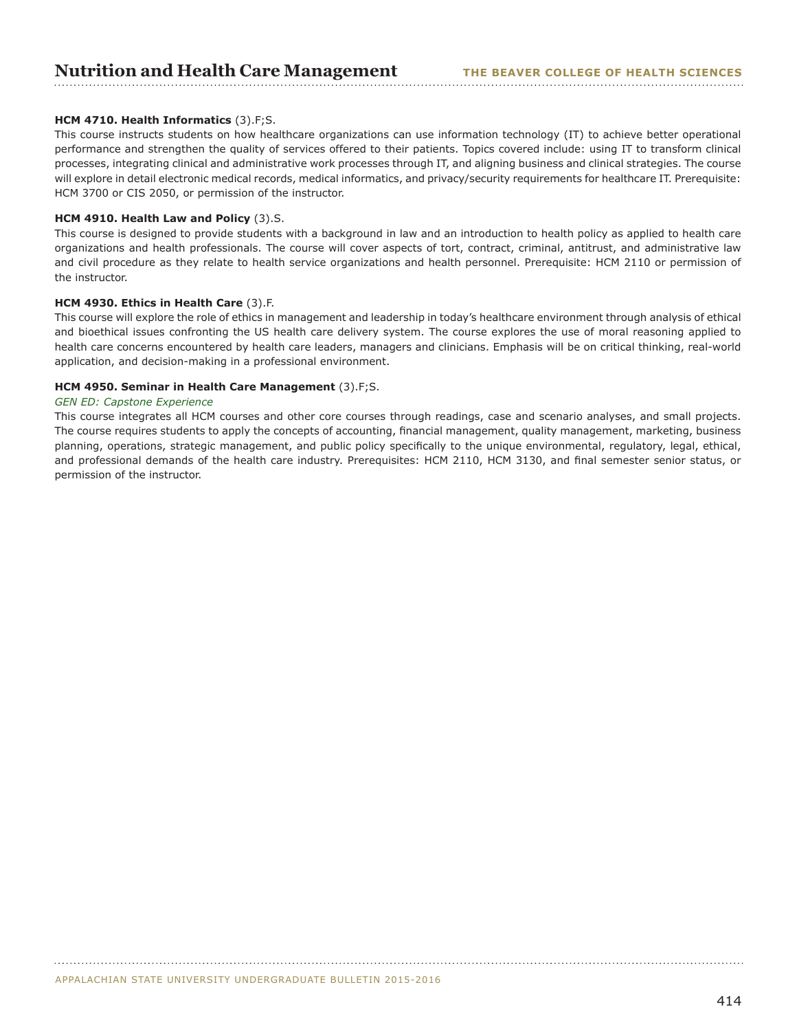## **Nutrition and Health Care Management** THE BEAVER COLLEGE OF HEALTH SCIENCES

## **HCM 4710. Health Informatics** (3).F;S.

This course instructs students on how healthcare organizations can use information technology (IT) to achieve better operational performance and strengthen the quality of services offered to their patients. Topics covered include: using IT to transform clinical processes, integrating clinical and administrative work processes through IT, and aligning business and clinical strategies. The course will explore in detail electronic medical records, medical informatics, and privacy/security requirements for healthcare IT. Prerequisite: HCM 3700 or CIS 2050, or permission of the instructor.

#### **HCM 4910. Health Law and Policy** (3).S.

This course is designed to provide students with a background in law and an introduction to health policy as applied to health care organizations and health professionals. The course will cover aspects of tort, contract, criminal, antitrust, and administrative law and civil procedure as they relate to health service organizations and health personnel. Prerequisite: HCM 2110 or permission of the instructor.

#### **HCM 4930. Ethics in Health Care** (3).F.

This course will explore the role of ethics in management and leadership in today's healthcare environment through analysis of ethical and bioethical issues confronting the US health care delivery system. The course explores the use of moral reasoning applied to health care concerns encountered by health care leaders, managers and clinicians. Emphasis will be on critical thinking, real-world application, and decision-making in a professional environment.

#### **HCM 4950. Seminar in Health Care Management** (3).F;S.

#### *GEN ED: Capstone Experience*

This course integrates all HCM courses and other core courses through readings, case and scenario analyses, and small projects. The course requires students to apply the concepts of accounting, financial management, quality management, marketing, business planning, operations, strategic management, and public policy specifically to the unique environmental, regulatory, legal, ethical, and professional demands of the health care industry. Prerequisites: HCM 2110, HCM 3130, and final semester senior status, or permission of the instructor.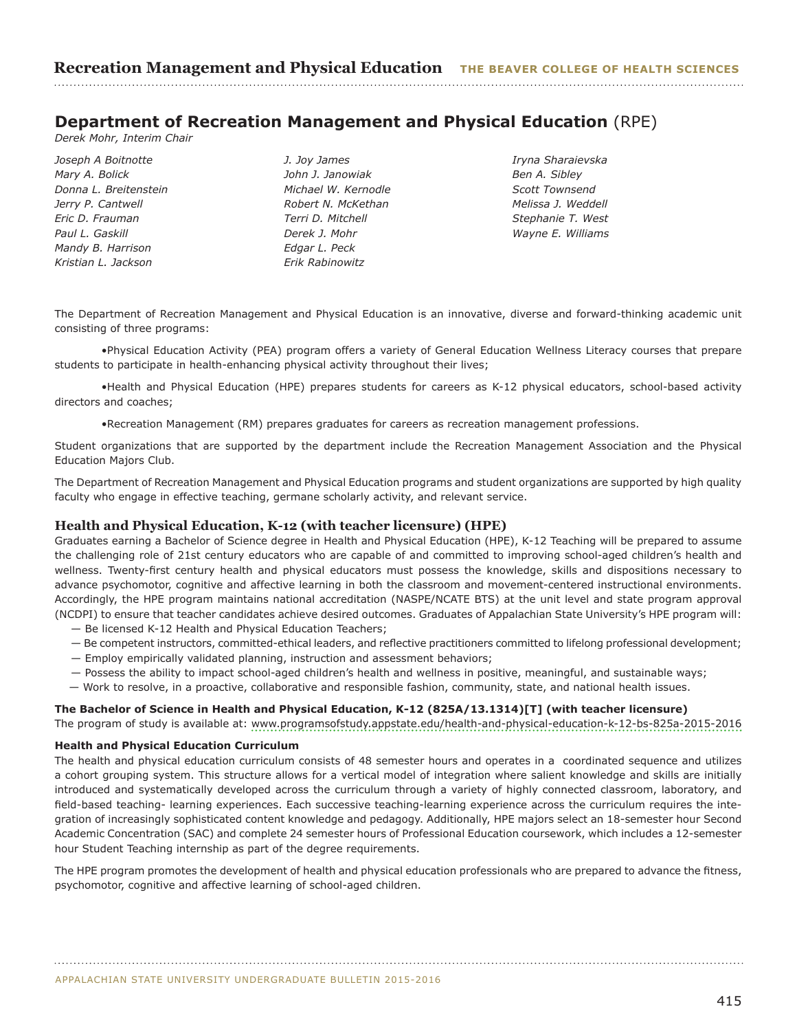## **Department of Recreation Management and Physical Education** (RPE)

*Derek Mohr, Interim Chair*

*Joseph A Boitnotte Mary A. Bolick Donna L. Breitenstein Jerry P. Cantwell Eric D. Frauman Paul L. Gaskill Mandy B. Harrison Kristian L. Jackson*

*J. Joy James John J. Janowiak Michael W. Kernodle Robert N. McKethan Terri D. Mitchell Derek J. Mohr Edgar L. Peck Erik Rabinowitz* 

*Iryna Sharaievska Ben A. Sibley Scott Townsend Melissa J. Weddell Stephanie T. West Wayne E. Williams*

The Department of Recreation Management and Physical Education is an innovative, diverse and forward-thinking academic unit consisting of three programs:

•Physical Education Activity (PEA) program offers a variety of General Education Wellness Literacy courses that prepare students to participate in health-enhancing physical activity throughout their lives;

•Health and Physical Education (HPE) prepares students for careers as K-12 physical educators, school-based activity directors and coaches;

•Recreation Management (RM) prepares graduates for careers as recreation management professions.

Student organizations that are supported by the department include the Recreation Management Association and the Physical Education Majors Club.

The Department of Recreation Management and Physical Education programs and student organizations are supported by high quality faculty who engage in effective teaching, germane scholarly activity, and relevant service.

## **Health and Physical Education, K-12 (with teacher licensure) (HPE)**

Graduates earning a Bachelor of Science degree in Health and Physical Education (HPE), K-12 Teaching will be prepared to assume the challenging role of 21st century educators who are capable of and committed to improving school-aged children's health and wellness. Twenty-first century health and physical educators must possess the knowledge, skills and dispositions necessary to advance psychomotor, cognitive and affective learning in both the classroom and movement-centered instructional environments. Accordingly, the HPE program maintains national accreditation (NASPE/NCATE BTS) at the unit level and state program approval (NCDPI) to ensure that teacher candidates achieve desired outcomes. Graduates of Appalachian State University's HPE program will:

- Be licensed K-12 Health and Physical Education Teachers;
- Be competent instructors, committed-ethical leaders, and reflective practitioners committed to lifelong professional development;
- Employ empirically validated planning, instruction and assessment behaviors;
- Possess the ability to impact school-aged children's health and wellness in positive, meaningful, and sustainable ways;
- Work to resolve, in a proactive, collaborative and responsible fashion, community, state, and national health issues.

#### **The Bachelor of Science in Health and Physical Education, K-12 (825A/13.1314)[T] (with teacher licensure)**

The program of study is available at:<www.programsofstudy.appstate.edu/health-and-physical-education-k-12-bs-825a-2015-2016>

## **Health and Physical Education Curriculum**

The health and physical education curriculum consists of 48 semester hours and operates in a coordinated sequence and utilizes a cohort grouping system. This structure allows for a vertical model of integration where salient knowledge and skills are initially introduced and systematically developed across the curriculum through a variety of highly connected classroom, laboratory, and field-based teaching- learning experiences. Each successive teaching-learning experience across the curriculum requires the integration of increasingly sophisticated content knowledge and pedagogy. Additionally, HPE majors select an 18-semester hour Second Academic Concentration (SAC) and complete 24 semester hours of Professional Education coursework, which includes a 12-semester hour Student Teaching internship as part of the degree requirements.

The HPE program promotes the development of health and physical education professionals who are prepared to advance the fitness, psychomotor, cognitive and affective learning of school-aged children.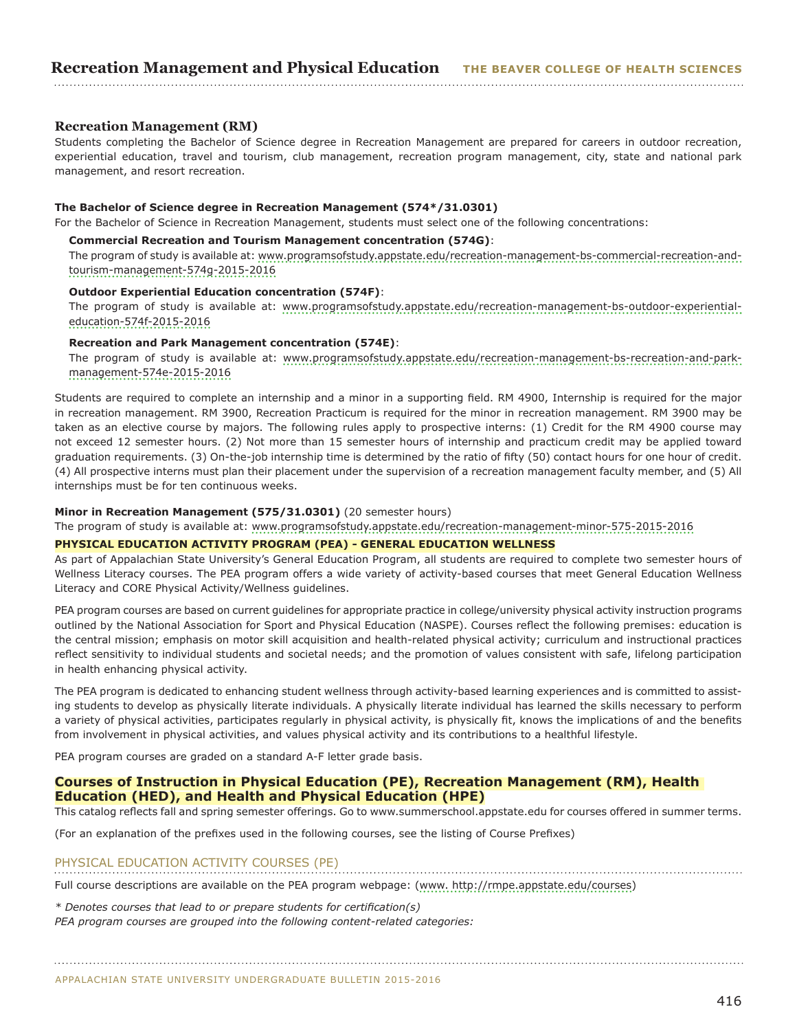## **Recreation Management (RM)**

Students completing the Bachelor of Science degree in Recreation Management are prepared for careers in outdoor recreation, experiential education, travel and tourism, club management, recreation program management, city, state and national park management, and resort recreation.

#### **The Bachelor of Science degree in Recreation Management (574\*/31.0301)**

For the Bachelor of Science in Recreation Management, students must select one of the following concentrations:

## **Commercial Recreation and Tourism Management concentration (574G)**:

The program of study is available at: [www.programsofstudy.appstate.edu/recreation-management-bs-commercial-recreation-and](www.programsofstudy.appstate.edu/recreation-management-bs-commercial-recreation-and-tourism-management-574g-2012-2013)[tourism-management-574g-2015-2016](www.programsofstudy.appstate.edu/recreation-management-bs-commercial-recreation-and-tourism-management-574g-2012-2013)

## **Outdoor Experiential Education concentration (574F)**:

The program of study is available at: [www.programsofstudy.appstate.edu/recreation-management-bs-outdoor-experiential](www.programsofstudy.appstate.edu/recreation-management-bs-outdoor-experiential-education-574f-2015-2016)[education-574f-2015-2016](www.programsofstudy.appstate.edu/recreation-management-bs-outdoor-experiential-education-574f-2015-2016) 

## **Recreation and Park Management concentration (574E)**:

The program of study is available at: www.programsofstudy.appstate.edu/recreation-management-bs-recreation-and-parkmanagement-574e-2015-2016

Students are required to complete an internship and a minor in a supporting field. RM 4900, Internship is required for the major in recreation management. RM 3900, Recreation Practicum is required for the minor in recreation management. RM 3900 may be taken as an elective course by majors. The following rules apply to prospective interns: (1) Credit for the RM 4900 course may not exceed 12 semester hours. (2) Not more than 15 semester hours of internship and practicum credit may be applied toward graduation requirements. (3) On-the-job internship time is determined by the ratio of fifty (50) contact hours for one hour of credit. (4) All prospective interns must plan their placement under the supervision of a recreation management faculty member, and (5) All internships must be for ten continuous weeks.

#### **Minor in Recreation Management (575/31.0301)** (20 semester hours)

The program of study is available at: <www.programsofstudy.appstate.edu/recreation-management-minor-575-2015-2016>

## **PHYSICAL EDUCATION ACTIVITY PROGRAM (PEA) - GENERAL EDUCATION WELLNESS**

As part of Appalachian State University's General Education Program, all students are required to complete two semester hours of Wellness Literacy courses. The PEA program offers a wide variety of activity-based courses that meet General Education Wellness Literacy and CORE Physical Activity/Wellness guidelines.

PEA program courses are based on current guidelines for appropriate practice in college/university physical activity instruction programs outlined by the National Association for Sport and Physical Education (NASPE). Courses reflect the following premises: education is the central mission; emphasis on motor skill acquisition and health-related physical activity; curriculum and instructional practices reflect sensitivity to individual students and societal needs; and the promotion of values consistent with safe, lifelong participation in health enhancing physical activity.

The PEA program is dedicated to enhancing student wellness through activity-based learning experiences and is committed to assisting students to develop as physically literate individuals. A physically literate individual has learned the skills necessary to perform a variety of physical activities, participates regularly in physical activity, is physically fit, knows the implications of and the benefits from involvement in physical activities, and values physical activity and its contributions to a healthful lifestyle.

PEA program courses are graded on a standard A-F letter grade basis.

## **Courses of Instruction in Physical Education (PE), Recreation Management (RM), Health Education (HED), and Health and Physical Education (HPE)**

This catalog reflects fall and spring semester offerings. Go to www.summerschool.appstate.edu for courses offered in summer terms.

(For an explanation of the prefixes used in the following courses, see the listing of Course Prefixes)

## PHYSICAL EDUCATION ACTIVITY COURSES (PE)

Full course descriptions are available on the PEA program webpage: (<www. http://rmpe.appstate.edu/courses>)

*\* Denotes courses that lead to or prepare students for certification(s) PEA program courses are grouped into the following content-related categories:*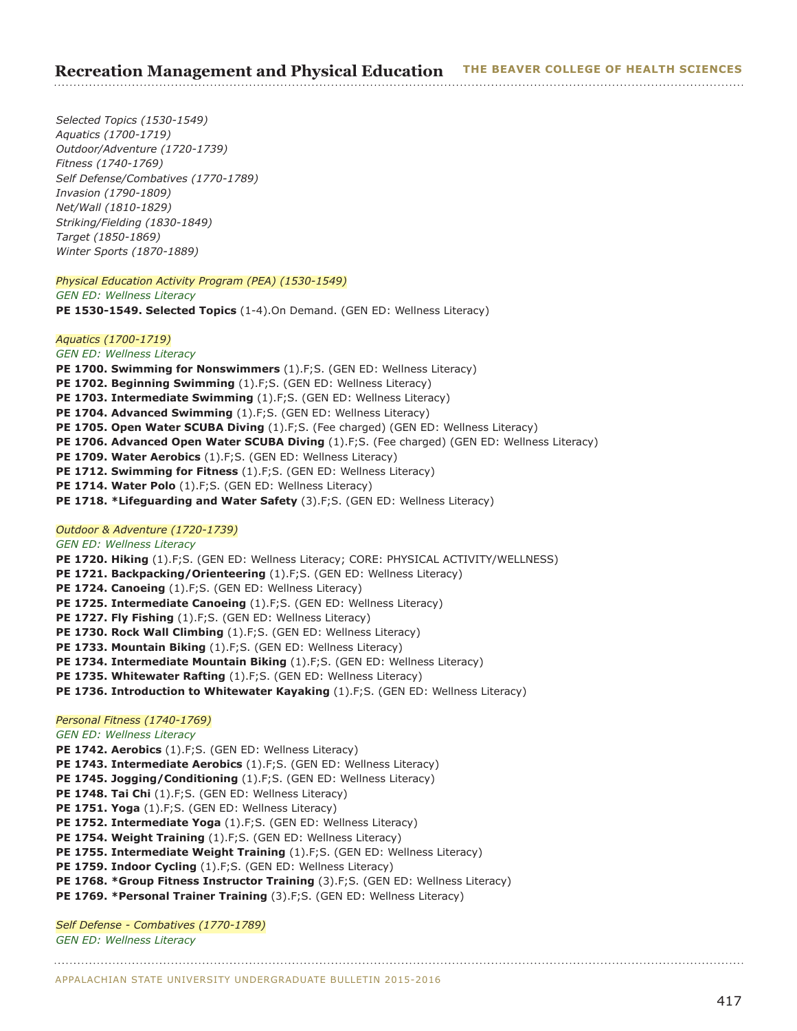*Selected Topics (1530-1549) Aquatics (1700-1719) Outdoor/Adventure (1720-1739) Fitness (1740-1769) Self Defense/Combatives (1770-1789) Invasion (1790-1809) Net/Wall (1810-1829) Striking/Fielding (1830-1849) Target (1850-1869) Winter Sports (1870-1889)*

## *Physical Education Activity Program (PEA) (1530-1549)*

*GEN ED: Wellness Literacy* **PE 1530-1549. Selected Topics** (1-4).On Demand. (GEN ED: Wellness Literacy)

#### *Aquatics (1700-1719)*

*GEN ED: Wellness Literacy*

- **PE 1700. Swimming for Nonswimmers** (1).F;S. (GEN ED: Wellness Literacy)
- **PE 1702. Beginning Swimming** (1).F;S. (GEN ED: Wellness Literacy)
- **PE 1703. Intermediate Swimming** (1).F;S. (GEN ED: Wellness Literacy)
- PE 1704. Advanced Swimming (1).F;S. (GEN ED: Wellness Literacy)
- **PE 1705. Open Water SCUBA Diving** (1).F;S. (Fee charged) (GEN ED: Wellness Literacy)
- **PE 1706. Advanced Open Water SCUBA Diving** (1).F;S. (Fee charged) (GEN ED: Wellness Literacy)
- PE 1709. Water Aerobics (1).F;S. (GEN ED: Wellness Literacy)
- PE 1712. Swimming for Fitness (1).F;S. (GEN ED: Wellness Literacy)
- PE 1714. Water Polo (1).F;S. (GEN ED: Wellness Literacy)
- **PE 1718. \*Lifeguarding and Water Safety** (3).F;S. (GEN ED: Wellness Literacy)

## *Outdoor & Adventure (1720-1739)*

## *GEN ED: Wellness Literacy*

**PE 1720. Hiking** (1).F;S. (GEN ED: Wellness Literacy; CORE: PHYSICAL ACTIVITY/WELLNESS) **PE 1721. Backpacking/Orienteering** (1).F;S. (GEN ED: Wellness Literacy) PE 1724. Canoeing (1).F;S. (GEN ED: Wellness Literacy) **PE 1725. Intermediate Canoeing** (1).F;S. (GEN ED: Wellness Literacy) **PE 1727. Fly Fishing** (1).F;S. (GEN ED: Wellness Literacy) **PE 1730. Rock Wall Climbing** (1).F;S. (GEN ED: Wellness Literacy) **PE 1733. Mountain Biking** (1).F;S. (GEN ED: Wellness Literacy) **PE 1734. Intermediate Mountain Biking** (1).F;S. (GEN ED: Wellness Literacy) **PE 1735. Whitewater Rafting** (1).F;S. (GEN ED: Wellness Literacy) **PE 1736. Introduction to Whitewater Kayaking** (1).F;S. (GEN ED: Wellness Literacy) *Personal Fitness (1740-1769)*

## *GEN ED: Wellness Literacy*

**PE 1742. Aerobics** (1).F;S. (GEN ED: Wellness Literacy)

**PE 1743. Intermediate Aerobics** (1).F;S. (GEN ED: Wellness Literacy)

PE 1745. Jogging/Conditioning (1).F;S. (GEN ED: Wellness Literacy)

- PE 1748. Tai Chi (1).F;S. (GEN ED: Wellness Literacy)
- PE 1751. Yoga (1).F;S. (GEN ED: Wellness Literacy)
- PE 1752. Intermediate Yoga (1).F;S. (GEN ED: Wellness Literacy)

**PE 1754. Weight Training** (1).F;S. (GEN ED: Wellness Literacy)

**PE 1755. Intermediate Weight Training** (1).F;S. (GEN ED: Wellness Literacy)

PE 1759. Indoor Cycling (1).F;S. (GEN ED: Wellness Literacy)

**PE 1768. \*Group Fitness Instructor Training** (3).F;S. (GEN ED: Wellness Literacy)

**PE 1769. \*Personal Trainer Training** (3).F;S. (GEN ED: Wellness Literacy)

## *Self Defense - Combatives (1770-1789)*

*GEN ED: Wellness Literacy*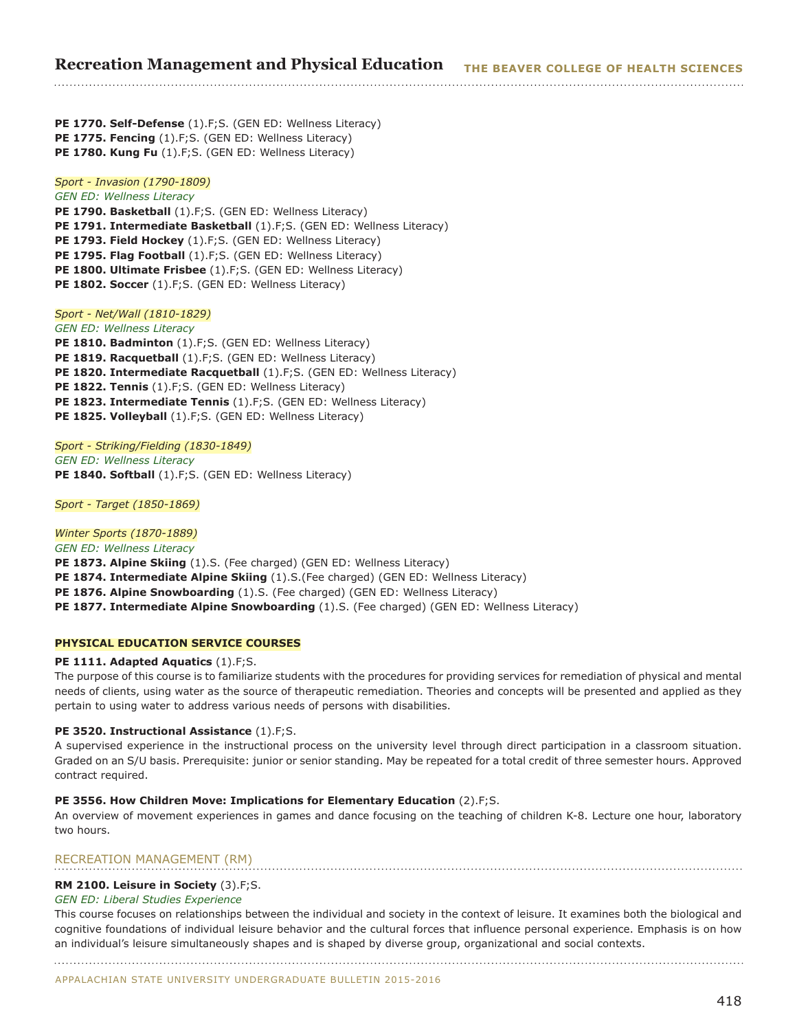**PE 1770. Self-Defense** (1).F;S. (GEN ED: Wellness Literacy) **PE 1775. Fencing** (1).F;S. (GEN ED: Wellness Literacy) **PE 1780. Kung Fu** (1).F;S. (GEN ED: Wellness Literacy)

## *Sport - Invasion (1790-1809)*

*GEN ED: Wellness Literacy* **PE 1790. Basketball** (1).F;S. (GEN ED: Wellness Literacy) **PE 1791. Intermediate Basketball** (1).F;S. (GEN ED: Wellness Literacy) **PE 1793. Field Hockey** (1).F;S. (GEN ED: Wellness Literacy) PE 1795. Flag Football (1).F;S. (GEN ED: Wellness Literacy) **PE 1800. Ultimate Frisbee** (1).F;S. (GEN ED: Wellness Literacy) PE 1802. Soccer (1).F;S. (GEN ED: Wellness Literacy)

## *Sport - Net/Wall (1810-1829)*

*GEN ED: Wellness Literacy* PE 1810. Badminton (1).F;S. (GEN ED: Wellness Literacy) PE 1819. Racquetball (1).F;S. (GEN ED: Wellness Literacy) **PE 1820. Intermediate Racquetball** (1).F;S. (GEN ED: Wellness Literacy) PE 1822. Tennis (1).F;S. (GEN ED: Wellness Literacy) **PE 1823. Intermediate Tennis** (1).F;S. (GEN ED: Wellness Literacy) PE 1825. Volleyball (1).F;S. (GEN ED: Wellness Literacy)

*Sport - Striking/Fielding (1830-1849) GEN ED: Wellness Literacy* PE 1840. Softball (1).F;S. (GEN ED: Wellness Literacy)

*Sport - Target (1850-1869)*

## *Winter Sports (1870-1889)*

*GEN ED: Wellness Literacy* **PE 1873. Alpine Skiing** (1).S. (Fee charged) (GEN ED: Wellness Literacy) **PE 1874. Intermediate Alpine Skiing** (1).S.(Fee charged) (GEN ED: Wellness Literacy) **PE 1876. Alpine Snowboarding** (1).S. (Fee charged) (GEN ED: Wellness Literacy) **PE 1877. Intermediate Alpine Snowboarding** (1).S. (Fee charged) (GEN ED: Wellness Literacy)

## **PHYSICAL EDUCATION SERVICE COURSES**

#### **PE 1111. Adapted Aquatics** (1).F;S.

The purpose of this course is to familiarize students with the procedures for providing services for remediation of physical and mental needs of clients, using water as the source of therapeutic remediation. Theories and concepts will be presented and applied as they pertain to using water to address various needs of persons with disabilities.

#### **PE 3520. Instructional Assistance** (1).F;S.

A supervised experience in the instructional process on the university level through direct participation in a classroom situation. Graded on an S/U basis. Prerequisite: junior or senior standing. May be repeated for a total credit of three semester hours. Approved contract required.

## **PE 3556. How Children Move: Implications for Elementary Education** (2).F;S.

An overview of movement experiences in games and dance focusing on the teaching of children K-8. Lecture one hour, laboratory two hours.

## RECREATION MANAGEMENT (RM)

#### **RM 2100. Leisure in Society** (3).F;S.

#### *GEN ED: Liberal Studies Experience*

This course focuses on relationships between the individual and society in the context of leisure. It examines both the biological and cognitive foundations of individual leisure behavior and the cultural forces that influence personal experience. Emphasis is on how an individual's leisure simultaneously shapes and is shaped by diverse group, organizational and social contexts.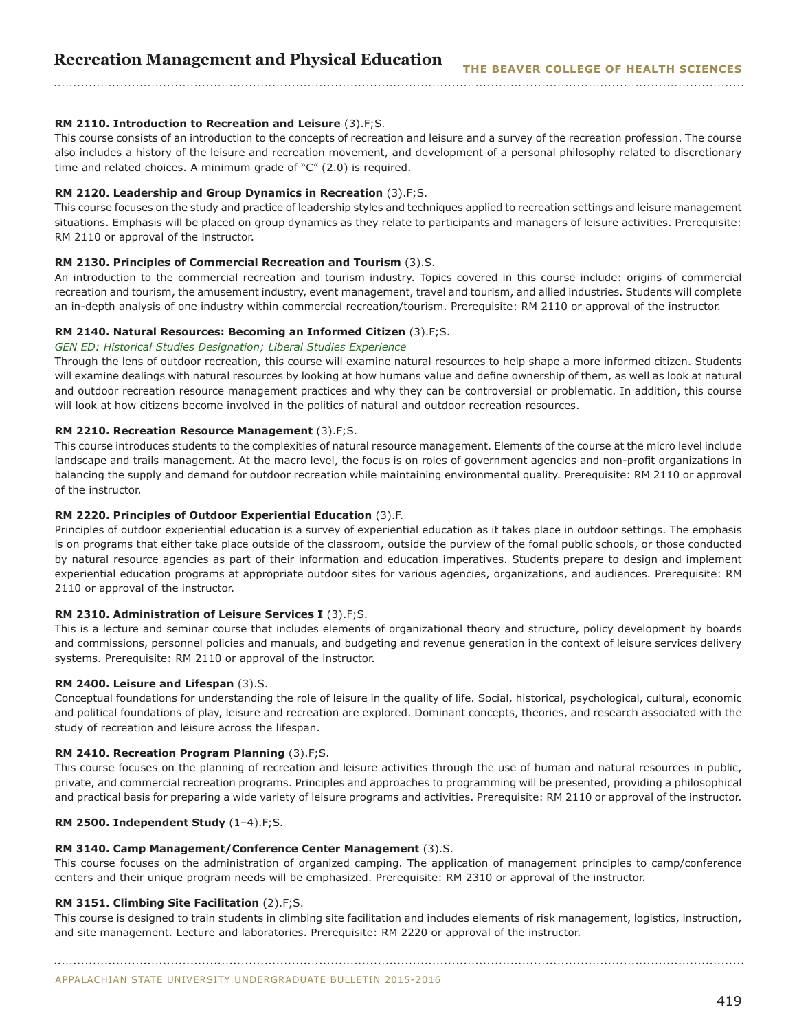## **RM 2110. Introduction to Recreation and Leisure** (3).F;S.

This course consists of an introduction to the concepts of recreation and leisure and a survey of the recreation profession. The course also includes a history of the leisure and recreation movement, and development of a personal philosophy related to discretionary time and related choices. A minimum grade of "C" (2.0) is required.

#### **RM 2120. Leadership and Group Dynamics in Recreation** (3).F;S.

This course focuses on the study and practice of leadership styles and techniques applied to recreation settings and leisure management situations. Emphasis will be placed on group dynamics as they relate to participants and managers of leisure activities. Prerequisite: RM 2110 or approval of the instructor.

## **RM 2130. Principles of Commercial Recreation and Tourism** (3).S.

An introduction to the commercial recreation and tourism industry. Topics covered in this course include: origins of commercial recreation and tourism, the amusement industry, event management, travel and tourism, and allied industries. Students will complete an in-depth analysis of one industry within commercial recreation/tourism. Prerequisite: RM 2110 or approval of the instructor.

## **RM 2140. Natural Resources: Becoming an Informed Citizen** (3).F;S.

#### *GEN ED: Historical Studies Designation; Liberal Studies Experience*

Through the lens of outdoor recreation, this course will examine natural resources to help shape a more informed citizen. Students will examine dealings with natural resources by looking at how humans value and define ownership of them, as well as look at natural and outdoor recreation resource management practices and why they can be controversial or problematic. In addition, this course will look at how citizens become involved in the politics of natural and outdoor recreation resources.

## **RM 2210. Recreation Resource Management** (3).F;S.

This course introduces students to the complexities of natural resource management. Elements of the course at the micro level include landscape and trails management. At the macro level, the focus is on roles of government agencies and non-profit organizations in balancing the supply and demand for outdoor recreation while maintaining environmental quality. Prerequisite: RM 2110 or approval of the instructor.

#### **RM 2220. Principles of Outdoor Experiential Education** (3).F.

Principles of outdoor experiential education is a survey of experiential education as it takes place in outdoor settings. The emphasis is on programs that either take place outside of the classroom, outside the purview of the fomal public schools, or those conducted by natural resource agencies as part of their information and education imperatives. Students prepare to design and implement experiential education programs at appropriate outdoor sites for various agencies, organizations, and audiences. Prerequisite: RM 2110 or approval of the instructor.

#### **RM 2310. Administration of Leisure Services I** (3).F;S.

This is a lecture and seminar course that includes elements of organizational theory and structure, policy development by boards and commissions, personnel policies and manuals, and budgeting and revenue generation in the context of leisure services delivery systems. Prerequisite: RM 2110 or approval of the instructor.

#### **RM 2400. Leisure and Lifespan** (3).S.

Conceptual foundations for understanding the role of leisure in the quality of life. Social, historical, psychological, cultural, economic and political foundations of play, leisure and recreation are explored. Dominant concepts, theories, and research associated with the study of recreation and leisure across the lifespan.

#### **RM 2410. Recreation Program Planning** (3).F;S.

This course focuses on the planning of recreation and leisure activities through the use of human and natural resources in public, private, and commercial recreation programs. Principles and approaches to programming will be presented, providing a philosophical and practical basis for preparing a wide variety of leisure programs and activities. Prerequisite: RM 2110 or approval of the instructor.

#### **RM 2500. Independent Study** (1–4).F;S.

#### **RM 3140. Camp Management/Conference Center Management** (3).S.

This course focuses on the administration of organized camping. The application of management principles to camp/conference centers and their unique program needs will be emphasized. Prerequisite: RM 2310 or approval of the instructor.

#### **RM 3151. Climbing Site Facilitation** (2).F;S.

This course is designed to train students in climbing site facilitation and includes elements of risk management, logistics, instruction, and site management. Lecture and laboratories. Prerequisite: RM 2220 or approval of the instructor.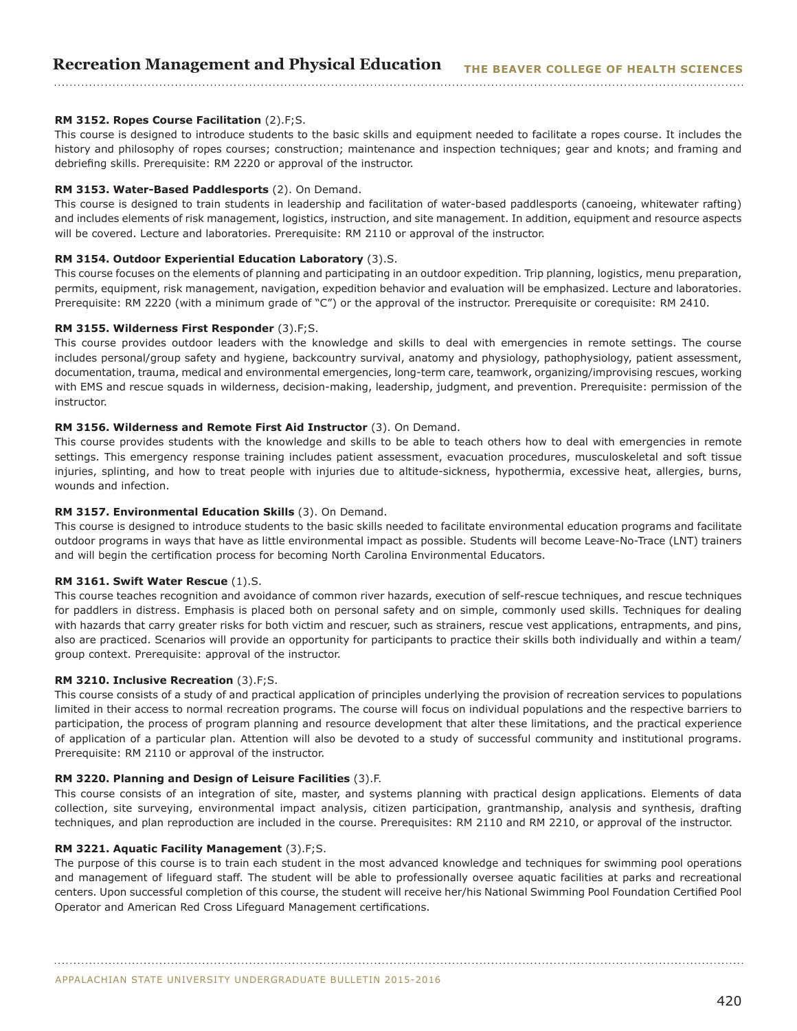## **RM 3152. Ropes Course Facilitation** (2).F;S.

This course is designed to introduce students to the basic skills and equipment needed to facilitate a ropes course. It includes the history and philosophy of ropes courses; construction; maintenance and inspection techniques; gear and knots; and framing and debriefing skills. Prerequisite: RM 2220 or approval of the instructor.

#### **RM 3153. Water-Based Paddlesports** (2). On Demand.

This course is designed to train students in leadership and facilitation of water-based paddlesports (canoeing, whitewater rafting) and includes elements of risk management, logistics, instruction, and site management. In addition, equipment and resource aspects will be covered. Lecture and laboratories. Prerequisite: RM 2110 or approval of the instructor.

#### **RM 3154. Outdoor Experiential Education Laboratory** (3).S.

This course focuses on the elements of planning and participating in an outdoor expedition. Trip planning, logistics, menu preparation, permits, equipment, risk management, navigation, expedition behavior and evaluation will be emphasized. Lecture and laboratories. Prerequisite: RM 2220 (with a minimum grade of "C") or the approval of the instructor. Prerequisite or corequisite: RM 2410.

#### **RM 3155. Wilderness First Responder** (3).F;S.

This course provides outdoor leaders with the knowledge and skills to deal with emergencies in remote settings. The course includes personal/group safety and hygiene, backcountry survival, anatomy and physiology, pathophysiology, patient assessment, documentation, trauma, medical and environmental emergencies, long-term care, teamwork, organizing/improvising rescues, working with EMS and rescue squads in wilderness, decision-making, leadership, judgment, and prevention. Prerequisite: permission of the instructor.

#### **RM 3156. Wilderness and Remote First Aid Instructor** (3). On Demand.

This course provides students with the knowledge and skills to be able to teach others how to deal with emergencies in remote settings. This emergency response training includes patient assessment, evacuation procedures, musculoskeletal and soft tissue injuries, splinting, and how to treat people with injuries due to altitude-sickness, hypothermia, excessive heat, allergies, burns, wounds and infection.

#### **RM 3157. Environmental Education Skills** (3). On Demand.

This course is designed to introduce students to the basic skills needed to facilitate environmental education programs and facilitate outdoor programs in ways that have as little environmental impact as possible. Students will become Leave-No-Trace (LNT) trainers and will begin the certification process for becoming North Carolina Environmental Educators.

#### **RM 3161. Swift Water Rescue** (1).S.

This course teaches recognition and avoidance of common river hazards, execution of self-rescue techniques, and rescue techniques for paddlers in distress. Emphasis is placed both on personal safety and on simple, commonly used skills. Techniques for dealing with hazards that carry greater risks for both victim and rescuer, such as strainers, rescue vest applications, entrapments, and pins, also are practiced. Scenarios will provide an opportunity for participants to practice their skills both individually and within a team/ group context. Prerequisite: approval of the instructor.

#### **RM 3210. Inclusive Recreation** (3).F;S.

This course consists of a study of and practical application of principles underlying the provision of recreation services to populations limited in their access to normal recreation programs. The course will focus on individual populations and the respective barriers to participation, the process of program planning and resource development that alter these limitations, and the practical experience of application of a particular plan. Attention will also be devoted to a study of successful community and institutional programs. Prerequisite: RM 2110 or approval of the instructor.

#### **RM 3220. Planning and Design of Leisure Facilities** (3).F.

This course consists of an integration of site, master, and systems planning with practical design applications. Elements of data collection, site surveying, environmental impact analysis, citizen participation, grantmanship, analysis and synthesis, drafting techniques, and plan reproduction are included in the course. Prerequisites: RM 2110 and RM 2210, or approval of the instructor.

#### **RM 3221. Aquatic Facility Management** (3).F;S.

The purpose of this course is to train each student in the most advanced knowledge and techniques for swimming pool operations and management of lifeguard staff. The student will be able to professionally oversee aquatic facilities at parks and recreational centers. Upon successful completion of this course, the student will receive her/his National Swimming Pool Foundation Certified Pool Operator and American Red Cross Lifeguard Management certifications.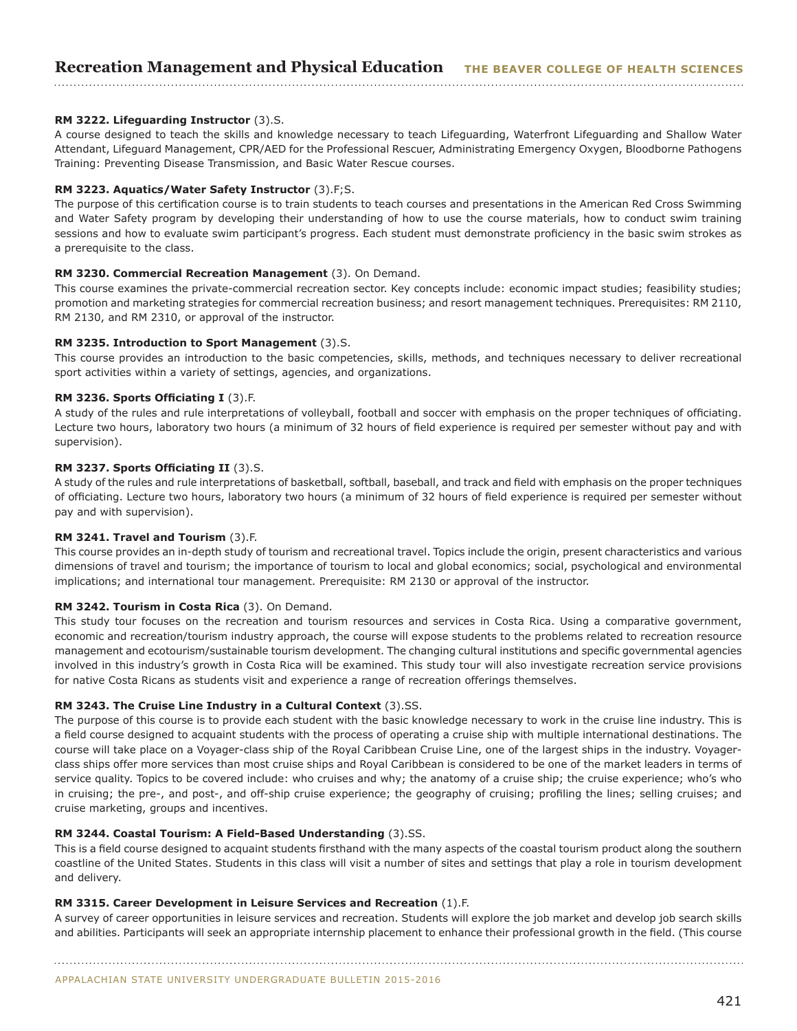## **RM 3222. Lifeguarding Instructor** (3).S.

A course designed to teach the skills and knowledge necessary to teach Lifeguarding, Waterfront Lifeguarding and Shallow Water Attendant, Lifeguard Management, CPR/AED for the Professional Rescuer, Administrating Emergency Oxygen, Bloodborne Pathogens Training: Preventing Disease Transmission, and Basic Water Rescue courses.

#### **RM 3223. Aquatics/Water Safety Instructor** (3).F;S.

The purpose of this certification course is to train students to teach courses and presentations in the American Red Cross Swimming and Water Safety program by developing their understanding of how to use the course materials, how to conduct swim training sessions and how to evaluate swim participant's progress. Each student must demonstrate proficiency in the basic swim strokes as a prerequisite to the class.

#### **RM 3230. Commercial Recreation Management** (3). On Demand.

This course examines the private-commercial recreation sector. Key concepts include: economic impact studies; feasibility studies; promotion and marketing strategies for commercial recreation business; and resort management techniques. Prerequisites: RM 2110, RM 2130, and RM 2310, or approval of the instructor.

#### **RM 3235. Introduction to Sport Management** (3).S.

This course provides an introduction to the basic competencies, skills, methods, and techniques necessary to deliver recreational sport activities within a variety of settings, agencies, and organizations.

#### **RM 3236. Sports Officiating I** (3).F.

A study of the rules and rule interpretations of volleyball, football and soccer with emphasis on the proper techniques of officiating. Lecture two hours, laboratory two hours (a minimum of 32 hours of field experience is required per semester without pay and with supervision).

#### **RM 3237. Sports Officiating II** (3).S.

A study of the rules and rule interpretations of basketball, softball, baseball, and track and field with emphasis on the proper techniques of officiating. Lecture two hours, laboratory two hours (a minimum of 32 hours of field experience is required per semester without pay and with supervision).

## **RM 3241. Travel and Tourism** (3).F.

This course provides an in-depth study of tourism and recreational travel. Topics include the origin, present characteristics and various dimensions of travel and tourism; the importance of tourism to local and global economics; social, psychological and environmental implications; and international tour management. Prerequisite: RM 2130 or approval of the instructor.

#### **RM 3242. Tourism in Costa Rica** (3). On Demand.

This study tour focuses on the recreation and tourism resources and services in Costa Rica. Using a comparative government, economic and recreation/tourism industry approach, the course will expose students to the problems related to recreation resource management and ecotourism/sustainable tourism development. The changing cultural institutions and specific governmental agencies involved in this industry's growth in Costa Rica will be examined. This study tour will also investigate recreation service provisions for native Costa Ricans as students visit and experience a range of recreation offerings themselves.

#### **RM 3243. The Cruise Line Industry in a Cultural Context** (3).SS.

The purpose of this course is to provide each student with the basic knowledge necessary to work in the cruise line industry. This is a field course designed to acquaint students with the process of operating a cruise ship with multiple international destinations. The course will take place on a Voyager-class ship of the Royal Caribbean Cruise Line, one of the largest ships in the industry. Voyagerclass ships offer more services than most cruise ships and Royal Caribbean is considered to be one of the market leaders in terms of service quality. Topics to be covered include: who cruises and why; the anatomy of a cruise ship; the cruise experience; who's who in cruising; the pre-, and post-, and off-ship cruise experience; the geography of cruising; profiling the lines; selling cruises; and cruise marketing, groups and incentives.

## **RM 3244. Coastal Tourism: A Field-Based Understanding** (3).SS.

This is a field course designed to acquaint students firsthand with the many aspects of the coastal tourism product along the southern coastline of the United States. Students in this class will visit a number of sites and settings that play a role in tourism development and delivery.

### **RM 3315. Career Development in Leisure Services and Recreation** (1).F.

A survey of career opportunities in leisure services and recreation. Students will explore the job market and develop job search skills and abilities. Participants will seek an appropriate internship placement to enhance their professional growth in the field. (This course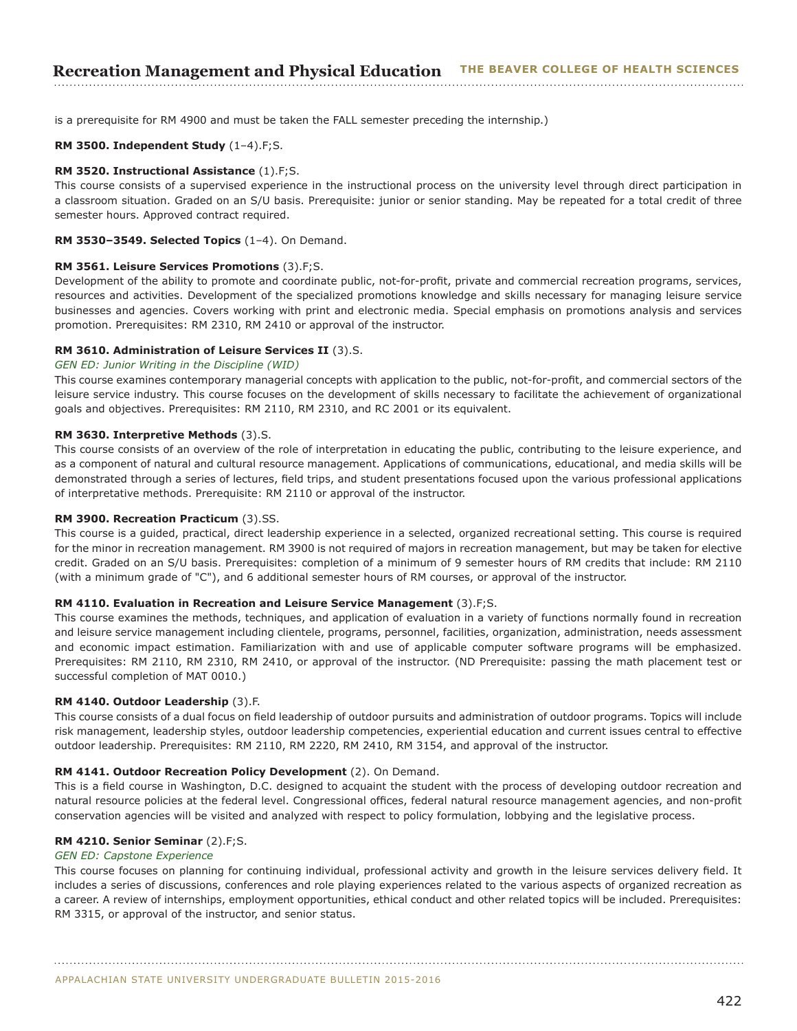# **Recreation Management and Physical Education THE BEAVER COLLEGE OF HEALTH SCIENCES**

is a prerequisite for RM 4900 and must be taken the FALL semester preceding the internship.)

#### **RM 3500. Independent Study** (1–4).F;S.

#### **RM 3520. Instructional Assistance** (1).F;S.

This course consists of a supervised experience in the instructional process on the university level through direct participation in a classroom situation. Graded on an S/U basis. Prerequisite: junior or senior standing. May be repeated for a total credit of three semester hours. Approved contract required.

#### **RM 3530–3549. Selected Topics** (1–4). On Demand.

#### **RM 3561. Leisure Services Promotions** (3).F;S.

Development of the ability to promote and coordinate public, not-for-profit, private and commercial recreation programs, services, resources and activities. Development of the specialized promotions knowledge and skills necessary for managing leisure service businesses and agencies. Covers working with print and electronic media. Special emphasis on promotions analysis and services promotion. Prerequisites: RM 2310, RM 2410 or approval of the instructor.

## **RM 3610. Administration of Leisure Services II** (3).S.

## *GEN ED: Junior Writing in the Discipline (WID)*

This course examines contemporary managerial concepts with application to the public, not-for-profit, and commercial sectors of the leisure service industry. This course focuses on the development of skills necessary to facilitate the achievement of organizational goals and objectives. Prerequisites: RM 2110, RM 2310, and RC 2001 or its equivalent.

#### **RM 3630. Interpretive Methods** (3).S.

This course consists of an overview of the role of interpretation in educating the public, contributing to the leisure experience, and as a component of natural and cultural resource management. Applications of communications, educational, and media skills will be demonstrated through a series of lectures, field trips, and student presentations focused upon the various professional applications of interpretative methods. Prerequisite: RM 2110 or approval of the instructor.

#### **RM 3900. Recreation Practicum** (3).SS.

This course is a guided, practical, direct leadership experience in a selected, organized recreational setting. This course is required for the minor in recreation management. RM 3900 is not required of majors in recreation management, but may be taken for elective credit. Graded on an S/U basis. Prerequisites: completion of a minimum of 9 semester hours of RM credits that include: RM 2110 (with a minimum grade of "C"), and 6 additional semester hours of RM courses, or approval of the instructor.

#### **RM 4110. Evaluation in Recreation and Leisure Service Management** (3).F;S.

This course examines the methods, techniques, and application of evaluation in a variety of functions normally found in recreation and leisure service management including clientele, programs, personnel, facilities, organization, administration, needs assessment and economic impact estimation. Familiarization with and use of applicable computer software programs will be emphasized. Prerequisites: RM 2110, RM 2310, RM 2410, or approval of the instructor. (ND Prerequisite: passing the math placement test or successful completion of MAT 0010.)

#### **RM 4140. Outdoor Leadership** (3).F.

This course consists of a dual focus on field leadership of outdoor pursuits and administration of outdoor programs. Topics will include risk management, leadership styles, outdoor leadership competencies, experiential education and current issues central to effective outdoor leadership. Prerequisites: RM 2110, RM 2220, RM 2410, RM 3154, and approval of the instructor.

#### **RM 4141. Outdoor Recreation Policy Development** (2). On Demand.

This is a field course in Washington, D.C. designed to acquaint the student with the process of developing outdoor recreation and natural resource policies at the federal level. Congressional offices, federal natural resource management agencies, and non-profit conservation agencies will be visited and analyzed with respect to policy formulation, lobbying and the legislative process.

#### **RM 4210. Senior Seminar** (2).F;S.

## *GEN ED: Capstone Experience*

This course focuses on planning for continuing individual, professional activity and growth in the leisure services delivery field. It includes a series of discussions, conferences and role playing experiences related to the various aspects of organized recreation as a career. A review of internships, employment opportunities, ethical conduct and other related topics will be included. Prerequisites: RM 3315, or approval of the instructor, and senior status.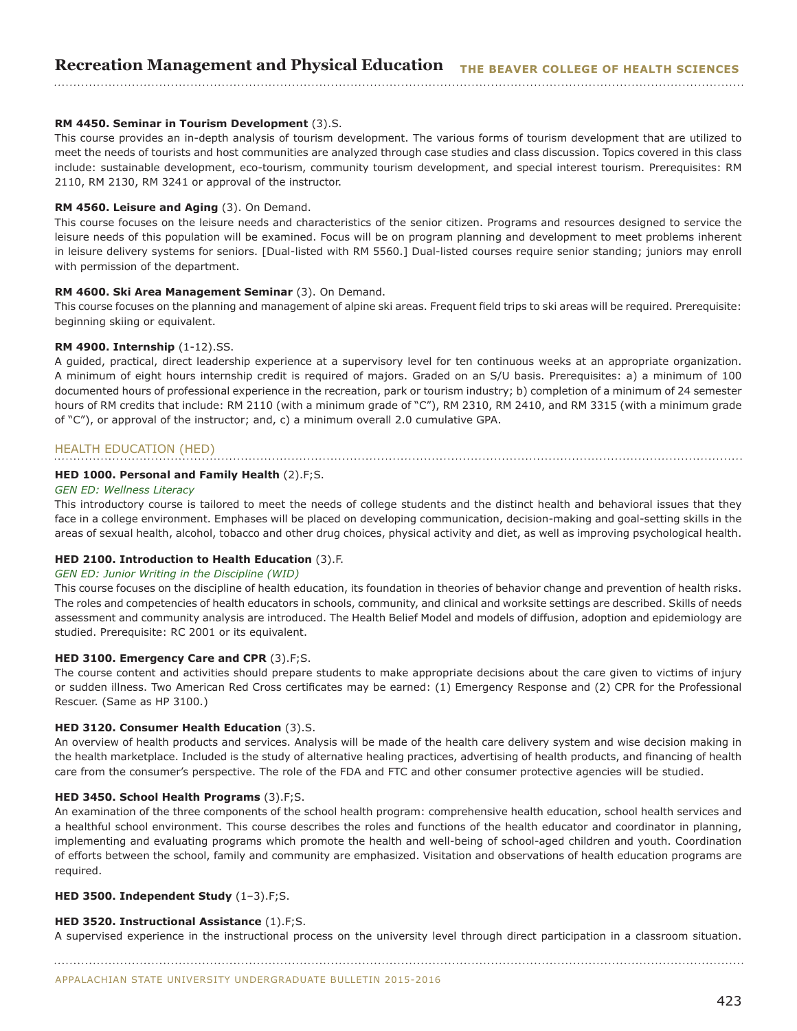## **RM 4450. Seminar in Tourism Development** (3).S.

This course provides an in-depth analysis of tourism development. The various forms of tourism development that are utilized to meet the needs of tourists and host communities are analyzed through case studies and class discussion. Topics covered in this class include: sustainable development, eco-tourism, community tourism development, and special interest tourism. Prerequisites: RM 2110, RM 2130, RM 3241 or approval of the instructor.

#### **RM 4560. Leisure and Aging** (3). On Demand.

This course focuses on the leisure needs and characteristics of the senior citizen. Programs and resources designed to service the leisure needs of this population will be examined. Focus will be on program planning and development to meet problems inherent in leisure delivery systems for seniors. [Dual-listed with RM 5560.] Dual-listed courses require senior standing; juniors may enroll with permission of the department.

### **RM 4600. Ski Area Management Seminar** (3). On Demand.

This course focuses on the planning and management of alpine ski areas. Frequent field trips to ski areas will be required. Prerequisite: beginning skiing or equivalent.

#### **RM 4900. Internship** (1-12).SS.

A guided, practical, direct leadership experience at a supervisory level for ten continuous weeks at an appropriate organization. A minimum of eight hours internship credit is required of majors. Graded on an S/U basis. Prerequisites: a) a minimum of 100 documented hours of professional experience in the recreation, park or tourism industry; b) completion of a minimum of 24 semester hours of RM credits that include: RM 2110 (with a minimum grade of "C"), RM 2310, RM 2410, and RM 3315 (with a minimum grade of "C"), or approval of the instructor; and, c) a minimum overall 2.0 cumulative GPA.

## HEALTH EDUCATION (HED)

#### **HED 1000. Personal and Family Health** (2).F;S.

#### *GEN ED: Wellness Literacy*

This introductory course is tailored to meet the needs of college students and the distinct health and behavioral issues that they face in a college environment. Emphases will be placed on developing communication, decision-making and goal-setting skills in the areas of sexual health, alcohol, tobacco and other drug choices, physical activity and diet, as well as improving psychological health.

## **HED 2100. Introduction to Health Education** (3).F.

## *GEN ED: Junior Writing in the Discipline (WID)*

This course focuses on the discipline of health education, its foundation in theories of behavior change and prevention of health risks. The roles and competencies of health educators in schools, community, and clinical and worksite settings are described. Skills of needs assessment and community analysis are introduced. The Health Belief Model and models of diffusion, adoption and epidemiology are studied. Prerequisite: RC 2001 or its equivalent.

#### **HED 3100. Emergency Care and CPR** (3).F;S.

The course content and activities should prepare students to make appropriate decisions about the care given to victims of injury or sudden illness. Two American Red Cross certificates may be earned: (1) Emergency Response and (2) CPR for the Professional Rescuer. (Same as HP 3100.)

#### **HED 3120. Consumer Health Education** (3).S.

An overview of health products and services. Analysis will be made of the health care delivery system and wise decision making in the health marketplace. Included is the study of alternative healing practices, advertising of health products, and financing of health care from the consumer's perspective. The role of the FDA and FTC and other consumer protective agencies will be studied.

#### **HED 3450. School Health Programs** (3).F;S.

An examination of the three components of the school health program: comprehensive health education, school health services and a healthful school environment. This course describes the roles and functions of the health educator and coordinator in planning, implementing and evaluating programs which promote the health and well-being of school-aged children and youth. Coordination of efforts between the school, family and community are emphasized. Visitation and observations of health education programs are required.

#### **HED 3500. Independent Study** (1–3).F;S.

## **HED 3520. Instructional Assistance** (1).F;S.

A supervised experience in the instructional process on the university level through direct participation in a classroom situation. 

APPALACHIAN STATE UNIVERSITY UNDERGRADUATE BULLETIN 2015-2016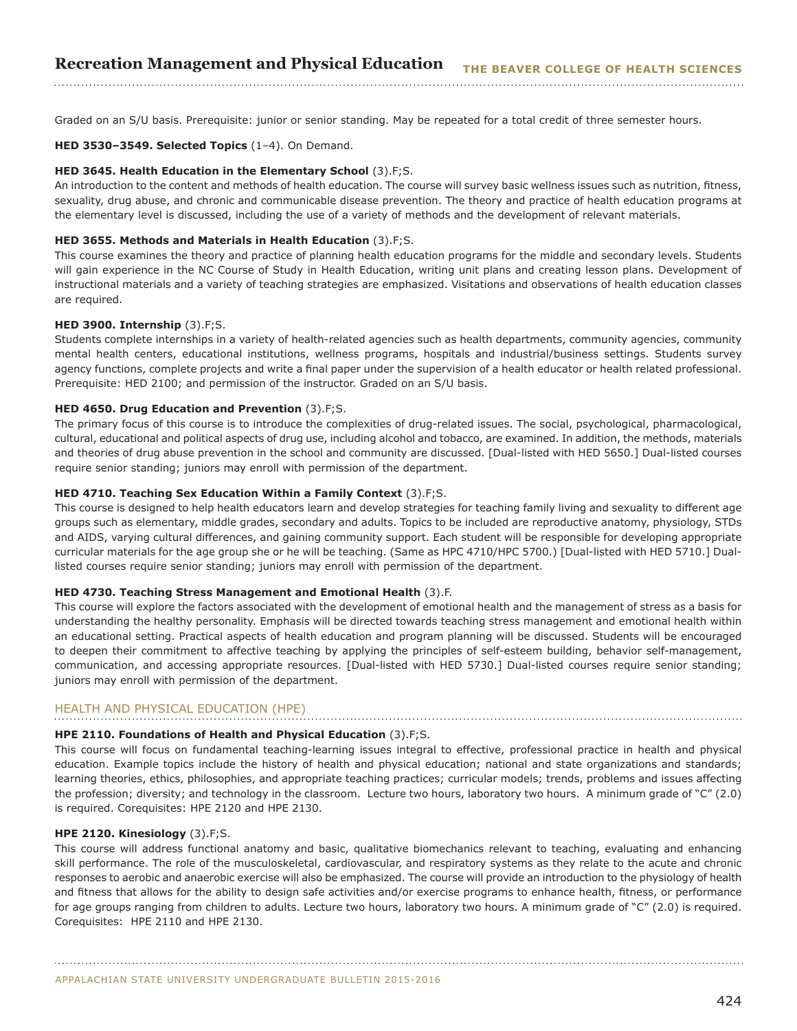Graded on an S/U basis. Prerequisite: junior or senior standing. May be repeated for a total credit of three semester hours.

#### **HED 3530–3549. Selected Topics** (1–4). On Demand.

#### **HED 3645. Health Education in the Elementary School** (3).F;S.

An introduction to the content and methods of health education. The course will survey basic wellness issues such as nutrition, fitness, sexuality, drug abuse, and chronic and communicable disease prevention. The theory and practice of health education programs at the elementary level is discussed, including the use of a variety of methods and the development of relevant materials.

#### **HED 3655. Methods and Materials in Health Education** (3).F;S.

This course examines the theory and practice of planning health education programs for the middle and secondary levels. Students will gain experience in the NC Course of Study in Health Education, writing unit plans and creating lesson plans. Development of instructional materials and a variety of teaching strategies are emphasized. Visitations and observations of health education classes are required.

#### **HED 3900. Internship** (3).F;S.

Students complete internships in a variety of health-related agencies such as health departments, community agencies, community mental health centers, educational institutions, wellness programs, hospitals and industrial/business settings. Students survey agency functions, complete projects and write a final paper under the supervision of a health educator or health related professional. Prerequisite: HED 2100; and permission of the instructor. Graded on an S/U basis.

#### **HED 4650. Drug Education and Prevention** (3).F;S.

The primary focus of this course is to introduce the complexities of drug-related issues. The social, psychological, pharmacological, cultural, educational and political aspects of drug use, including alcohol and tobacco, are examined. In addition, the methods, materials and theories of drug abuse prevention in the school and community are discussed. [Dual-listed with HED 5650.] Dual-listed courses require senior standing; juniors may enroll with permission of the department.

#### **HED 4710. Teaching Sex Education Within a Family Context** (3).F;S.

This course is designed to help health educators learn and develop strategies for teaching family living and sexuality to different age groups such as elementary, middle grades, secondary and adults. Topics to be included are reproductive anatomy, physiology, STDs and AIDS, varying cultural differences, and gaining community support. Each student will be responsible for developing appropriate curricular materials for the age group she or he will be teaching. (Same as HPC 4710/HPC 5700.) [Dual-listed with HED 5710.] Duallisted courses require senior standing; juniors may enroll with permission of the department.

#### **HED 4730. Teaching Stress Management and Emotional Health** (3).F.

This course will explore the factors associated with the development of emotional health and the management of stress as a basis for understanding the healthy personality. Emphasis will be directed towards teaching stress management and emotional health within an educational setting. Practical aspects of health education and program planning will be discussed. Students will be encouraged to deepen their commitment to affective teaching by applying the principles of self-esteem building, behavior self-management, communication, and accessing appropriate resources. [Dual-listed with HED 5730.] Dual-listed courses require senior standing; juniors may enroll with permission of the department.

## HEALTH AND PHYSICAL EDUCATION (HPE)

#### **HPE 2110. Foundations of Health and Physical Education** (3).F;S.

This course will focus on fundamental teaching-learning issues integral to effective, professional practice in health and physical education. Example topics include the history of health and physical education; national and state organizations and standards; learning theories, ethics, philosophies, and appropriate teaching practices; curricular models; trends, problems and issues affecting the profession; diversity; and technology in the classroom. Lecture two hours, laboratory two hours. A minimum grade of "C" (2.0) is required. Corequisites: HPE 2120 and HPE 2130.

#### **HPE 2120. Kinesiology** (3).F;S.

This course will address functional anatomy and basic, qualitative biomechanics relevant to teaching, evaluating and enhancing skill performance. The role of the musculoskeletal, cardiovascular, and respiratory systems as they relate to the acute and chronic responses to aerobic and anaerobic exercise will also be emphasized. The course will provide an introduction to the physiology of health and fitness that allows for the ability to design safe activities and/or exercise programs to enhance health, fitness, or performance for age groups ranging from children to adults. Lecture two hours, laboratory two hours. A minimum grade of "C" (2.0) is required. Corequisites: HPE 2110 and HPE 2130.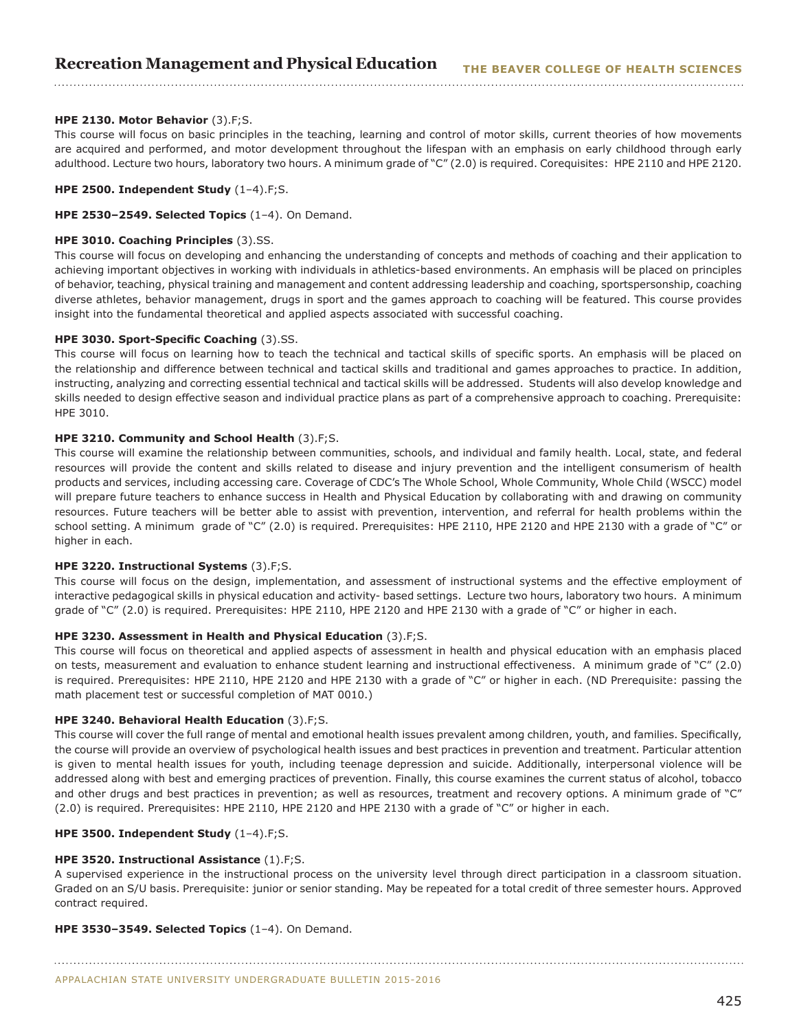## **HPE 2130. Motor Behavior** (3).F;S.

This course will focus on basic principles in the teaching, learning and control of motor skills, current theories of how movements are acquired and performed, and motor development throughout the lifespan with an emphasis on early childhood through early adulthood. Lecture two hours, laboratory two hours. A minimum grade of "C" (2.0) is required. Corequisites: HPE 2110 and HPE 2120.

#### **HPE 2500. Independent Study** (1–4).F;S.

**HPE 2530–2549. Selected Topics** (1–4). On Demand.

## **HPE 3010. Coaching Principles** (3).SS.

This course will focus on developing and enhancing the understanding of concepts and methods of coaching and their application to achieving important objectives in working with individuals in athletics-based environments. An emphasis will be placed on principles of behavior, teaching, physical training and management and content addressing leadership and coaching, sportspersonship, coaching diverse athletes, behavior management, drugs in sport and the games approach to coaching will be featured. This course provides insight into the fundamental theoretical and applied aspects associated with successful coaching.

## **HPE 3030. Sport-Specific Coaching** (3).SS.

This course will focus on learning how to teach the technical and tactical skills of specific sports. An emphasis will be placed on the relationship and difference between technical and tactical skills and traditional and games approaches to practice. In addition, instructing, analyzing and correcting essential technical and tactical skills will be addressed. Students will also develop knowledge and skills needed to design effective season and individual practice plans as part of a comprehensive approach to coaching. Prerequisite: HPE 3010.

## **HPE 3210. Community and School Health** (3).F;S.

This course will examine the relationship between communities, schools, and individual and family health. Local, state, and federal resources will provide the content and skills related to disease and injury prevention and the intelligent consumerism of health products and services, including accessing care. Coverage of CDC's The Whole School, Whole Community, Whole Child (WSCC) model will prepare future teachers to enhance success in Health and Physical Education by collaborating with and drawing on community resources. Future teachers will be better able to assist with prevention, intervention, and referral for health problems within the school setting. A minimum grade of "C" (2.0) is required. Prerequisites: HPE 2110, HPE 2120 and HPE 2130 with a grade of "C" or higher in each.

#### **HPE 3220. Instructional Systems** (3).F;S.

This course will focus on the design, implementation, and assessment of instructional systems and the effective employment of interactive pedagogical skills in physical education and activity- based settings. Lecture two hours, laboratory two hours. A minimum grade of "C" (2.0) is required. Prerequisites: HPE 2110, HPE 2120 and HPE 2130 with a grade of "C" or higher in each.

#### **HPE 3230. Assessment in Health and Physical Education** (3).F;S.

This course will focus on theoretical and applied aspects of assessment in health and physical education with an emphasis placed on tests, measurement and evaluation to enhance student learning and instructional effectiveness. A minimum grade of "C" (2.0) is required. Prerequisites: HPE 2110, HPE 2120 and HPE 2130 with a grade of "C" or higher in each. (ND Prerequisite: passing the math placement test or successful completion of MAT 0010.)

#### **HPE 3240. Behavioral Health Education** (3).F;S.

This course will cover the full range of mental and emotional health issues prevalent among children, youth, and families. Specifically, the course will provide an overview of psychological health issues and best practices in prevention and treatment. Particular attention is given to mental health issues for youth, including teenage depression and suicide. Additionally, interpersonal violence will be addressed along with best and emerging practices of prevention. Finally, this course examines the current status of alcohol, tobacco and other drugs and best practices in prevention; as well as resources, treatment and recovery options. A minimum grade of "C" (2.0) is required. Prerequisites: HPE 2110, HPE 2120 and HPE 2130 with a grade of "C" or higher in each.

#### **HPE 3500. Independent Study** (1–4).F;S.

#### **HPE 3520. Instructional Assistance** (1).F;S.

A supervised experience in the instructional process on the university level through direct participation in a classroom situation. Graded on an S/U basis. Prerequisite: junior or senior standing. May be repeated for a total credit of three semester hours. Approved contract required.

#### **HPE 3530–3549. Selected Topics** (1–4). On Demand.

APPALACHIAN STATE UNIVERSITY UNDERGRADUATE BULLETIN 2015-2016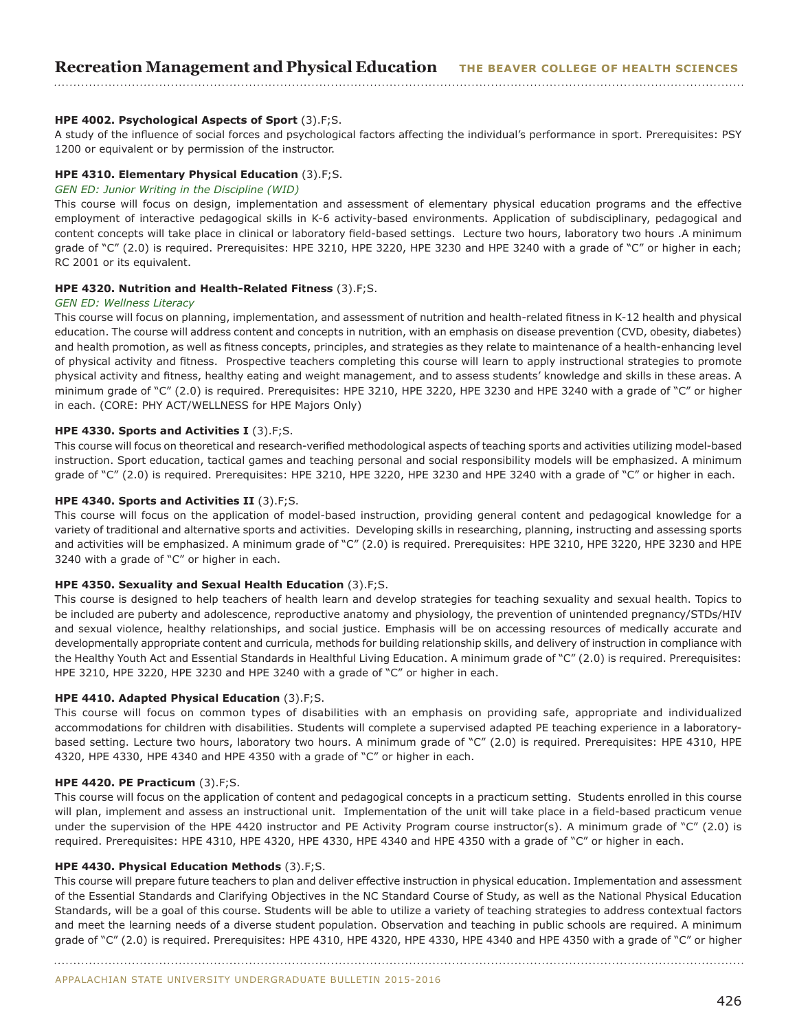## **HPE 4002. Psychological Aspects of Sport** (3).F;S.

A study of the influence of social forces and psychological factors affecting the individual's performance in sport. Prerequisites: PSY 1200 or equivalent or by permission of the instructor.

#### **HPE 4310. Elementary Physical Education** (3).F;S.

#### *GEN ED: Junior Writing in the Discipline (WID)*

This course will focus on design, implementation and assessment of elementary physical education programs and the effective employment of interactive pedagogical skills in K-6 activity-based environments. Application of subdisciplinary, pedagogical and content concepts will take place in clinical or laboratory field-based settings. Lecture two hours, laboratory two hours .A minimum grade of "C" (2.0) is required. Prerequisites: HPE 3210, HPE 3220, HPE 3230 and HPE 3240 with a grade of "C" or higher in each; RC 2001 or its equivalent.

#### **HPE 4320. Nutrition and Health-Related Fitness** (3).F;S.

#### *GEN ED: Wellness Literacy*

This course will focus on planning, implementation, and assessment of nutrition and health-related fitness in K-12 health and physical education. The course will address content and concepts in nutrition, with an emphasis on disease prevention (CVD, obesity, diabetes) and health promotion, as well as fitness concepts, principles, and strategies as they relate to maintenance of a health-enhancing level of physical activity and fitness. Prospective teachers completing this course will learn to apply instructional strategies to promote physical activity and fitness, healthy eating and weight management, and to assess students' knowledge and skills in these areas. A minimum grade of "C" (2.0) is required. Prerequisites: HPE 3210, HPE 3220, HPE 3230 and HPE 3240 with a grade of "C" or higher in each. (CORE: PHY ACT/WELLNESS for HPE Majors Only)

#### **HPE 4330. Sports and Activities I** (3).F;S.

This course will focus on theoretical and research-verified methodological aspects of teaching sports and activities utilizing model-based instruction. Sport education, tactical games and teaching personal and social responsibility models will be emphasized. A minimum grade of "C" (2.0) is required. Prerequisites: HPE 3210, HPE 3220, HPE 3230 and HPE 3240 with a grade of "C" or higher in each.

#### **HPE 4340. Sports and Activities II** (3).F;S.

This course will focus on the application of model-based instruction, providing general content and pedagogical knowledge for a variety of traditional and alternative sports and activities. Developing skills in researching, planning, instructing and assessing sports and activities will be emphasized. A minimum grade of "C" (2.0) is required. Prerequisites: HPE 3210, HPE 3220, HPE 3230 and HPE 3240 with a grade of "C" or higher in each.

#### **HPE 4350. Sexuality and Sexual Health Education** (3).F;S.

This course is designed to help teachers of health learn and develop strategies for teaching sexuality and sexual health. Topics to be included are puberty and adolescence, reproductive anatomy and physiology, the prevention of unintended pregnancy/STDs/HIV and sexual violence, healthy relationships, and social justice. Emphasis will be on accessing resources of medically accurate and developmentally appropriate content and curricula, methods for building relationship skills, and delivery of instruction in compliance with the Healthy Youth Act and Essential Standards in Healthful Living Education. A minimum grade of "C" (2.0) is required. Prerequisites: HPE 3210, HPE 3220, HPE 3230 and HPE 3240 with a grade of "C" or higher in each.

#### **HPE 4410. Adapted Physical Education** (3).F;S.

This course will focus on common types of disabilities with an emphasis on providing safe, appropriate and individualized accommodations for children with disabilities. Students will complete a supervised adapted PE teaching experience in a laboratorybased setting. Lecture two hours, laboratory two hours. A minimum grade of "C" (2.0) is required. Prerequisites: HPE 4310, HPE 4320, HPE 4330, HPE 4340 and HPE 4350 with a grade of "C" or higher in each.

#### **HPE 4420. PE Practicum** (3).F;S.

This course will focus on the application of content and pedagogical concepts in a practicum setting. Students enrolled in this course will plan, implement and assess an instructional unit. Implementation of the unit will take place in a field-based practicum venue under the supervision of the HPE 4420 instructor and PE Activity Program course instructor(s). A minimum grade of "C" (2.0) is required. Prerequisites: HPE 4310, HPE 4320, HPE 4330, HPE 4340 and HPE 4350 with a grade of "C" or higher in each.

#### **HPE 4430. Physical Education Methods** (3).F;S.

This course will prepare future teachers to plan and deliver effective instruction in physical education. Implementation and assessment of the Essential Standards and Clarifying Objectives in the NC Standard Course of Study, as well as the National Physical Education Standards, will be a goal of this course. Students will be able to utilize a variety of teaching strategies to address contextual factors and meet the learning needs of a diverse student population. Observation and teaching in public schools are required. A minimum grade of "C" (2.0) is required. Prerequisites: HPE 4310, HPE 4320, HPE 4330, HPE 4340 and HPE 4350 with a grade of "C" or higher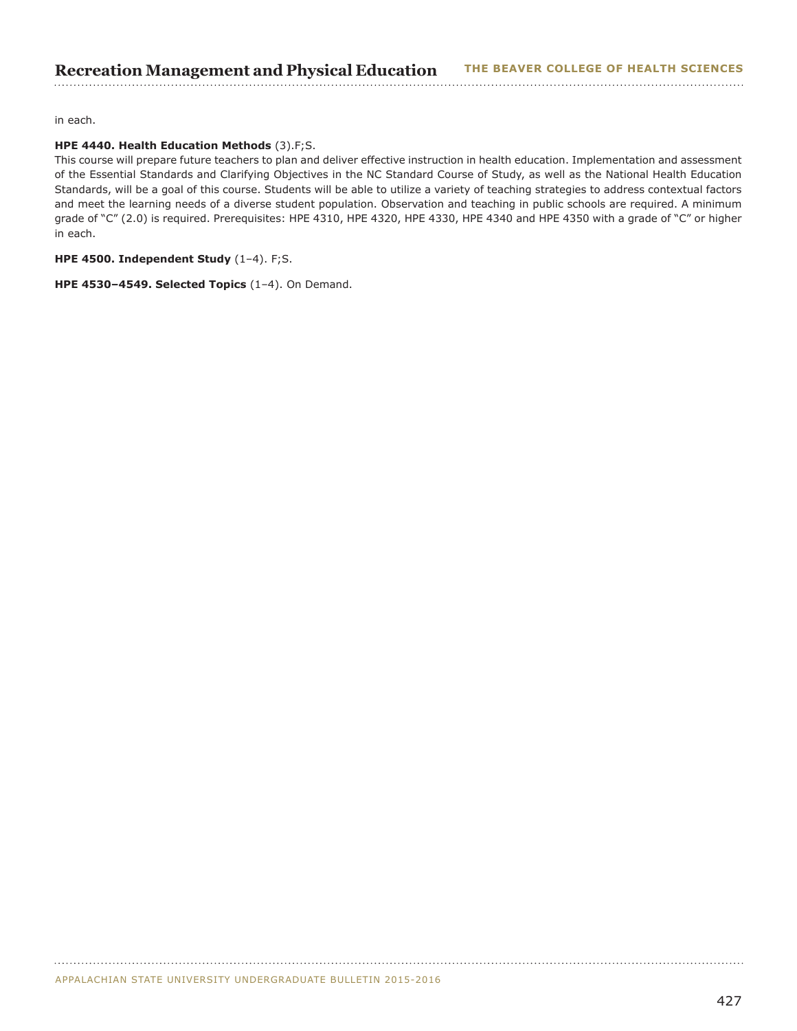in each.

## **HPE 4440. Health Education Methods** (3).F;S.

This course will prepare future teachers to plan and deliver effective instruction in health education. Implementation and assessment of the Essential Standards and Clarifying Objectives in the NC Standard Course of Study, as well as the National Health Education Standards, will be a goal of this course. Students will be able to utilize a variety of teaching strategies to address contextual factors and meet the learning needs of a diverse student population. Observation and teaching in public schools are required. A minimum grade of "C" (2.0) is required. Prerequisites: HPE 4310, HPE 4320, HPE 4330, HPE 4340 and HPE 4350 with a grade of "C" or higher in each.

## **HPE 4500. Independent Study** (1–4). F;S.

**HPE 4530–4549. Selected Topics** (1–4). On Demand.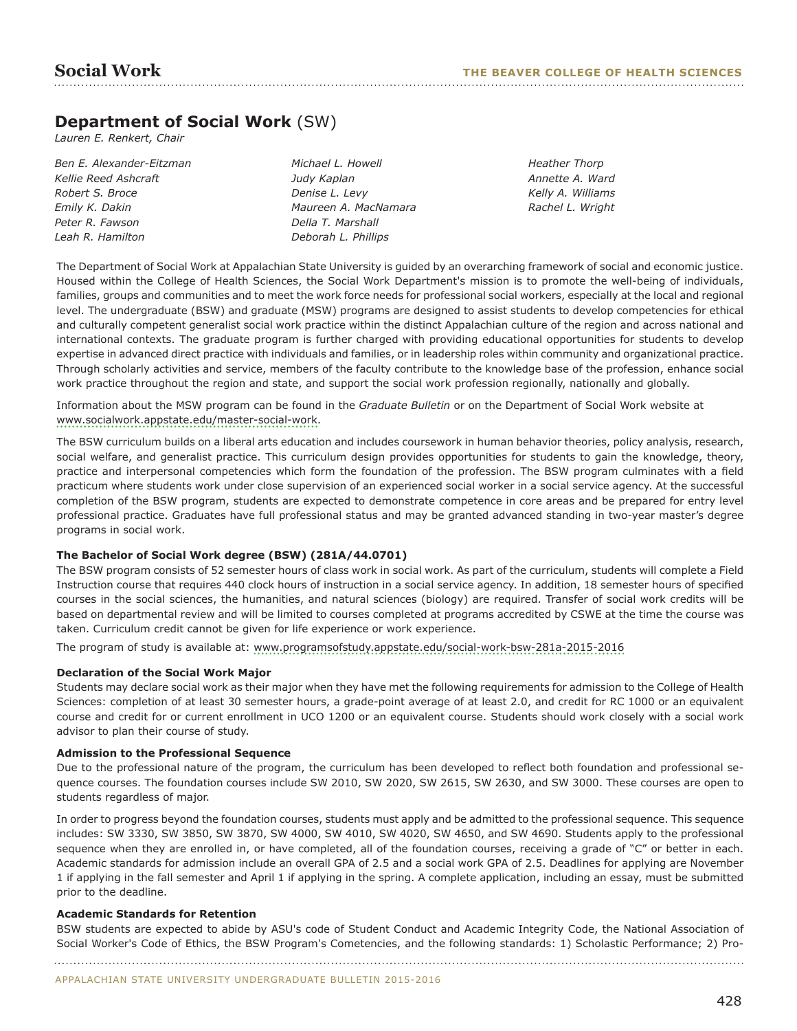## **Department of Social Work** (SW)

*Lauren E. Renkert, Chair*

*Ben E. Alexander-Eitzman Kellie Reed Ashcraft Robert S. Broce Emily K. Dakin Peter R. Fawson Leah R. Hamilton*

*Michael L. Howell Judy Kaplan Denise L. Levy Maureen A. MacNamara Della T. Marshall Deborah L. Phillips*

*Heather Thorp Annette A. Ward Kelly A. Williams Rachel L. Wright*

The Department of Social Work at Appalachian State University is guided by an overarching framework of social and economic justice. Housed within the College of Health Sciences, the Social Work Department's mission is to promote the well-being of individuals, families, groups and communities and to meet the work force needs for professional social workers, especially at the local and regional level. The undergraduate (BSW) and graduate (MSW) programs are designed to assist students to develop competencies for ethical and culturally competent generalist social work practice within the distinct Appalachian culture of the region and across national and international contexts. The graduate program is further charged with providing educational opportunities for students to develop expertise in advanced direct practice with individuals and families, or in leadership roles within community and organizational practice. Through scholarly activities and service, members of the faculty contribute to the knowledge base of the profession, enhance social work practice throughout the region and state, and support the social work profession regionally, nationally and globally.

Information about the MSW program can be found in the *Graduate Bulletin* or on the Department of Social Work website at [www.socialwork.appstate.edu/master-social-work.](www.socialwork.appstate.edu/master-social-work)

The BSW curriculum builds on a liberal arts education and includes coursework in human behavior theories, policy analysis, research, social welfare, and generalist practice. This curriculum design provides opportunities for students to gain the knowledge, theory, practice and interpersonal competencies which form the foundation of the profession. The BSW program culminates with a field practicum where students work under close supervision of an experienced social worker in a social service agency. At the successful completion of the BSW program, students are expected to demonstrate competence in core areas and be prepared for entry level professional practice. Graduates have full professional status and may be granted advanced standing in two-year master's degree programs in social work.

## **The Bachelor of Social Work degree (BSW) (281A/44.0701)**

The BSW program consists of 52 semester hours of class work in social work. As part of the curriculum, students will complete a Field Instruction course that requires 440 clock hours of instruction in a social service agency. In addition, 18 semester hours of specified courses in the social sciences, the humanities, and natural sciences (biology) are required. Transfer of social work credits will be based on departmental review and will be limited to courses completed at programs accredited by CSWE at the time the course was taken. Curriculum credit cannot be given for life experience or work experience.

The program of study is available at:<www.programsofstudy.appstate.edu/social-work-bsw-281a-2015-2016>

#### **Declaration of the Social Work Major**

Students may declare social work as their major when they have met the following requirements for admission to the College of Health Sciences: completion of at least 30 semester hours, a grade-point average of at least 2.0, and credit for RC 1000 or an equivalent course and credit for or current enrollment in UCO 1200 or an equivalent course. Students should work closely with a social work advisor to plan their course of study.

#### **Admission to the Professional Sequence**

Due to the professional nature of the program, the curriculum has been developed to reflect both foundation and professional sequence courses. The foundation courses include SW 2010, SW 2020, SW 2615, SW 2630, and SW 3000. These courses are open to students regardless of major.

In order to progress beyond the foundation courses, students must apply and be admitted to the professional sequence. This sequence includes: SW 3330, SW 3850, SW 3870, SW 4000, SW 4010, SW 4020, SW 4650, and SW 4690. Students apply to the professional sequence when they are enrolled in, or have completed, all of the foundation courses, receiving a grade of "C" or better in each. Academic standards for admission include an overall GPA of 2.5 and a social work GPA of 2.5. Deadlines for applying are November 1 if applying in the fall semester and April 1 if applying in the spring. A complete application, including an essay, must be submitted prior to the deadline.

#### **Academic Standards for Retention**

BSW students are expected to abide by ASU's code of Student Conduct and Academic Integrity Code, the National Association of Social Worker's Code of Ethics, the BSW Program's Cometencies, and the following standards: 1) Scholastic Performance; 2) Pro-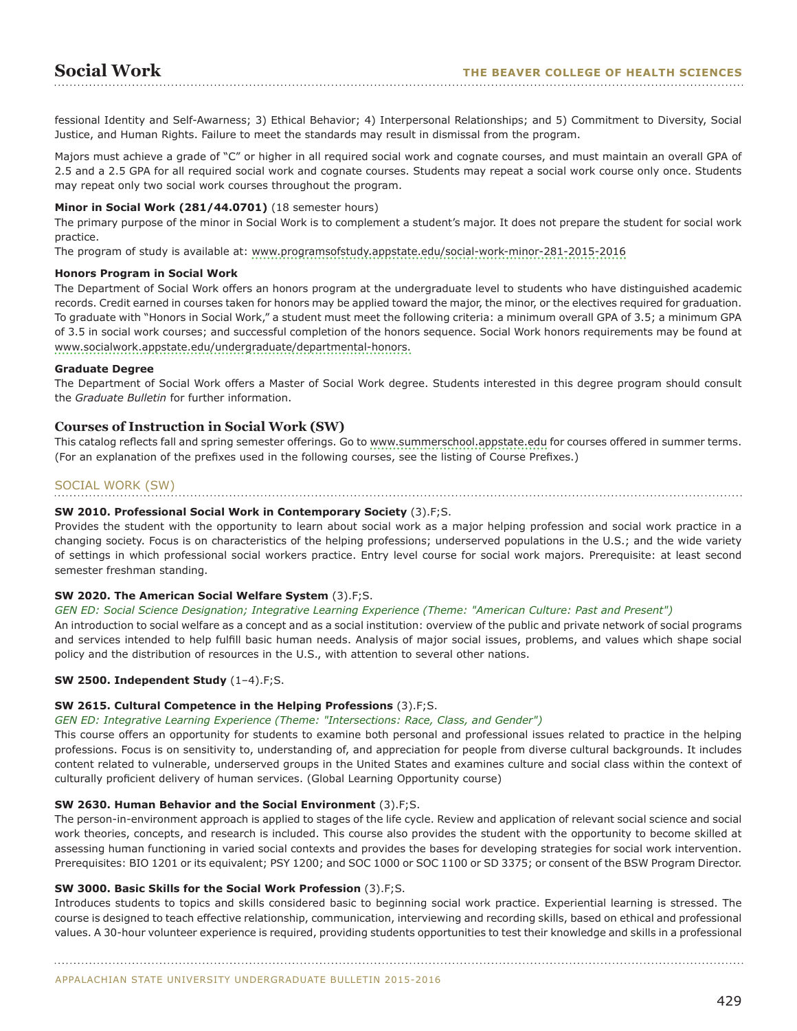fessional Identity and Self-Awarness; 3) Ethical Behavior; 4) Interpersonal Relationships; and 5) Commitment to Diversity, Social Justice, and Human Rights. Failure to meet the standards may result in dismissal from the program.

Majors must achieve a grade of "C" or higher in all required social work and cognate courses, and must maintain an overall GPA of 2.5 and a 2.5 GPA for all required social work and cognate courses. Students may repeat a social work course only once. Students may repeat only two social work courses throughout the program.

#### **Minor in Social Work (281/44.0701)** (18 semester hours)

The primary purpose of the minor in Social Work is to complement a student's major. It does not prepare the student for social work practice.

The program of study is available at: <www.programsofstudy.appstate.edu/social-work-minor-281-2015-2016>

#### **Honors Program in Social Work**

The Department of Social Work offers an honors program at the undergraduate level to students who have distinguished academic records. Credit earned in courses taken for honors may be applied toward the major, the minor, or the electives required for graduation. To graduate with "Honors in Social Work," a student must meet the following criteria: a minimum overall GPA of 3.5; a minimum GPA of 3.5 in social work courses; and successful completion of the honors sequence. Social Work honors requirements may be found at [www.socialwork.appstate.edu/undergraduate/departmental-honors.](www.socialwork.appstate.edu/undergraduate/departmental-honors)

## **Graduate Degree**

The Department of Social Work offers a Master of Social Work degree. Students interested in this degree program should consult the *Graduate Bulletin* for further information.

## **Courses of Instruction in Social Work (SW)**

This catalog reflects fall and spring semester offerings. Go to [www.summerschool.appstate.edu](http://www.summerschool.appstate.edu) for courses offered in summer terms. (For an explanation of the prefixes used in the following courses, see the listing of Course Prefixes.)

## SOCIAL WORK (SW)

## **SW 2010. Professional Social Work in Contemporary Society** (3).F;S.

Provides the student with the opportunity to learn about social work as a major helping profession and social work practice in a changing society. Focus is on characteristics of the helping professions; underserved populations in the U.S.; and the wide variety of settings in which professional social workers practice. Entry level course for social work majors. Prerequisite: at least second semester freshman standing.

#### **SW 2020. The American Social Welfare System** (3).F;S.

*GEN ED: Social Science Designation; Integrative Learning Experience (Theme: "American Culture: Past and Present")*

An introduction to social welfare as a concept and as a social institution: overview of the public and private network of social programs and services intended to help fulfill basic human needs. Analysis of major social issues, problems, and values which shape social policy and the distribution of resources in the U.S., with attention to several other nations.

## **SW 2500. Independent Study** (1–4).F;S.

## **SW 2615. Cultural Competence in the Helping Professions** (3).F;S.

#### *GEN ED: Integrative Learning Experience (Theme: "Intersections: Race, Class, and Gender")*

This course offers an opportunity for students to examine both personal and professional issues related to practice in the helping professions. Focus is on sensitivity to, understanding of, and appreciation for people from diverse cultural backgrounds. It includes content related to vulnerable, underserved groups in the United States and examines culture and social class within the context of culturally proficient delivery of human services. (Global Learning Opportunity course)

#### **SW 2630. Human Behavior and the Social Environment** (3).F;S.

The person-in-environment approach is applied to stages of the life cycle. Review and application of relevant social science and social work theories, concepts, and research is included. This course also provides the student with the opportunity to become skilled at assessing human functioning in varied social contexts and provides the bases for developing strategies for social work intervention. Prerequisites: BIO 1201 or its equivalent; PSY 1200; and SOC 1000 or SOC 1100 or SD 3375; or consent of the BSW Program Director.

#### **SW 3000. Basic Skills for the Social Work Profession** (3).F;S.

Introduces students to topics and skills considered basic to beginning social work practice. Experiential learning is stressed. The course is designed to teach effective relationship, communication, interviewing and recording skills, based on ethical and professional values. A 30-hour volunteer experience is required, providing students opportunities to test their knowledge and skills in a professional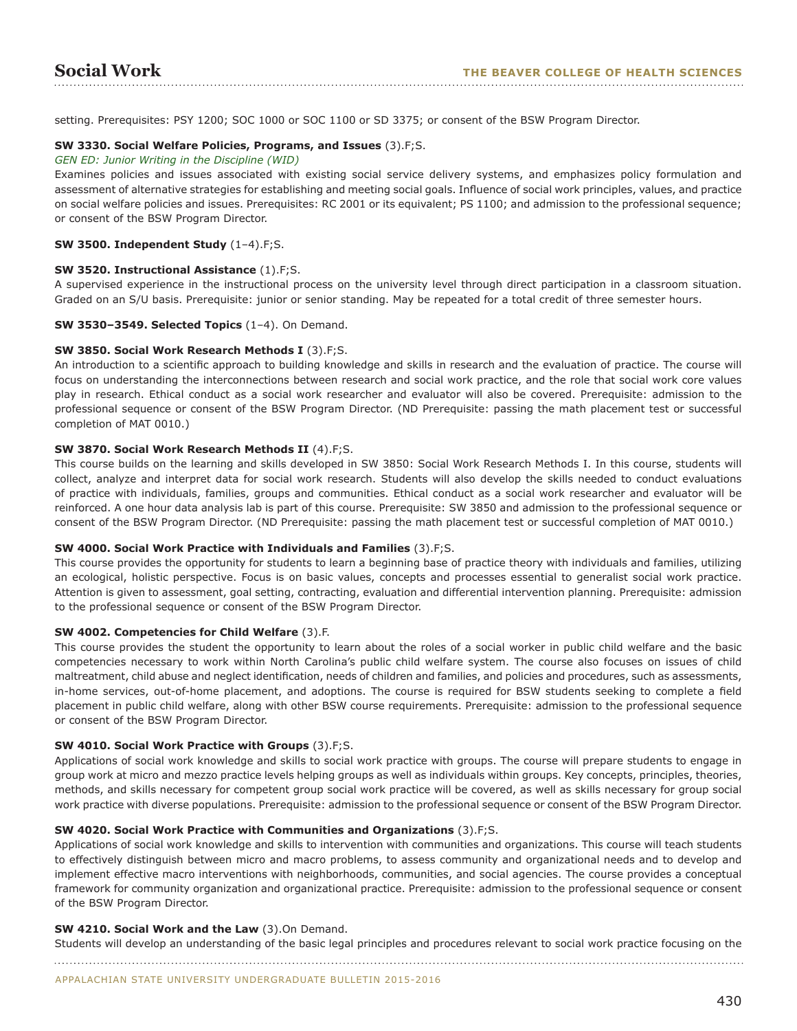setting. Prerequisites: PSY 1200; SOC 1000 or SOC 1100 or SD 3375; or consent of the BSW Program Director.

#### **SW 3330. Social Welfare Policies, Programs, and Issues** (3).F;S.

#### *GEN ED: Junior Writing in the Discipline (WID)*

Examines policies and issues associated with existing social service delivery systems, and emphasizes policy formulation and assessment of alternative strategies for establishing and meeting social goals. Influence of social work principles, values, and practice on social welfare policies and issues. Prerequisites: RC 2001 or its equivalent; PS 1100; and admission to the professional sequence; or consent of the BSW Program Director.

#### **SW 3500. Independent Study** (1–4).F;S.

#### **SW 3520. Instructional Assistance** (1).F;S.

A supervised experience in the instructional process on the university level through direct participation in a classroom situation. Graded on an S/U basis. Prerequisite: junior or senior standing. May be repeated for a total credit of three semester hours.

#### **SW 3530–3549. Selected Topics** (1–4). On Demand.

#### **SW 3850. Social Work Research Methods I** (3).F;S.

An introduction to a scientific approach to building knowledge and skills in research and the evaluation of practice. The course will focus on understanding the interconnections between research and social work practice, and the role that social work core values play in research. Ethical conduct as a social work researcher and evaluator will also be covered. Prerequisite: admission to the professional sequence or consent of the BSW Program Director. (ND Prerequisite: passing the math placement test or successful completion of MAT 0010.)

#### **SW 3870. Social Work Research Methods II** (4).F;S.

This course builds on the learning and skills developed in SW 3850: Social Work Research Methods I. In this course, students will collect, analyze and interpret data for social work research. Students will also develop the skills needed to conduct evaluations of practice with individuals, families, groups and communities. Ethical conduct as a social work researcher and evaluator will be reinforced. A one hour data analysis lab is part of this course. Prerequisite: SW 3850 and admission to the professional sequence or consent of the BSW Program Director. (ND Prerequisite: passing the math placement test or successful completion of MAT 0010.)

#### **SW 4000. Social Work Practice with Individuals and Families** (3).F;S.

This course provides the opportunity for students to learn a beginning base of practice theory with individuals and families, utilizing an ecological, holistic perspective. Focus is on basic values, concepts and processes essential to generalist social work practice. Attention is given to assessment, goal setting, contracting, evaluation and differential intervention planning. Prerequisite: admission to the professional sequence or consent of the BSW Program Director.

#### **SW 4002. Competencies for Child Welfare** (3).F.

This course provides the student the opportunity to learn about the roles of a social worker in public child welfare and the basic competencies necessary to work within North Carolina's public child welfare system. The course also focuses on issues of child maltreatment, child abuse and neglect identification, needs of children and families, and policies and procedures, such as assessments, in-home services, out-of-home placement, and adoptions. The course is required for BSW students seeking to complete a field placement in public child welfare, along with other BSW course requirements. Prerequisite: admission to the professional sequence or consent of the BSW Program Director.

#### **SW 4010. Social Work Practice with Groups** (3).F;S.

Applications of social work knowledge and skills to social work practice with groups. The course will prepare students to engage in group work at micro and mezzo practice levels helping groups as well as individuals within groups. Key concepts, principles, theories, methods, and skills necessary for competent group social work practice will be covered, as well as skills necessary for group social work practice with diverse populations. Prerequisite: admission to the professional sequence or consent of the BSW Program Director.

#### **SW 4020. Social Work Practice with Communities and Organizations** (3).F;S.

Applications of social work knowledge and skills to intervention with communities and organizations. This course will teach students to effectively distinguish between micro and macro problems, to assess community and organizational needs and to develop and implement effective macro interventions with neighborhoods, communities, and social agencies. The course provides a conceptual framework for community organization and organizational practice. Prerequisite: admission to the professional sequence or consent of the BSW Program Director.

#### **SW 4210. Social Work and the Law** (3).On Demand.

Students will develop an understanding of the basic legal principles and procedures relevant to social work practice focusing on the

APPALACHIAN STATE UNIVERSITY UNDERGRADUATE BULLETIN 2015-2016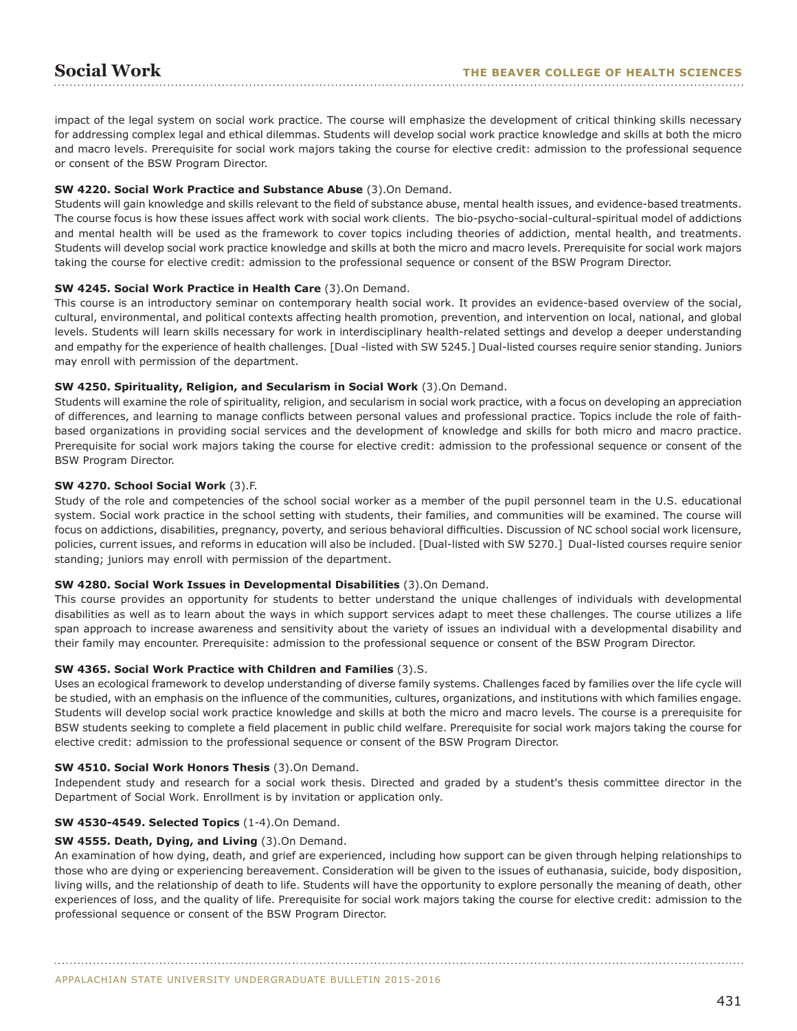impact of the legal system on social work practice. The course will emphasize the development of critical thinking skills necessary for addressing complex legal and ethical dilemmas. Students will develop social work practice knowledge and skills at both the micro and macro levels. Prerequisite for social work majors taking the course for elective credit: admission to the professional sequence or consent of the BSW Program Director.

## **SW 4220. Social Work Practice and Substance Abuse** (3).On Demand.

Students will gain knowledge and skills relevant to the field of substance abuse, mental health issues, and evidence-based treatments. The course focus is how these issues affect work with social work clients. The bio-psycho-social-cultural-spiritual model of addictions and mental health will be used as the framework to cover topics including theories of addiction, mental health, and treatments. Students will develop social work practice knowledge and skills at both the micro and macro levels. Prerequisite for social work majors taking the course for elective credit: admission to the professional sequence or consent of the BSW Program Director.

## **SW 4245. Social Work Practice in Health Care** (3).On Demand.

This course is an introductory seminar on contemporary health social work. It provides an evidence-based overview of the social, cultural, environmental, and political contexts affecting health promotion, prevention, and intervention on local, national, and global levels. Students will learn skills necessary for work in interdisciplinary health-related settings and develop a deeper understanding and empathy for the experience of health challenges. [Dual -listed with SW 5245.] Dual-listed courses require senior standing. Juniors may enroll with permission of the department.

## **SW 4250. Spirituality, Religion, and Secularism in Social Work** (3).On Demand.

Students will examine the role of spirituality, religion, and secularism in social work practice, with a focus on developing an appreciation of differences, and learning to manage conflicts between personal values and professional practice. Topics include the role of faithbased organizations in providing social services and the development of knowledge and skills for both micro and macro practice. Prerequisite for social work majors taking the course for elective credit: admission to the professional sequence or consent of the BSW Program Director.

## **SW 4270. School Social Work** (3).F.

Study of the role and competencies of the school social worker as a member of the pupil personnel team in the U.S. educational system. Social work practice in the school setting with students, their families, and communities will be examined. The course will focus on addictions, disabilities, pregnancy, poverty, and serious behavioral difficulties. Discussion of NC school social work licensure, policies, current issues, and reforms in education will also be included. [Dual-listed with SW 5270.] Dual-listed courses require senior standing; juniors may enroll with permission of the department.

## **SW 4280. Social Work Issues in Developmental Disabilities** (3).On Demand.

This course provides an opportunity for students to better understand the unique challenges of individuals with developmental disabilities as well as to learn about the ways in which support services adapt to meet these challenges. The course utilizes a life span approach to increase awareness and sensitivity about the variety of issues an individual with a developmental disability and their family may encounter. Prerequisite: admission to the professional sequence or consent of the BSW Program Director.

## **SW 4365. Social Work Practice with Children and Families** (3).S.

Uses an ecological framework to develop understanding of diverse family systems. Challenges faced by families over the life cycle will be studied, with an emphasis on the influence of the communities, cultures, organizations, and institutions with which families engage. Students will develop social work practice knowledge and skills at both the micro and macro levels. The course is a prerequisite for BSW students seeking to complete a field placement in public child welfare. Prerequisite for social work majors taking the course for elective credit: admission to the professional sequence or consent of the BSW Program Director.

## **SW 4510. Social Work Honors Thesis** (3).On Demand.

Independent study and research for a social work thesis. Directed and graded by a student's thesis committee director in the Department of Social Work. Enrollment is by invitation or application only.

## **SW 4530-4549. Selected Topics** (1-4).On Demand.

## **SW 4555. Death, Dying, and Living** (3).On Demand.

An examination of how dying, death, and grief are experienced, including how support can be given through helping relationships to those who are dying or experiencing bereavement. Consideration will be given to the issues of euthanasia, suicide, body disposition, living wills, and the relationship of death to life. Students will have the opportunity to explore personally the meaning of death, other experiences of loss, and the quality of life. Prerequisite for social work majors taking the course for elective credit: admission to the professional sequence or consent of the BSW Program Director.